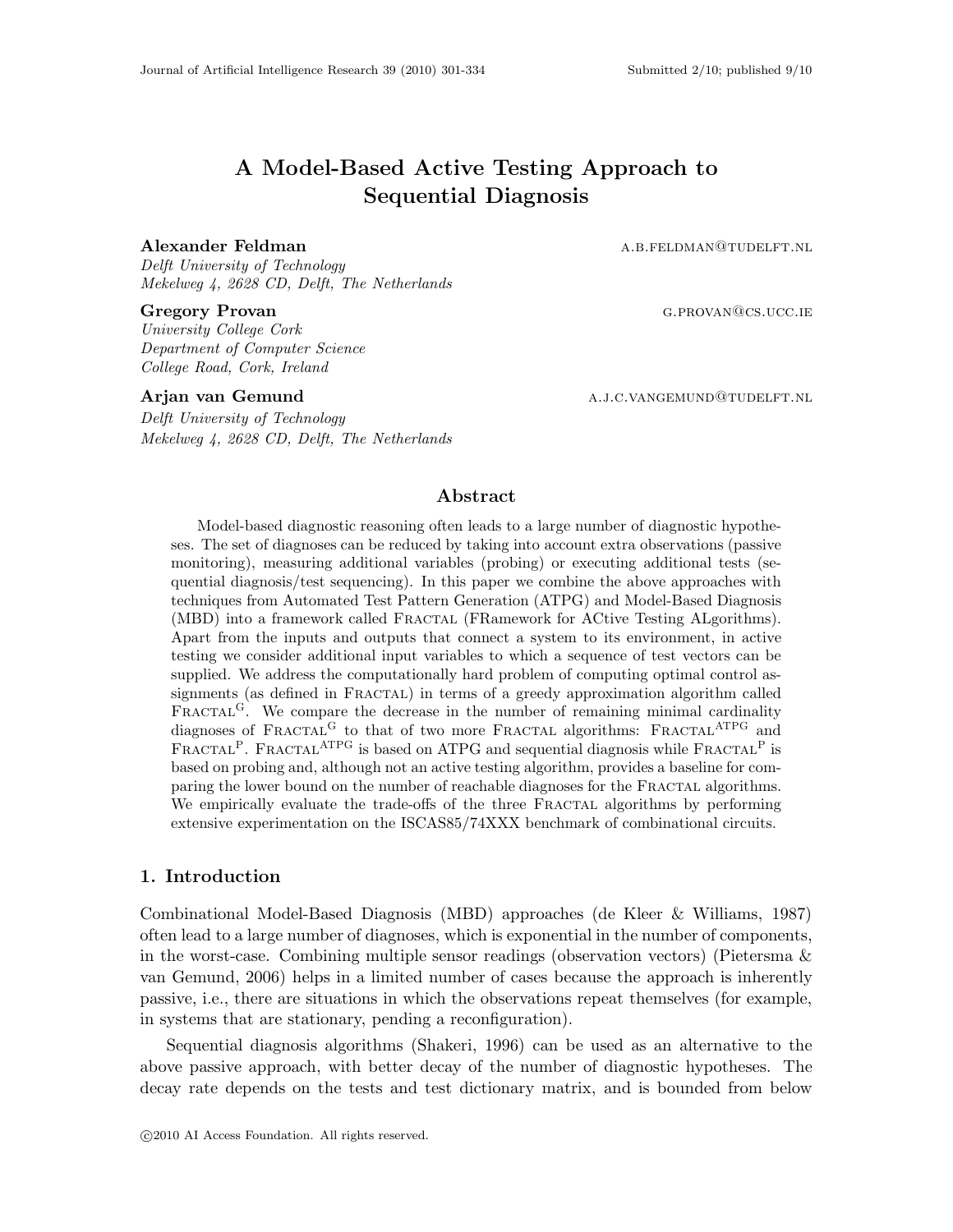# A Model-Based Active Testing Approach to Sequential Diagnosis

## Alexander Feldman a.b.feldman a.b.feldman a.b.feldman

Delft University of Technology Mekelweg 4, 2628 CD, Delft, The Netherlands

University College Cork Department of Computer Science College Road, Cork, Ireland

Delft University of Technology Mekelweg 4, 2628 CD, Delft, The Netherlands

Gregory Provan German German German German German German German German German German German German German German German German German German German German German German German German German German German German German Germ

Arjan van Gemund a.j.c.vangemund a.j.c.vangemund a.j.c.vangemund a.j.c.vangemund a.j.c.vangemund a.j

# Abstract

Model-based diagnostic reasoning often leads to a large number of diagnostic hypotheses. The set of diagnoses can be reduced by taking into account extra observations (passive monitoring), measuring additional variables (probing) or executing additional tests (sequential diagnosis/test sequencing). In this paper we combine the above approaches with techniques from Automated Test Pattern Generation (ATPG) and Model-Based Diagnosis (MBD) into a framework called Fractal (FRamework for ACtive Testing ALgorithms). Apart from the inputs and outputs that connect a system to its environment, in active testing we consider additional input variables to which a sequence of test vectors can be supplied. We address the computationally hard problem of computing optimal control assignments (as defined in FRACTAL) in terms of a greedy approximation algorithm called FRACTAL<sup>G</sup>. We compare the decrease in the number of remaining minimal cardinality diagnoses of  $\text{FRACTAL}^G$  to that of two more FRACTAL algorithms:  $\text{FRACTAL}^{\text{ATPG}}$  and FRACTAL<sup>P</sup>. FRACTAL<sup>ATPG</sup> is based on ATPG and sequential diagnosis while FRACTAL<sup>P</sup> is based on probing and, although not an active testing algorithm, provides a baseline for comparing the lower bound on the number of reachable diagnoses for the Fractal algorithms. We empirically evaluate the trade-offs of the three FRACTAL algorithms by performing extensive experimentation on the ISCAS85/74XXX benchmark of combinational circuits.

# 1. Introduction

Combinational Model-Based Diagnosis (MBD) approaches (de Kleer & Williams, 1987) often lead to a large number of diagnoses, which is exponential in the number of components, in the worst-case. Combining multiple sensor readings (observation vectors) (Pietersma & van Gemund, 2006) helps in a limited number of cases because the approach is inherently passive, i.e., there are situations in which the observations repeat themselves (for example, in systems that are stationary, pending a reconfiguration).

Sequential diagnosis algorithms (Shakeri, 1996) can be used as an alternative to the above passive approach, with better decay of the number of diagnostic hypotheses. The decay rate depends on the tests and test dictionary matrix, and is bounded from below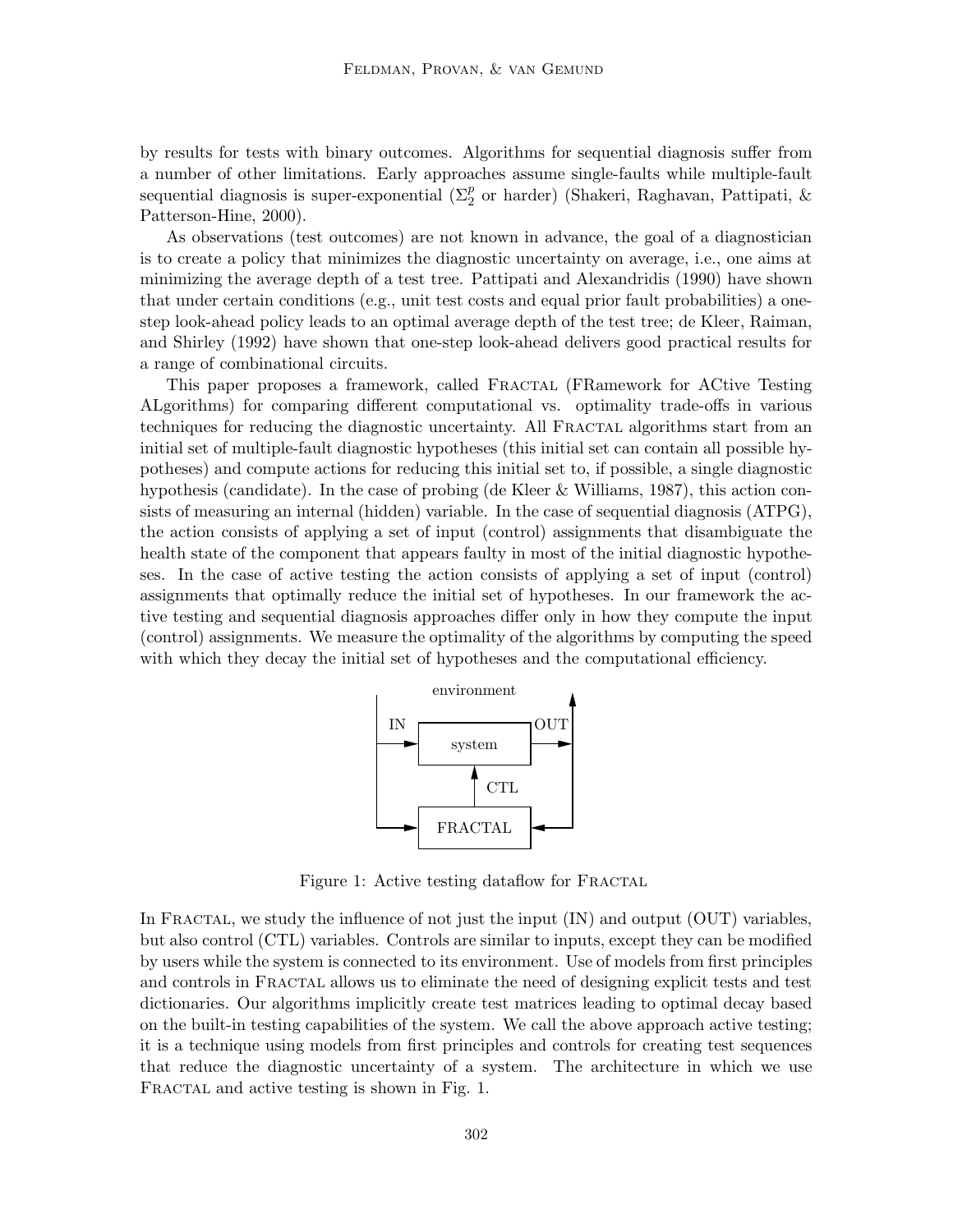by results for tests with binary outcomes. Algorithms for sequential diagnosis suffer from a number of other limitations. Early approaches assume single-faults while multiple-fault sequential diagnosis is super-exponential ( $\Sigma_2^p$  or harder) (Shakeri, Raghavan, Pattipati, & Patterson-Hine, 2000).

As observations (test outcomes) are not known in advance, the goal of a diagnostician is to create a policy that minimizes the diagnostic uncertainty on average, i.e., one aims at minimizing the average depth of a test tree. Pattipati and Alexandridis (1990) have shown that under certain conditions (e.g., unit test costs and equal prior fault probabilities) a onestep look-ahead policy leads to an optimal average depth of the test tree; de Kleer, Raiman, and Shirley (1992) have shown that one-step look-ahead delivers good practical results for a range of combinational circuits.

This paper proposes a framework, called Fractal (FRamework for ACtive Testing ALgorithms) for comparing different computational vs. optimality trade-offs in various techniques for reducing the diagnostic uncertainty. All FRACTAL algorithms start from an initial set of multiple-fault diagnostic hypotheses (this initial set can contain all possible hypotheses) and compute actions for reducing this initial set to, if possible, a single diagnostic hypothesis (candidate). In the case of probing (de Kleer & Williams, 1987), this action consists of measuring an internal (hidden) variable. In the case of sequential diagnosis (ATPG), the action consists of applying a set of input (control) assignments that disambiguate the health state of the component that appears faulty in most of the initial diagnostic hypotheses. In the case of active testing the action consists of applying a set of input (control) assignments that optimally reduce the initial set of hypotheses. In our framework the active testing and sequential diagnosis approaches differ only in how they compute the input (control) assignments. We measure the optimality of the algorithms by computing the speed with which they decay the initial set of hypotheses and the computational efficiency.



Figure 1: Active testing dataflow for FRACTAL

In FRACTAL, we study the influence of not just the input  $(IN)$  and output  $(OUT)$  variables, but also control (CTL) variables. Controls are similar to inputs, except they can be modified by users while the system is connected to its environment. Use of models from first principles and controls in FRACTAL allows us to eliminate the need of designing explicit tests and test dictionaries. Our algorithms implicitly create test matrices leading to optimal decay based on the built-in testing capabilities of the system. We call the above approach active testing; it is a technique using models from first principles and controls for creating test sequences that reduce the diagnostic uncertainty of a system. The architecture in which we use FRACTAL and active testing is shown in Fig. 1.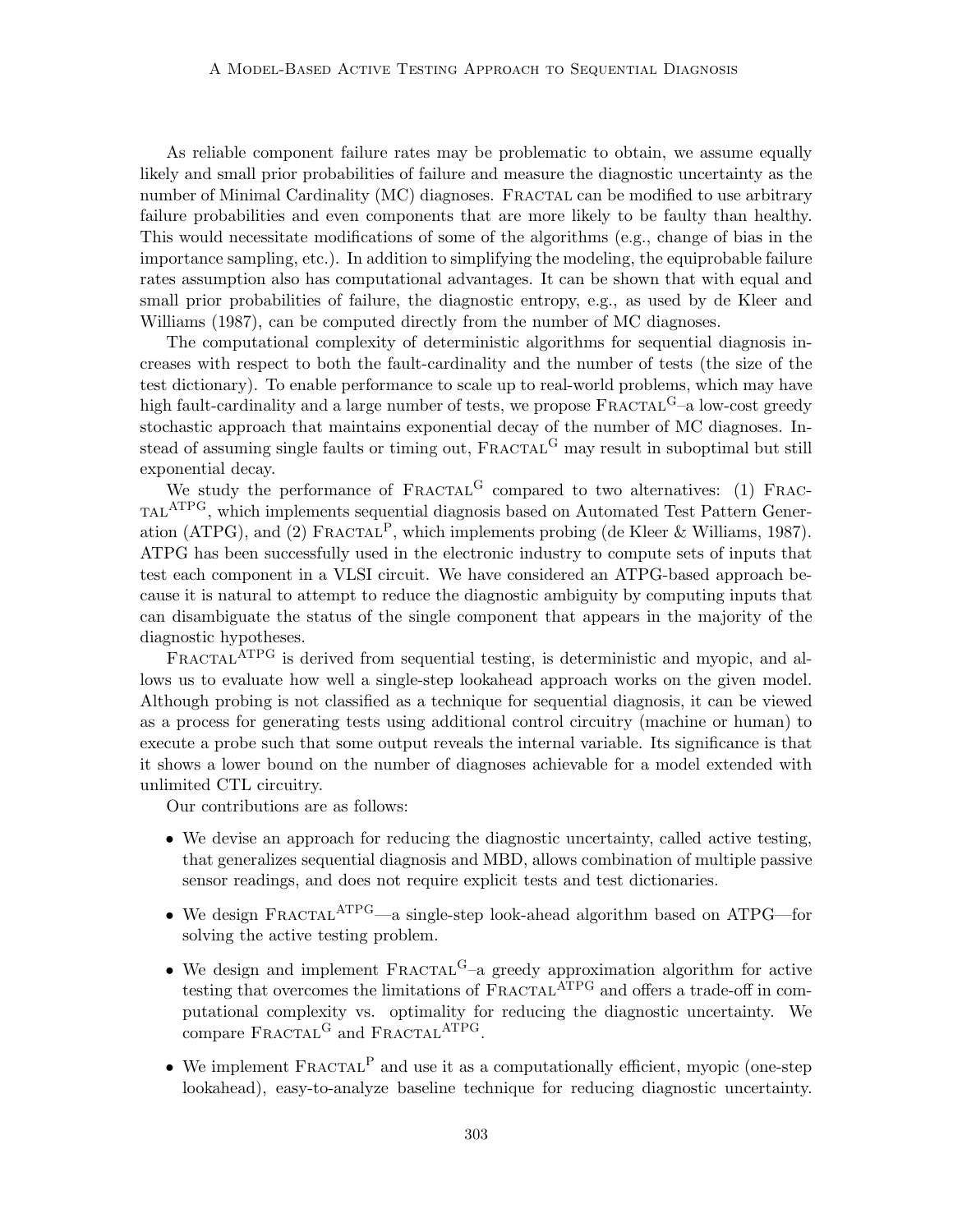As reliable component failure rates may be problematic to obtain, we assume equally likely and small prior probabilities of failure and measure the diagnostic uncertainty as the number of Minimal Cardinality (MC) diagnoses. FRACTAL can be modified to use arbitrary failure probabilities and even components that are more likely to be faulty than healthy. This would necessitate modifications of some of the algorithms (e.g., change of bias in the importance sampling, etc.). In addition to simplifying the modeling, the equiprobable failure rates assumption also has computational advantages. It can be shown that with equal and small prior probabilities of failure, the diagnostic entropy, e.g., as used by de Kleer and Williams (1987), can be computed directly from the number of MC diagnoses.

The computational complexity of deterministic algorithms for sequential diagnosis increases with respect to both the fault-cardinality and the number of tests (the size of the test dictionary). To enable performance to scale up to real-world problems, which may have high fault-cardinality and a large number of tests, we propose  $\text{FRACTAL}^G$ –a low-cost greedy stochastic approach that maintains exponential decay of the number of MC diagnoses. Instead of assuming single faults or timing out, FRACTAL<sup>G</sup> may result in suboptimal but still exponential decay.

We study the performance of  $\text{FRACTAL}^G$  compared to two alternatives: (1) FRAC-TAL<sup>ATPG</sup>, which implements sequential diagnosis based on Automated Test Pattern Generation (ATPG), and (2) FRACTAL<sup>P</sup>, which implements probing (de Kleer & Williams, 1987). ATPG has been successfully used in the electronic industry to compute sets of inputs that test each component in a VLSI circuit. We have considered an ATPG-based approach because it is natural to attempt to reduce the diagnostic ambiguity by computing inputs that can disambiguate the status of the single component that appears in the majority of the diagnostic hypotheses.

FRACTAL<sup>ATPG</sup> is derived from sequential testing, is deterministic and myopic, and allows us to evaluate how well a single-step lookahead approach works on the given model. Although probing is not classified as a technique for sequential diagnosis, it can be viewed as a process for generating tests using additional control circuitry (machine or human) to execute a probe such that some output reveals the internal variable. Its significance is that it shows a lower bound on the number of diagnoses achievable for a model extended with unlimited CTL circuitry.

Our contributions are as follows:

- We devise an approach for reducing the diagnostic uncertainty, called active testing, that generalizes sequential diagnosis and MBD, allows combination of multiple passive sensor readings, and does not require explicit tests and test dictionaries.
- We design  $FRACTAL^{ATPG}$ —a single-step look-ahead algorithm based on ATPG—for solving the active testing problem.
- We design and implement  $\text{FRACTAL}^G$ -a greedy approximation algorithm for active testing that overcomes the limitations of FRACTAL<sup>ATPG</sup> and offers a trade-off in computational complexity vs. optimality for reducing the diagnostic uncertainty. We compare FRACTAL<sup>G</sup> and FRACTAL<sup>ATPG</sup>.
- We implement  $\text{FRACTAL}^P$  and use it as a computationally efficient, myopic (one-step lookahead), easy-to-analyze baseline technique for reducing diagnostic uncertainty.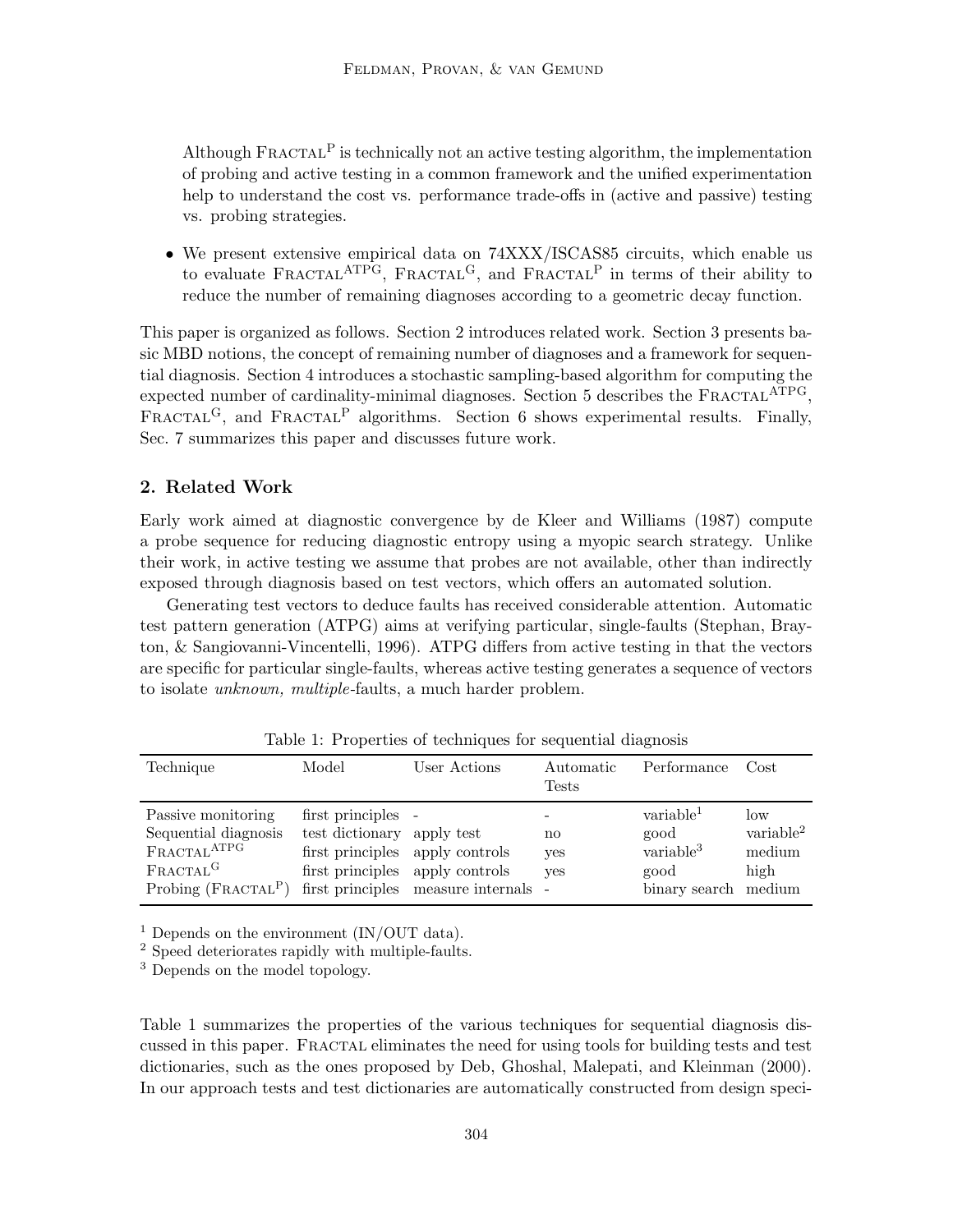Although  $\text{FRACTAL}^{\text{P}}$  is technically not an active testing algorithm, the implementation of probing and active testing in a common framework and the unified experimentation help to understand the cost vs. performance trade-offs in (active and passive) testing vs. probing strategies.

• We present extensive empirical data on  $74XXX/ISCASS5$  circuits, which enable us to evaluate FRACTAL<sup>ATPG</sup>, FRACTAL<sup>G</sup>, and FRACTAL<sup>P</sup> in terms of their ability to reduce the number of remaining diagnoses according to a geometric decay function.

This paper is organized as follows. Section 2 introduces related work. Section 3 presents basic MBD notions, the concept of remaining number of diagnoses and a framework for sequential diagnosis. Section 4 introduces a stochastic sampling-based algorithm for computing the expected number of cardinality-minimal diagnoses. Section 5 describes the  $FRACTAL^{ATPG}$ , FRACTAL<sup>G</sup>, and FRACTAL<sup>P</sup> algorithms. Section 6 shows experimental results. Finally, Sec. 7 summarizes this paper and discusses future work.

# 2. Related Work

Early work aimed at diagnostic convergence by de Kleer and Williams (1987) compute a probe sequence for reducing diagnostic entropy using a myopic search strategy. Unlike their work, in active testing we assume that probes are not available, other than indirectly exposed through diagnosis based on test vectors, which offers an automated solution.

Generating test vectors to deduce faults has received considerable attention. Automatic test pattern generation (ATPG) aims at verifying particular, single-faults (Stephan, Brayton, & Sangiovanni-Vincentelli, 1996). ATPG differs from active testing in that the vectors are specific for particular single-faults, whereas active testing generates a sequence of vectors to isolate unknown, multiple-faults, a much harder problem.

| Technique                    | Model                           | User Actions                         | Automatic<br><b>Tests</b> | Performance           | Cost                  |
|------------------------------|---------------------------------|--------------------------------------|---------------------------|-----------------------|-----------------------|
| Passive monitoring           | first principles -              |                                      |                           | variable <sup>1</sup> | low                   |
| Sequential diagnosis         | test dictionary apply test      |                                      | no                        | good                  | variable <sup>2</sup> |
| FRACTAL <sup>ATPG</sup>      | first principles apply controls |                                      | yes                       | variable <sup>3</sup> | medium                |
| FRACTAL <sup>G</sup>         | first principles apply controls |                                      | yes                       | good                  | high                  |
| Probing $(\text{FRACTAL}^P)$ |                                 | first principles measure internals - |                           | binary search         | medium                |

Table 1: Properties of techniques for sequential diagnosis

<sup>1</sup> Depends on the environment  $(IN/OUT data)$ .

<sup>2</sup> Speed deteriorates rapidly with multiple-faults.

<sup>3</sup> Depends on the model topology.

Table 1 summarizes the properties of the various techniques for sequential diagnosis discussed in this paper. Fractal eliminates the need for using tools for building tests and test dictionaries, such as the ones proposed by Deb, Ghoshal, Malepati, and Kleinman (2000). In our approach tests and test dictionaries are automatically constructed from design speci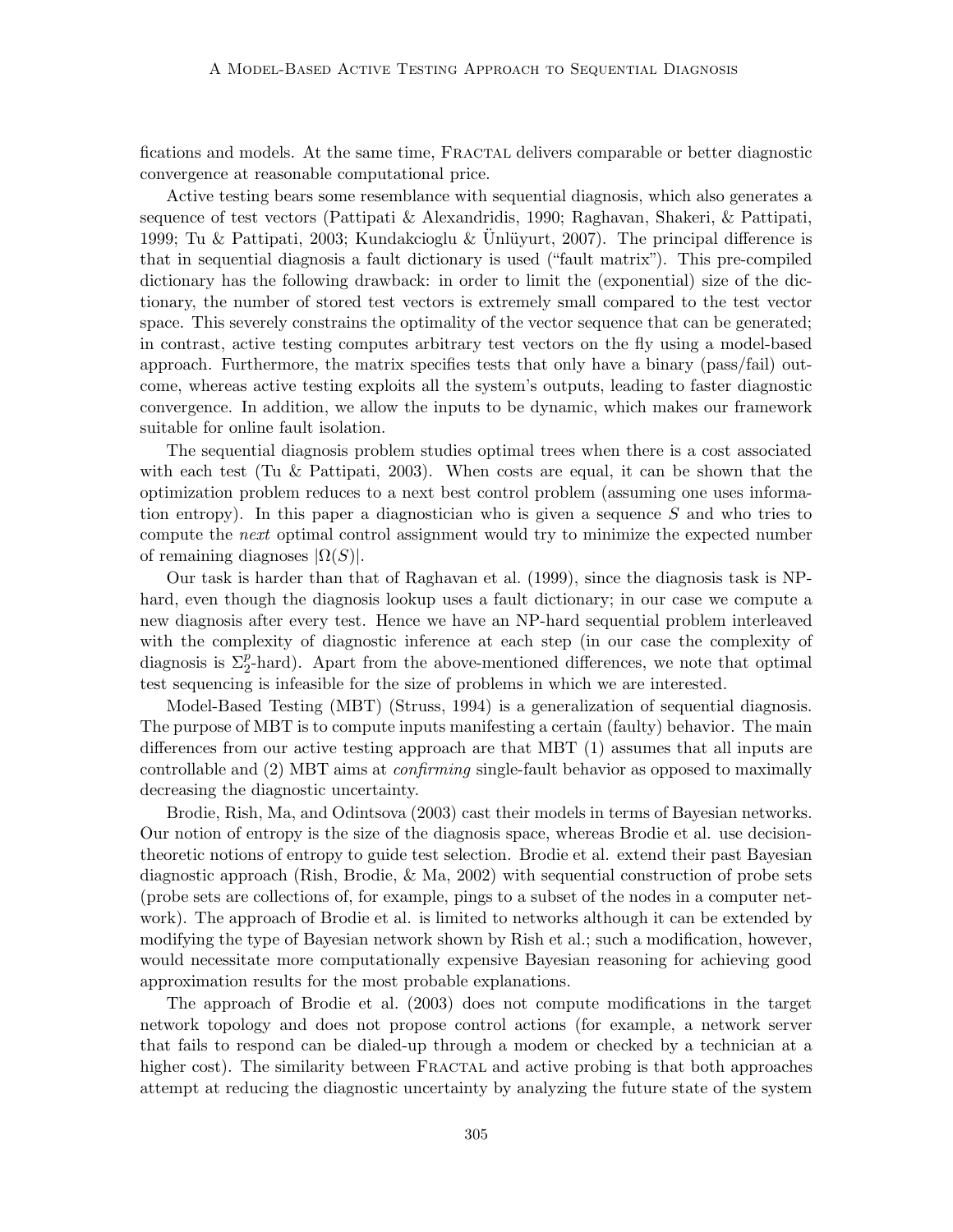fications and models. At the same time, FRACTAL delivers comparable or better diagnostic convergence at reasonable computational price.

Active testing bears some resemblance with sequential diagnosis, which also generates a sequence of test vectors (Pattipati & Alexandridis, 1990; Raghavan, Shakeri, & Pattipati, 1999; Tu & Pattipati, 2003; Kundakcioglu & Unlüyurt, 2007). The principal difference is that in sequential diagnosis a fault dictionary is used ("fault matrix"). This pre-compiled dictionary has the following drawback: in order to limit the (exponential) size of the dictionary, the number of stored test vectors is extremely small compared to the test vector space. This severely constrains the optimality of the vector sequence that can be generated; in contrast, active testing computes arbitrary test vectors on the fly using a model-based approach. Furthermore, the matrix specifies tests that only have a binary (pass/fail) outcome, whereas active testing exploits all the system's outputs, leading to faster diagnostic convergence. In addition, we allow the inputs to be dynamic, which makes our framework suitable for online fault isolation.

The sequential diagnosis problem studies optimal trees when there is a cost associated with each test (Tu & Pattipati, 2003). When costs are equal, it can be shown that the optimization problem reduces to a next best control problem (assuming one uses information entropy). In this paper a diagnostician who is given a sequence  $S$  and who tries to compute the next optimal control assignment would try to minimize the expected number of remaining diagnoses  $|\Omega(S)|$ .

Our task is harder than that of Raghavan et al. (1999), since the diagnosis task is NPhard, even though the diagnosis lookup uses a fault dictionary; in our case we compute a new diagnosis after every test. Hence we have an NP-hard sequential problem interleaved with the complexity of diagnostic inference at each step (in our case the complexity of diagnosis is  $\Sigma_2^p$ -hard). Apart from the above-mentioned differences, we note that optimal test sequencing is infeasible for the size of problems in which we are interested.

Model-Based Testing (MBT) (Struss, 1994) is a generalization of sequential diagnosis. The purpose of MBT is to compute inputs manifesting a certain (faulty) behavior. The main differences from our active testing approach are that MBT (1) assumes that all inputs are controllable and (2) MBT aims at confirming single-fault behavior as opposed to maximally decreasing the diagnostic uncertainty.

Brodie, Rish, Ma, and Odintsova (2003) cast their models in terms of Bayesian networks. Our notion of entropy is the size of the diagnosis space, whereas Brodie et al. use decisiontheoretic notions of entropy to guide test selection. Brodie et al. extend their past Bayesian diagnostic approach (Rish, Brodie, & Ma, 2002) with sequential construction of probe sets (probe sets are collections of, for example, pings to a subset of the nodes in a computer network). The approach of Brodie et al. is limited to networks although it can be extended by modifying the type of Bayesian network shown by Rish et al.; such a modification, however, would necessitate more computationally expensive Bayesian reasoning for achieving good approximation results for the most probable explanations.

The approach of Brodie et al. (2003) does not compute modifications in the target network topology and does not propose control actions (for example, a network server that fails to respond can be dialed-up through a modem or checked by a technician at a higher cost). The similarity between FRACTAL and active probing is that both approaches attempt at reducing the diagnostic uncertainty by analyzing the future state of the system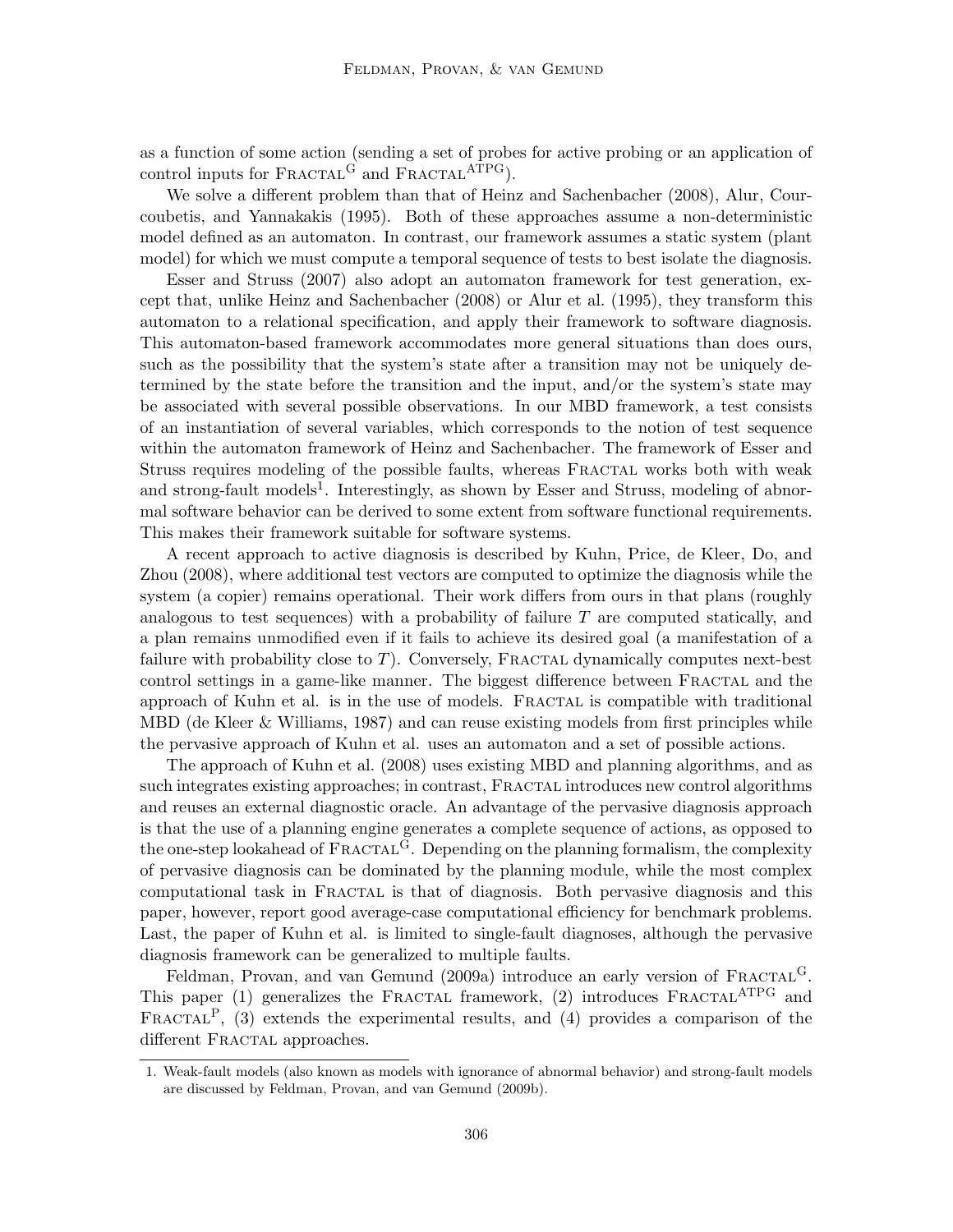as a function of some action (sending a set of probes for active probing or an application of control inputs for  $\textbf{FRACTAL}^G$  and  $\textbf{FRACTAL}^{\textbf{ATPG}}$ ).

We solve a different problem than that of Heinz and Sachenbacher (2008), Alur, Courcoubetis, and Yannakakis (1995). Both of these approaches assume a non-deterministic model defined as an automaton. In contrast, our framework assumes a static system (plant model) for which we must compute a temporal sequence of tests to best isolate the diagnosis.

Esser and Struss (2007) also adopt an automaton framework for test generation, except that, unlike Heinz and Sachenbacher (2008) or Alur et al. (1995), they transform this automaton to a relational specification, and apply their framework to software diagnosis. This automaton-based framework accommodates more general situations than does ours, such as the possibility that the system's state after a transition may not be uniquely determined by the state before the transition and the input, and/or the system's state may be associated with several possible observations. In our MBD framework, a test consists of an instantiation of several variables, which corresponds to the notion of test sequence within the automaton framework of Heinz and Sachenbacher. The framework of Esser and Struss requires modeling of the possible faults, whereas Fractal works both with weak and strong-fault models<sup>1</sup>. Interestingly, as shown by Esser and Struss, modeling of abnormal software behavior can be derived to some extent from software functional requirements. This makes their framework suitable for software systems.

A recent approach to active diagnosis is described by Kuhn, Price, de Kleer, Do, and Zhou (2008), where additional test vectors are computed to optimize the diagnosis while the system (a copier) remains operational. Their work differs from ours in that plans (roughly analogous to test sequences) with a probability of failure T are computed statically, and a plan remains unmodified even if it fails to achieve its desired goal (a manifestation of a failure with probability close to  $T$ ). Conversely, FRACTAL dynamically computes next-best control settings in a game-like manner. The biggest difference between Fractal and the approach of Kuhn et al. is in the use of models. FRACTAL is compatible with traditional MBD (de Kleer & Williams, 1987) and can reuse existing models from first principles while the pervasive approach of Kuhn et al. uses an automaton and a set of possible actions.

The approach of Kuhn et al. (2008) uses existing MBD and planning algorithms, and as such integrates existing approaches; in contrast, FRACTAL introduces new control algorithms and reuses an external diagnostic oracle. An advantage of the pervasive diagnosis approach is that the use of a planning engine generates a complete sequence of actions, as opposed to the one-step lookahead of  $\text{FRACTAL}^G$ . Depending on the planning formalism, the complexity of pervasive diagnosis can be dominated by the planning module, while the most complex computational task in Fractal is that of diagnosis. Both pervasive diagnosis and this paper, however, report good average-case computational efficiency for benchmark problems. Last, the paper of Kuhn et al. is limited to single-fault diagnoses, although the pervasive diagnosis framework can be generalized to multiple faults.

Feldman, Provan, and van Gemund (2009a) introduce an early version of  $FRACTAL<sup>G</sup>$ . This paper (1) generalizes the FRACTAL framework, (2) introduces  $\text{FRACTAL}^{\text{ATPG}}$  and FRACTAL<sup>P</sup>, (3) extends the experimental results, and (4) provides a comparison of the different FRACTAL approaches.

<sup>1.</sup> Weak-fault models (also known as models with ignorance of abnormal behavior) and strong-fault models are discussed by Feldman, Provan, and van Gemund (2009b).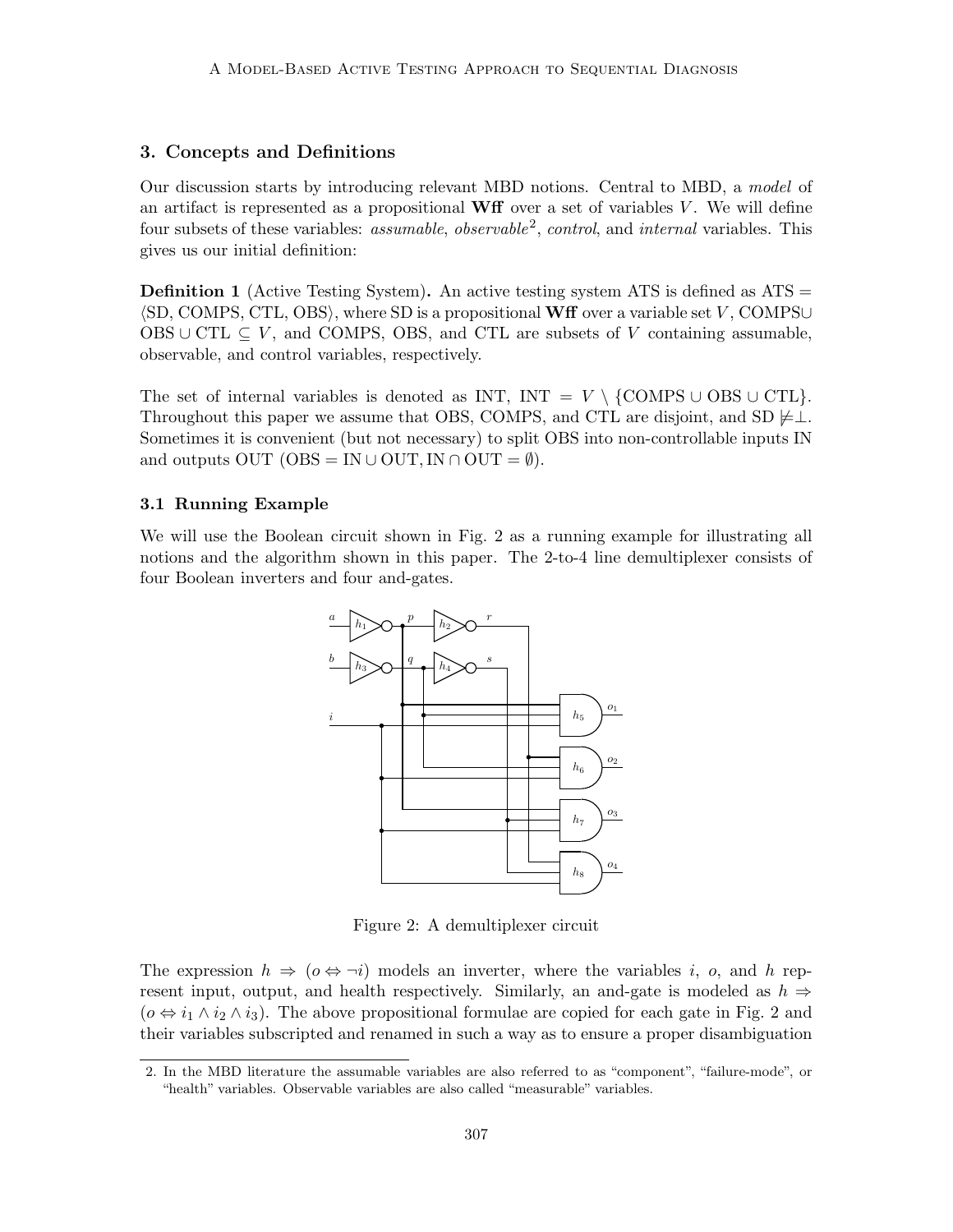# 3. Concepts and Definitions

Our discussion starts by introducing relevant MBD notions. Central to MBD, a model of an artifact is represented as a propositional  $\bf{W}$  for over a set of variables V. We will define four subsets of these variables: *assumable*, *observable*<sup>2</sup>, *control*, and *internal* variables. This gives us our initial definition:

**Definition 1** (Active Testing System). An active testing system ATS is defined as  $ATS =$  $\langle SD, COMPS, CTL, OBS \rangle$ , where SD is a propositional Wff over a variable set V, COMPS∪ OBS ∪ CTL  $\subseteq$  V, and COMPS, OBS, and CTL are subsets of V containing assumable, observable, and control variables, respectively.

The set of internal variables is denoted as INT, INT =  $V \setminus \{COMPS \cup OBS \cup CTL\}.$ Throughout this paper we assume that OBS, COMPS, and CTL are disjoint, and SD  $\neq \perp$ . Sometimes it is convenient (but not necessary) to split OBS into non-controllable inputs IN and outputs OUT (OBS = IN ∪ OUT, IN ∩ OUT =  $\emptyset$ ).

## 3.1 Running Example

We will use the Boolean circuit shown in Fig. 2 as a running example for illustrating all notions and the algorithm shown in this paper. The 2-to-4 line demultiplexer consists of four Boolean inverters and four and-gates.



Figure 2: A demultiplexer circuit

The expression  $h \Rightarrow (\rho \Leftrightarrow \neg i)$  models an inverter, where the variables i, o, and h represent input, output, and health respectively. Similarly, an and-gate is modeled as  $h \Rightarrow$  $(o \Leftrightarrow i_1 \wedge i_2 \wedge i_3)$ . The above propositional formulae are copied for each gate in Fig. 2 and their variables subscripted and renamed in such a way as to ensure a proper disambiguation

<sup>2.</sup> In the MBD literature the assumable variables are also referred to as "component", "failure-mode", or "health" variables. Observable variables are also called "measurable" variables.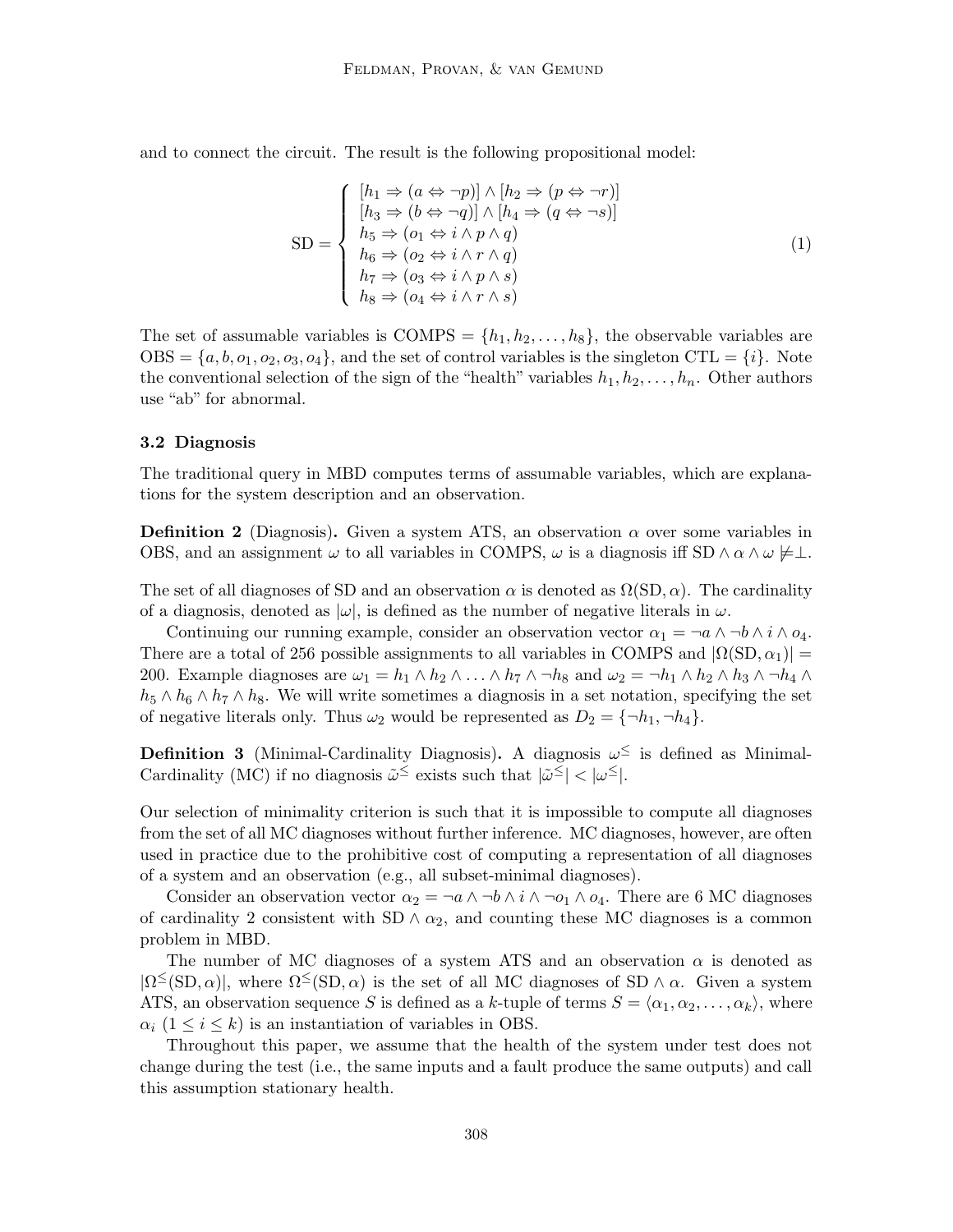and to connect the circuit. The result is the following propositional model:

$$
SD = \begin{cases} [h_1 \Rightarrow (a \Leftrightarrow \neg p)] \wedge [h_2 \Rightarrow (p \Leftrightarrow \neg r)] \\ [h_3 \Rightarrow (b \Leftrightarrow \neg q)] \wedge [h_4 \Rightarrow (q \Leftrightarrow \neg s)] \\ h_5 \Rightarrow (o_1 \Leftrightarrow i \wedge p \wedge q) \\ h_6 \Rightarrow (o_2 \Leftrightarrow i \wedge r \wedge q) \\ h_7 \Rightarrow (o_3 \Leftrightarrow i \wedge p \wedge s) \\ h_8 \Rightarrow (o_4 \Leftrightarrow i \wedge r \wedge s) \end{cases} \tag{1}
$$

The set of assumable variables is COMPS =  $\{h_1, h_2, \ldots, h_8\}$ , the observable variables are  $\text{OBS} = \{a, b, o_1, o_2, o_3, o_4\}$ , and the set of control variables is the singleton  $\text{CTL} = \{i\}$ . Note the conventional selection of the sign of the "health" variables  $h_1, h_2, \ldots, h_n$ . Other authors use "ab" for abnormal.

### 3.2 Diagnosis

The traditional query in MBD computes terms of assumable variables, which are explanations for the system description and an observation.

**Definition 2** (Diagnosis). Given a system ATS, an observation  $\alpha$  over some variables in OBS, and an assignment  $\omega$  to all variables in COMPS,  $\omega$  is a diagnosis iff SD  $\wedge \alpha \wedge \omega \neq \perp$ .

The set of all diagnoses of SD and an observation  $\alpha$  is denoted as  $\Omega(SD, \alpha)$ . The cardinality of a diagnosis, denoted as  $|\omega|$ , is defined as the number of negative literals in  $\omega$ .

Continuing our running example, consider an observation vector  $\alpha_1 = \neg a \wedge \neg b \wedge i \wedge o_4$ . There are a total of 256 possible assignments to all variables in COMPS and  $|\Omega(SD, \alpha_1)| =$ 200. Example diagnoses are  $\omega_1 = h_1 \wedge h_2 \wedge \ldots \wedge h_7 \wedge \neg h_8$  and  $\omega_2 = \neg h_1 \wedge h_2 \wedge h_3 \wedge \neg h_4 \wedge \neg h_5$  $h_5 \wedge h_6 \wedge h_7 \wedge h_8$ . We will write sometimes a diagnosis in a set notation, specifying the set of negative literals only. Thus  $\omega_2$  would be represented as  $D_2 = {\neg h_1, \neg h_4}$ .

**Definition 3** (Minimal-Cardinality Diagnosis). A diagnosis  $\omega^{\le}$  is defined as Minimal-Cardinality (MC) if no diagnosis  $\tilde{\omega}^{\le}$  exists such that  $|\tilde{\omega}^{\le}| < |\omega^{\le}|$ .

Our selection of minimality criterion is such that it is impossible to compute all diagnoses from the set of all MC diagnoses without further inference. MC diagnoses, however, are often used in practice due to the prohibitive cost of computing a representation of all diagnoses of a system and an observation (e.g., all subset-minimal diagnoses).

Consider an observation vector  $\alpha_2 = \neg a \wedge \neg b \wedge i \wedge \neg o_1 \wedge o_4$ . There are 6 MC diagnoses of cardinality 2 consistent with SD  $\land \alpha_2$ , and counting these MC diagnoses is a common problem in MBD.

The number of MC diagnoses of a system ATS and an observation  $\alpha$  is denoted as  $|\Omega^{\leq}(\text{SD}, \alpha)|$ , where  $\Omega^{\leq}(\text{SD}, \alpha)$  is the set of all MC diagnoses of SD  $\wedge \alpha$ . Given a system ATS, an observation sequence S is defined as a k-tuple of terms  $S = \langle \alpha_1, \alpha_2, \ldots, \alpha_k \rangle$ , where  $\alpha_i$  (1  $\leq i \leq k$ ) is an instantiation of variables in OBS.

Throughout this paper, we assume that the health of the system under test does not change during the test (i.e., the same inputs and a fault produce the same outputs) and call this assumption stationary health.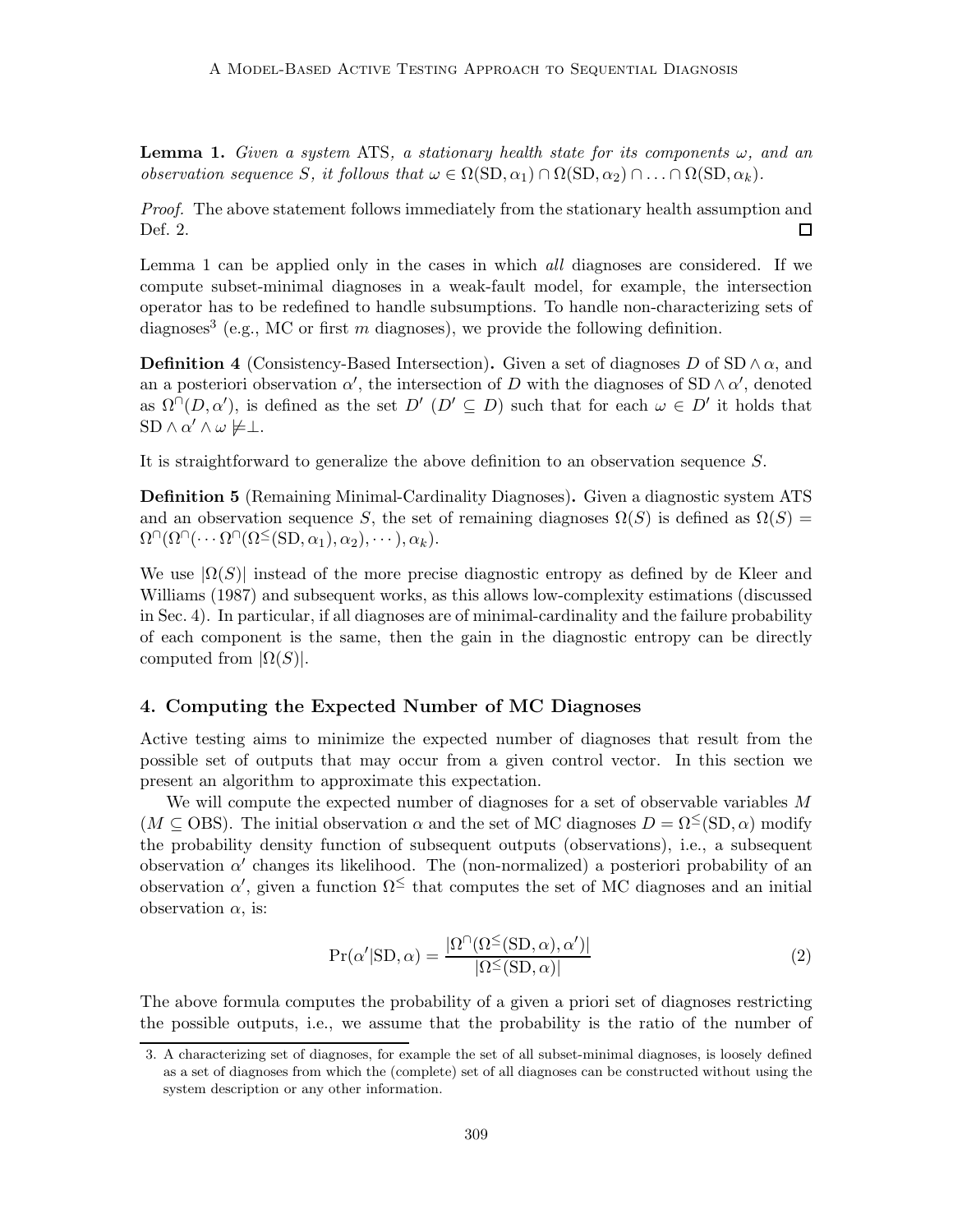**Lemma 1.** Given a system ATS, a stationary health state for its components  $\omega$ , and an observation sequence S, it follows that  $\omega \in \Omega(SD, \alpha_1) \cap \Omega(SD, \alpha_2) \cap \ldots \cap \Omega(SD, \alpha_k)$ .

Proof. The above statement follows immediately from the stationary health assumption and Def. 2. 囗

Lemma 1 can be applied only in the cases in which *all* diagnoses are considered. If we compute subset-minimal diagnoses in a weak-fault model, for example, the intersection operator has to be redefined to handle subsumptions. To handle non-characterizing sets of diagnoses<sup>3</sup> (e.g., MC or first m diagnoses), we provide the following definition.

**Definition 4** (Consistency-Based Intersection). Given a set of diagnoses D of  $SD \wedge \alpha$ , and an a posteriori observation  $\alpha'$ , the intersection of D with the diagnoses of SD  $\land \alpha'$ , denoted as  $\Omega^{\cap}(D,\alpha')$ , is defined as the set  $D'$  ( $D' \subseteq D$ ) such that for each  $\omega \in D'$  it holds that  $SD \wedge \alpha' \wedge \omega \not\models \perp.$ 

It is straightforward to generalize the above definition to an observation sequence S.

Definition 5 (Remaining Minimal-Cardinality Diagnoses). Given a diagnostic system ATS and an observation sequence S, the set of remaining diagnoses  $\Omega(S)$  is defined as  $\Omega(S)$  =  $\Omega^{\cap}(\Omega^{\cap}(\cdots \Omega^{\cap}(\Omega^{\leq}(\mathrm{SD}, \alpha_1), \alpha_2), \cdots), \alpha_k).$ 

We use  $|\Omega(S)|$  instead of the more precise diagnostic entropy as defined by de Kleer and Williams (1987) and subsequent works, as this allows low-complexity estimations (discussed in Sec. 4). In particular, if all diagnoses are of minimal-cardinality and the failure probability of each component is the same, then the gain in the diagnostic entropy can be directly computed from  $|\Omega(S)|$ .

## 4. Computing the Expected Number of MC Diagnoses

Active testing aims to minimize the expected number of diagnoses that result from the possible set of outputs that may occur from a given control vector. In this section we present an algorithm to approximate this expectation.

We will compute the expected number of diagnoses for a set of observable variables M  $(M \subseteq \text{OBS})$ . The initial observation  $\alpha$  and the set of MC diagnoses  $D = \Omega^{\leq}(\text{SD}, \alpha)$  modify the probability density function of subsequent outputs (observations), i.e., a subsequent observation  $\alpha'$  changes its likelihood. The (non-normalized) a posteriori probability of an observation  $\alpha'$ , given a function  $\Omega^{\leq}$  that computes the set of MC diagnoses and an initial observation  $\alpha$ , is:

$$
Pr(\alpha' | SD, \alpha) = \frac{|\Omega^{\cap}(\Omega^{\leq}(SD, \alpha), \alpha')|}{|\Omega^{\leq}(SD, \alpha)|}
$$
(2)

The above formula computes the probability of a given a priori set of diagnoses restricting the possible outputs, i.e., we assume that the probability is the ratio of the number of

<sup>3.</sup> A characterizing set of diagnoses, for example the set of all subset-minimal diagnoses, is loosely defined as a set of diagnoses from which the (complete) set of all diagnoses can be constructed without using the system description or any other information.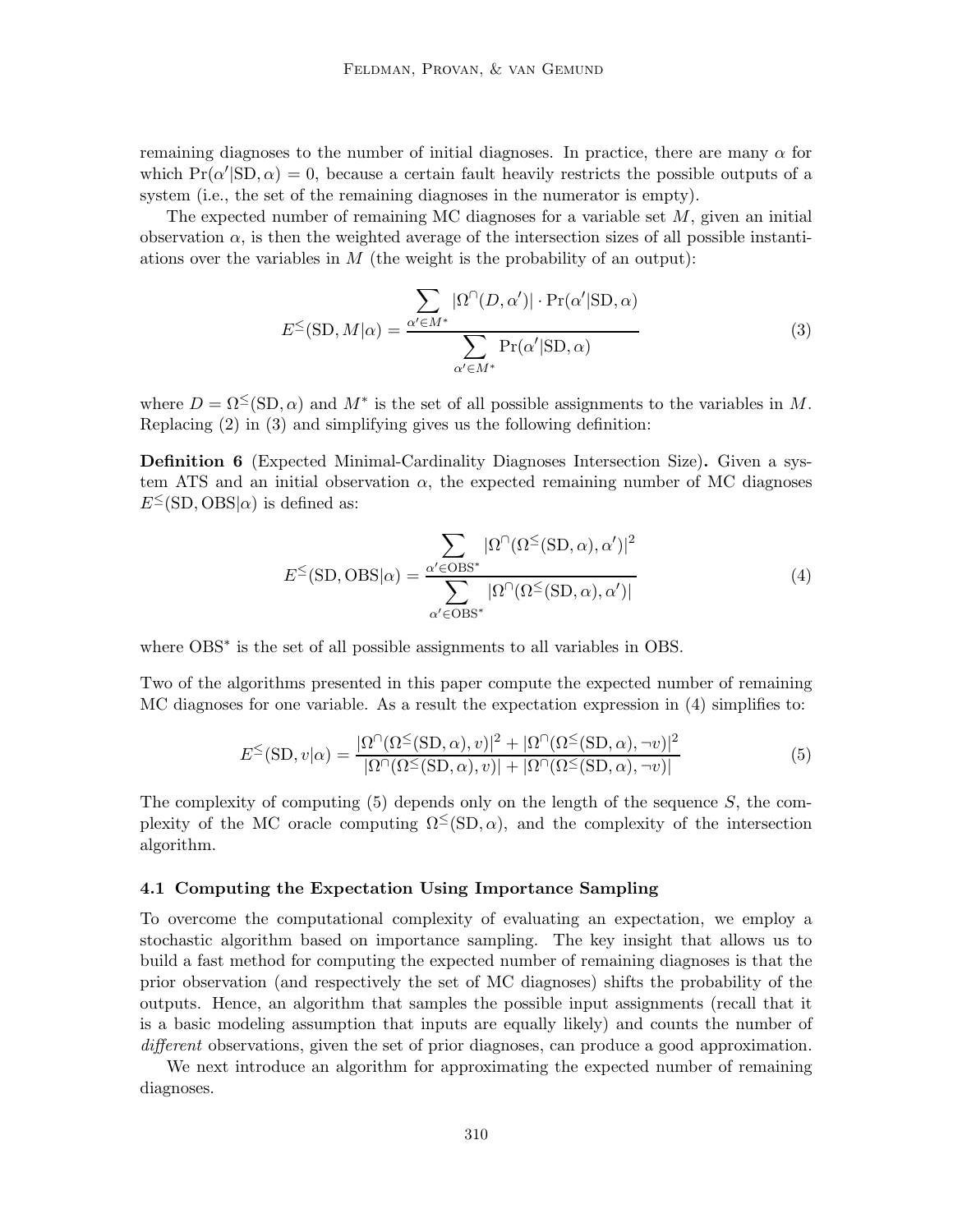remaining diagnoses to the number of initial diagnoses. In practice, there are many  $\alpha$  for which  $Pr(\alpha' | SD, \alpha) = 0$ , because a certain fault heavily restricts the possible outputs of a system (i.e., the set of the remaining diagnoses in the numerator is empty).

The expected number of remaining MC diagnoses for a variable set  $M$ , given an initial observation  $\alpha$ , is then the weighted average of the intersection sizes of all possible instantiations over the variables in  $M$  (the weight is the probability of an output):

$$
E^{\leq}(\text{SD}, M|\alpha) = \frac{\sum_{\alpha' \in M^*} |\Omega^{\cap}(D, \alpha')| \cdot \Pr(\alpha'|\text{SD}, \alpha)}{\sum_{\alpha' \in M^*} \Pr(\alpha'|\text{SD}, \alpha)}
$$
(3)

where  $D = \Omega^{\leq}(\text{SD}, \alpha)$  and  $M^*$  is the set of all possible assignments to the variables in M. Replacing (2) in (3) and simplifying gives us the following definition:

Definition 6 (Expected Minimal-Cardinality Diagnoses Intersection Size). Given a system ATS and an initial observation  $\alpha$ , the expected remaining number of MC diagnoses  $E^{\leq}(\text{SD}, \text{OBS}|\alpha)$  is defined as:

$$
E^{\leq}(\text{SD}, \text{OBS}|\alpha) = \frac{\sum_{\alpha' \in \text{OBS}^*} |\Omega^{\cap}(\Omega^{\leq}(\text{SD}, \alpha), \alpha')|^2}{\sum_{\alpha' \in \text{OBS}^*} |\Omega^{\cap}(\Omega^{\leq}(\text{SD}, \alpha), \alpha')|}
$$
(4)

where OBS<sup>\*</sup> is the set of all possible assignments to all variables in OBS.

Two of the algorithms presented in this paper compute the expected number of remaining MC diagnoses for one variable. As a result the expectation expression in (4) simplifies to:

$$
E^{\leq}(\text{SD}, v|\alpha) = \frac{|\Omega^{\cap}(\Omega^{\leq}(\text{SD}, \alpha), v)|^2 + |\Omega^{\cap}(\Omega^{\leq}(\text{SD}, \alpha), \neg v)|^2}{|\Omega^{\cap}(\Omega^{\leq}(\text{SD}, \alpha), v)| + |\Omega^{\cap}(\Omega^{\leq}(\text{SD}, \alpha), \neg v)|}
$$
(5)

The complexity of computing  $(5)$  depends only on the length of the sequence S, the complexity of the MC oracle computing  $\Omega^{\leq}(\text{SD}, \alpha)$ , and the complexity of the intersection algorithm.

# 4.1 Computing the Expectation Using Importance Sampling

To overcome the computational complexity of evaluating an expectation, we employ a stochastic algorithm based on importance sampling. The key insight that allows us to build a fast method for computing the expected number of remaining diagnoses is that the prior observation (and respectively the set of MC diagnoses) shifts the probability of the outputs. Hence, an algorithm that samples the possible input assignments (recall that it is a basic modeling assumption that inputs are equally likely) and counts the number of different observations, given the set of prior diagnoses, can produce a good approximation.

We next introduce an algorithm for approximating the expected number of remaining diagnoses.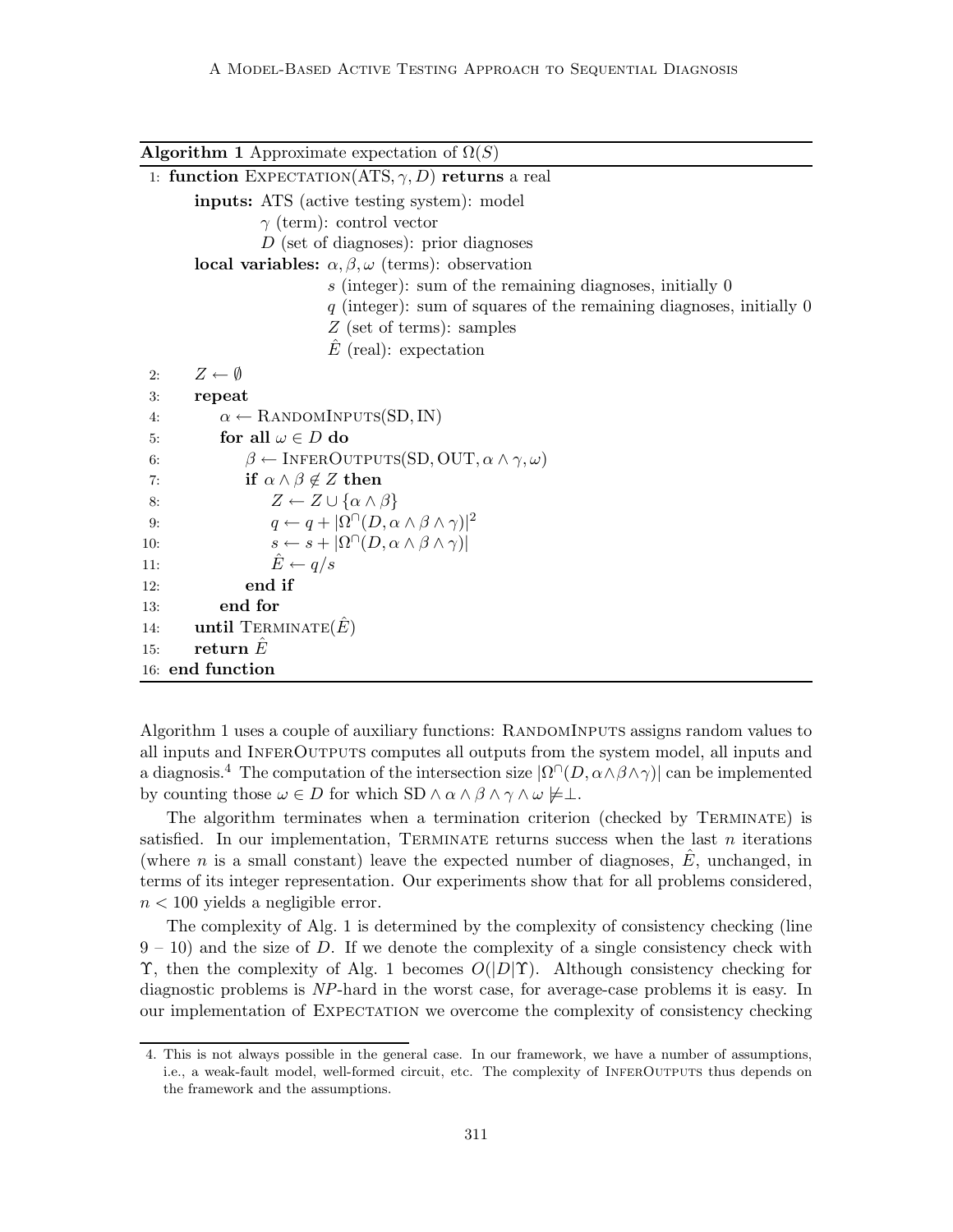| <b>Algorithm 1</b> Approximate expectation of $\Omega(S)$                        |
|----------------------------------------------------------------------------------|
| 1: function EXPECTATION(ATS, $\gamma$ , D) returns a real                        |
| <b>inputs:</b> ATS (active testing system): model                                |
| $\gamma$ (term): control vector                                                  |
| $D$ (set of diagnoses): prior diagnoses                                          |
| local variables: $\alpha, \beta, \omega$ (terms): observation                    |
| $s$ (integer): sum of the remaining diagnoses, initially $0$                     |
| $q$ (integer): sum of squares of the remaining diagnoses, initially 0            |
| $Z$ (set of terms): samples                                                      |
| $\hat{E}$ (real): expectation                                                    |
| $Z \leftarrow \emptyset$<br>2:                                                   |
| repeat<br>3:                                                                     |
| $\alpha \leftarrow$ RANDOMINPUTS(SD, IN)<br>4:                                   |
| for all $\omega \in D$ do<br>5:                                                  |
| $\beta \leftarrow$ INFEROUTPUTS(SD, OUT, $\alpha \wedge \gamma, \omega$ )<br>6:  |
| if $\alpha \wedge \beta \notin Z$ then<br>7:                                     |
| $Z \leftarrow Z \cup {\alpha \wedge \beta}$<br>8:                                |
| $q \leftarrow q +  \Omega^{\cap}(D, \alpha \wedge \beta \wedge \gamma) ^2$<br>9: |
| $s \leftarrow s +  \Omega^{\cap}(D, \alpha \wedge \beta \wedge \gamma) $<br>10:  |
| $\hat{E} \leftarrow q/s$<br>11:                                                  |
| end if<br>12:                                                                    |
| end for<br>13:                                                                   |
| until TERMINATE $(E)$<br>14:                                                     |
| return $E$<br>15:                                                                |
| 16: end function                                                                 |

Algorithm 1 uses a couple of auxiliary functions: RANDOMINPUTS assigns random values to all inputs and InferOutputs computes all outputs from the system model, all inputs and a diagnosis.<sup>4</sup> The computation of the intersection size  $|\Omega^{\cap}(D, \alpha \wedge \beta \wedge \gamma)|$  can be implemented by counting those  $\omega \in D$  for which SD  $\wedge \alpha \wedge \beta \wedge \gamma \wedge \omega \not\models \bot$ .

The algorithm terminates when a termination criterion (checked by Terminate) is satisfied. In our implementation, TERMINATE returns success when the last  $n$  iterations (where n is a small constant) leave the expected number of diagnoses,  $\hat{E}$ , unchanged, in terms of its integer representation. Our experiments show that for all problems considered,  $n < 100$  yields a negligible error.

The complexity of Alg. 1 is determined by the complexity of consistency checking (line  $9 - 10$ ) and the size of D. If we denote the complexity of a single consistency check with Υ, then the complexity of Alg. 1 becomes  $O(|D|Y)$ . Although consistency checking for diagnostic problems is NP-hard in the worst case, for average-case problems it is easy. In our implementation of Expectation we overcome the complexity of consistency checking

<sup>4.</sup> This is not always possible in the general case. In our framework, we have a number of assumptions, i.e., a weak-fault model, well-formed circuit, etc. The complexity of InferOutputs thus depends on the framework and the assumptions.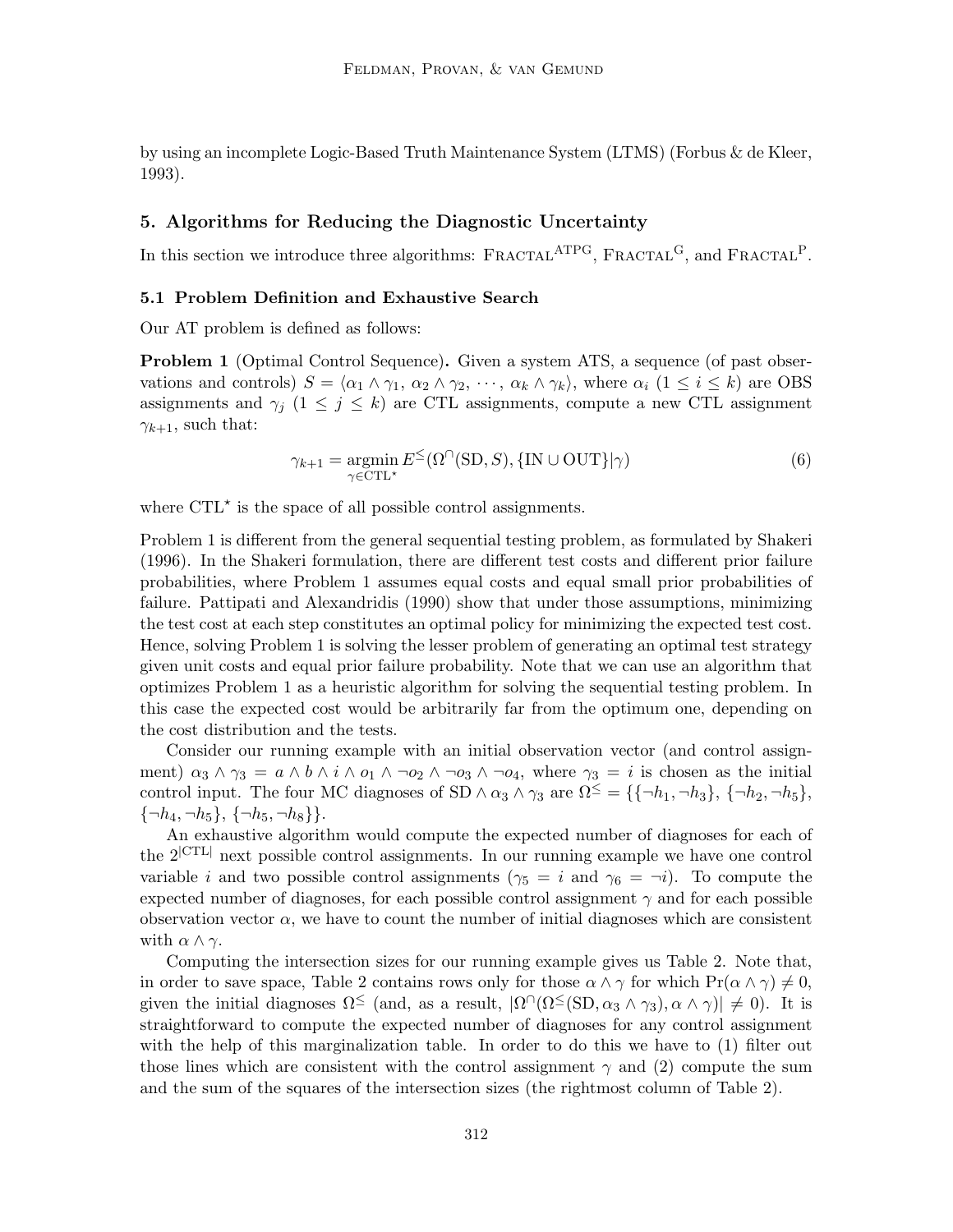by using an incomplete Logic-Based Truth Maintenance System (LTMS) (Forbus & de Kleer, 1993).

# 5. Algorithms for Reducing the Diagnostic Uncertainty

In this section we introduce three algorithms:  $FRACTAL^{ATPG}$ ,  $FRACTAL<sup>G</sup>$ , and  $FRACTAL<sup>P</sup>$ .

# 5.1 Problem Definition and Exhaustive Search

Our AT problem is defined as follows:

**Problem 1** (Optimal Control Sequence). Given a system ATS, a sequence (of past observations and controls)  $S = \langle \alpha_1 \wedge \gamma_1, \alpha_2 \wedge \gamma_2, \cdots, \alpha_k \wedge \gamma_k \rangle$ , where  $\alpha_i$   $(1 \le i \le k)$  are OBS assignments and  $\gamma_i$  (1  $\leq$  j  $\leq$  k) are CTL assignments, compute a new CTL assignment  $\gamma_{k+1}$ , such that:

$$
\gamma_{k+1} = \operatorname*{argmin}_{\gamma \in \text{CTL}^{\star}} E^{\leq}(\Omega^{\cap}(\text{SD}, S), \{\text{IN} \cup \text{OUT}\}|\gamma)
$$
(6)

where  $\text{CTL}^{\star}$  is the space of all possible control assignments.

Problem 1 is different from the general sequential testing problem, as formulated by Shakeri (1996). In the Shakeri formulation, there are different test costs and different prior failure probabilities, where Problem 1 assumes equal costs and equal small prior probabilities of failure. Pattipati and Alexandridis (1990) show that under those assumptions, minimizing the test cost at each step constitutes an optimal policy for minimizing the expected test cost. Hence, solving Problem 1 is solving the lesser problem of generating an optimal test strategy given unit costs and equal prior failure probability. Note that we can use an algorithm that optimizes Problem 1 as a heuristic algorithm for solving the sequential testing problem. In this case the expected cost would be arbitrarily far from the optimum one, depending on the cost distribution and the tests.

Consider our running example with an initial observation vector (and control assignment)  $\alpha_3 \wedge \gamma_3 = a \wedge b \wedge i \wedge o_1 \wedge \neg o_2 \wedge \neg o_3 \wedge \neg o_4$ , where  $\gamma_3 = i$  is chosen as the initial control input. The four MC diagnoses of SD  $\wedge \alpha_3 \wedge \gamma_3$  are  $\Omega^{\leq} = {\{\{\neg h_1, \neg h_3\}, \{\neg h_2, \neg h_5\},\}$  $\{\neg h_4, \neg h_5\}, \{\neg h_5, \neg h_8\}\}.$ 

An exhaustive algorithm would compute the expected number of diagnoses for each of the 2|CTL<sup>|</sup> next possible control assignments. In our running example we have one control variable i and two possible control assignments ( $\gamma_5 = i$  and  $\gamma_6 = -i$ ). To compute the expected number of diagnoses, for each possible control assignment  $\gamma$  and for each possible observation vector  $\alpha$ , we have to count the number of initial diagnoses which are consistent with  $\alpha \wedge \gamma$ .

Computing the intersection sizes for our running example gives us Table 2. Note that, in order to save space, Table 2 contains rows only for those  $\alpha \wedge \gamma$  for which  $Pr(\alpha \wedge \gamma) \neq 0$ , given the initial diagnoses  $\Omega \leq \text{(and, as a result, } |\Omega| \cdot (\Omega \leq (SD, \alpha_3 \wedge \gamma_3), \alpha \wedge \gamma)| \neq 0).$  It is straightforward to compute the expected number of diagnoses for any control assignment with the help of this marginalization table. In order to do this we have to (1) filter out those lines which are consistent with the control assignment  $\gamma$  and (2) compute the sum and the sum of the squares of the intersection sizes (the rightmost column of Table 2).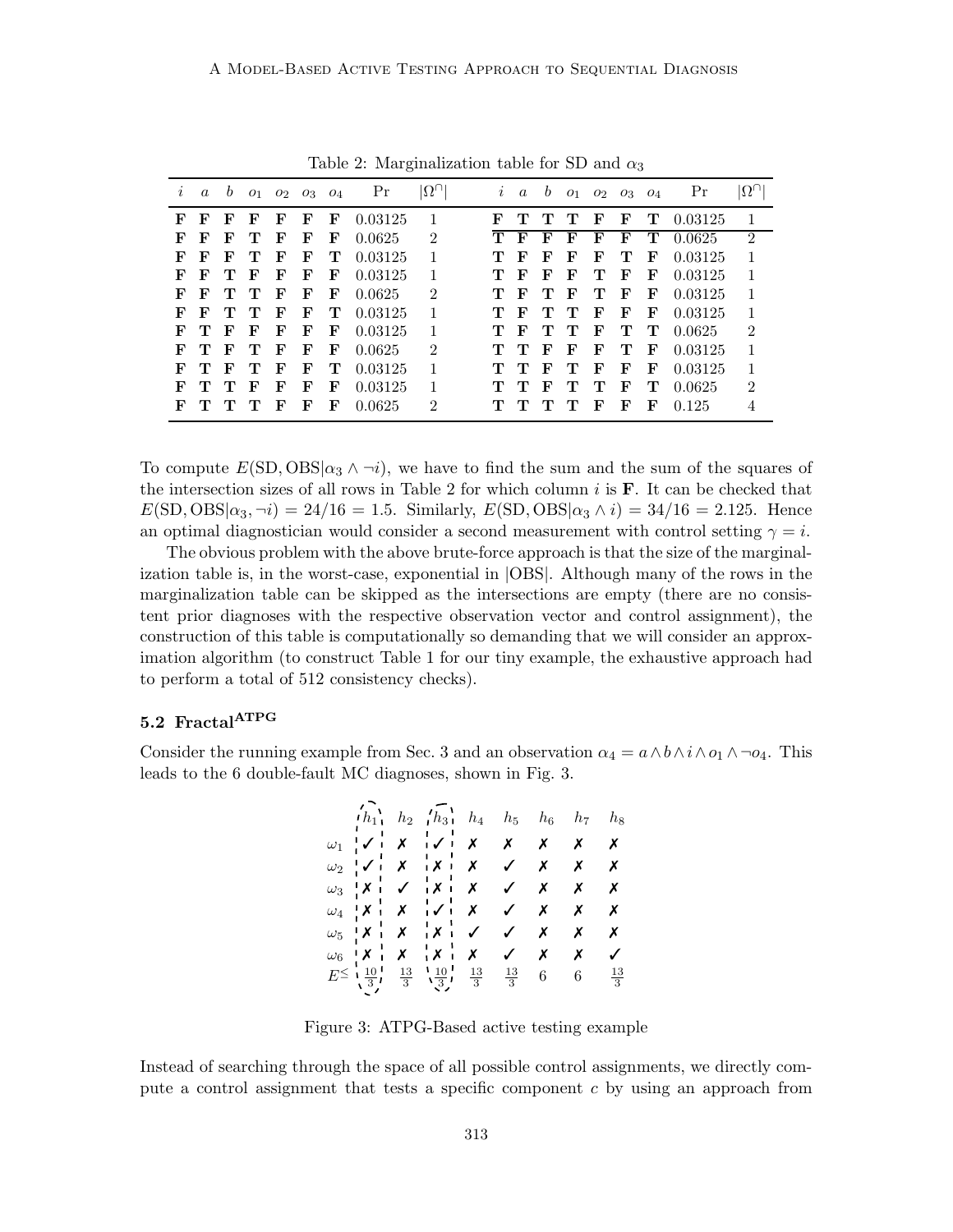| $\imath$ | $\boldsymbol{a}$ | b            |   |   | $01 \quad 02 \quad 03 \quad 04$ |   | Pr      | $ \Omega_{\rm U} $          | $\imath$ | $\alpha$     | b |              |   | $01 \quad 02 \quad 03 \quad 04$ |   | Pr      | $ \Omega^{\cap} $ |
|----------|------------------|--------------|---|---|---------------------------------|---|---------|-----------------------------|----------|--------------|---|--------------|---|---------------------------------|---|---------|-------------------|
| F        | F                | F            | F | F | F                               | F | 0.03125 |                             | F        |              |   |              | F | F                               | т | 0.03125 | 1                 |
| F        | F                | F            | т | F | F                               | F | 0.0625  | $\mathfrak{D}$              | т        | F            | F | F            | F | F                               | т | 0.0625  | $\mathfrak{D}$    |
| F        | F                | F            | т | F | F                               | т | 0.03125 | 1                           |          | F            | F | F            | F | т                               | F | 0.03125 | 1                 |
| F        | F                | т            | F | F | F                               | F | 0.03125 | 1                           |          | $\mathbf{F}$ | F | F            | т | $\mathbf{F}$                    | F | 0.03125 | 1                 |
| F        | F                | т            | т | F | F                               | F | 0.0625  | $\mathfrak{D}$              |          | F            | т | $\mathbf{F}$ | т | $\mathbf{F}$                    | F | 0.03125 | 1                 |
| F        | F                | т            | т | F | F                               | т | 0.03125 | 1                           |          | F            |   | т            | F | F                               | F | 0.03125 |                   |
| F        | т                | F            | F | F | F                               | F | 0.03125 | 1                           |          | F            | т | т            | F | т                               | т | 0.0625  | $\overline{2}$    |
| F        | т                | $\mathbf{F}$ | т | F | F                               | F | 0.0625  | $\mathcal{D}_{\mathcal{L}}$ | T        | т            | F | F            | F | т                               | F | 0.03125 | 1                 |
| F        | т                | F            | т | F | F                               | т | 0.03125 | 1                           |          | т            | F | т            | F | F                               | F | 0.03125 | 1                 |
| F        |                  | т            | F | F | F                               | F | 0.03125 | 1                           |          |              | F | т            | т | F                               | т | 0.0625  | 2                 |
| F        | T                |              | т | F | F                               | F | 0.0625  | $\mathfrak{D}$              |          |              |   |              | F | F                               | F | 0.125   | 4                 |

Table 2: Marginalization table for SD and  $\alpha_3$ 

To compute  $E(SD, OBS|\alpha_3 \wedge \neg i)$ , we have to find the sum and the sum of the squares of the intersection sizes of all rows in Table 2 for which column  $i$  is  $\bf{F}$ . It can be checked that  $E(SD, OBS|\alpha_3, \neg i) = 24/16 = 1.5$ . Similarly,  $E(SD, OBS|\alpha_3 \wedge i) = 34/16 = 2.125$ . Hence an optimal diagnostician would consider a second measurement with control setting  $\gamma = i$ .

The obvious problem with the above brute-force approach is that the size of the marginalization table is, in the worst-case, exponential in |OBS|. Although many of the rows in the marginalization table can be skipped as the intersections are empty (there are no consistent prior diagnoses with the respective observation vector and control assignment), the construction of this table is computationally so demanding that we will consider an approximation algorithm (to construct Table 1 for our tiny example, the exhaustive approach had to perform a total of 512 consistency checks).

# 5.2 Fractal<sup>ATPG</sup>

Consider the running example from Sec. 3 and an observation  $\alpha_4 = a \wedge b \wedge i \wedge o_1 \wedge \neg o_4$ . This leads to the 6 double-fault MC diagnoses, shown in Fig. 3.

|  | $\overline{h_{11}}$ $h_2$ $\overline{h_{31}}$ $h_4$ $h_5$ $h_6$ $h_7$ $h_8$                                                                                                                                                                                                                                                                                                                                                                                                                    |  |                  |                  |                |
|--|------------------------------------------------------------------------------------------------------------------------------------------------------------------------------------------------------------------------------------------------------------------------------------------------------------------------------------------------------------------------------------------------------------------------------------------------------------------------------------------------|--|------------------|------------------|----------------|
|  | $\omega_1$ $\downarrow$ $\downarrow$ $\downarrow$ $\downarrow$ $\downarrow$ $\downarrow$ $\downarrow$ $\downarrow$ $\downarrow$ $\downarrow$ $\downarrow$ $\downarrow$ $\downarrow$ $\downarrow$ $\downarrow$ $\downarrow$ $\downarrow$ $\downarrow$ $\downarrow$ $\downarrow$ $\downarrow$ $\downarrow$ $\downarrow$ $\downarrow$ $\downarrow$ $\downarrow$ $\downarrow$ $\downarrow$ $\downarrow$ $\downarrow$ $\downarrow$ $\downarrow$ $\downarrow$ $\downarrow$ $\downarrow$ $\downarrow$ |  |                  |                  |                |
|  | $\omega_2$ $\sqrt{X}$ $X$ $X$ $X$ $X$ $X$ $X$                                                                                                                                                                                                                                                                                                                                                                                                                                                  |  |                  |                  |                |
|  | $\omega_3$ $\begin{array}{c cccccc}\n x & x & x & x & x & x & x\n\end{array}$                                                                                                                                                                                                                                                                                                                                                                                                                  |  |                  |                  |                |
|  | $\omega_4$ $\mathsf{X}$ $\mathsf{X}$ $\mathsf{Y}$ $\mathsf{X}$ $\mathsf{X}$ $\mathsf{Y}$ $\mathsf{X}$ $\mathsf{X}$ $\mathsf{X}$                                                                                                                                                                                                                                                                                                                                                                |  |                  |                  |                |
|  | $\omega_5$ $\begin{array}{c c} \n\downarrow \nX & X & X & \n\end{array}$                                                                                                                                                                                                                                                                                                                                                                                                                       |  | $\checkmark$ x x |                  | $\pmb{\times}$ |
|  | $\omega_6$ $\begin{array}{c ccccc}\n & X & X & X & X & X & \checkmark\n\end{array}$                                                                                                                                                                                                                                                                                                                                                                                                            |  |                  | $\boldsymbol{X}$ | $\sqrt{2}$     |
|  | $E^{\leq}$ $\frac{10}{3}$ , $\frac{13}{3}$ $\frac{10}{3}$ , $\frac{10}{3}$ , $\frac{13}{3}$ $\frac{13}{3}$ 6 6                                                                                                                                                                                                                                                                                                                                                                                 |  |                  |                  | $\frac{13}{3}$ |

Figure 3: ATPG-Based active testing example

Instead of searching through the space of all possible control assignments, we directly compute a control assignment that tests a specific component c by using an approach from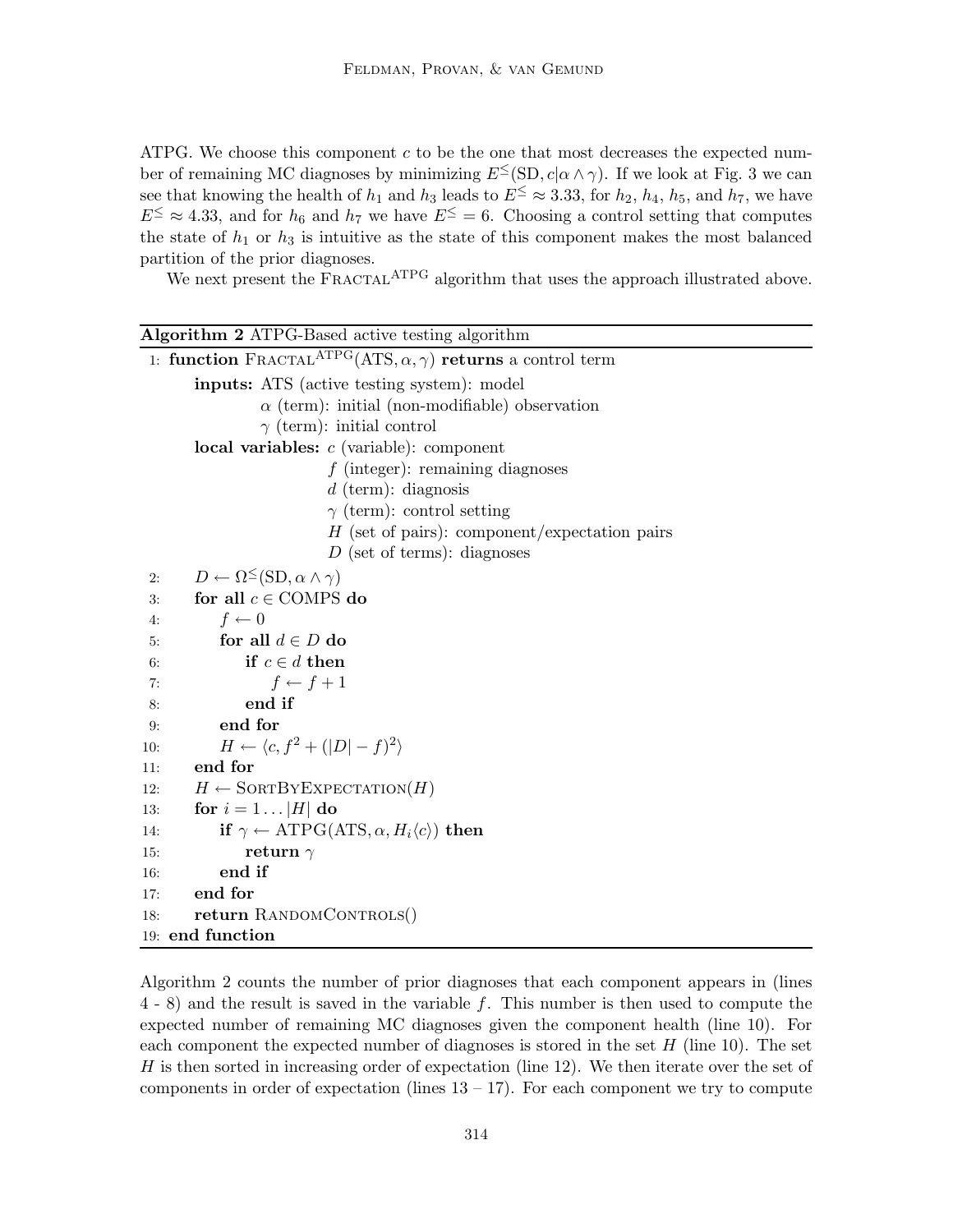ATPG. We choose this component  $c$  to be the one that most decreases the expected number of remaining MC diagnoses by minimizing  $E^{\leq}(\text{SD}, c | \alpha \wedge \gamma)$ . If we look at Fig. 3 we can see that knowing the health of  $h_1$  and  $h_3$  leads to  $E^{\leq} \approx 3.33$ , for  $h_2$ ,  $h_4$ ,  $h_5$ , and  $h_7$ , we have  $E^{\leq} \approx 4.33$ , and for  $h_6$  and  $h_7$  we have  $E^{\leq} = 6$ . Choosing a control setting that computes the state of  $h_1$  or  $h_3$  is intuitive as the state of this component makes the most balanced partition of the prior diagnoses.

We next present the FRACTAL<sup>ATPG</sup> algorithm that uses the approach illustrated above.

| Algorithm 2 ATPG-Based active testing algorithm                                           |
|-------------------------------------------------------------------------------------------|
| 1: function FRACTAL <sup>ATPG</sup> (ATS, $\alpha$ , $\gamma$ ) returns a control term    |
| <b>inputs:</b> ATS (active testing system): model                                         |
| $\alpha$ (term): initial (non-modifiable) observation                                     |
| $\gamma$ (term): initial control                                                          |
| local variables: $c$ (variable): component                                                |
| $f$ (integer): remaining diagnoses                                                        |
| $d$ (term): diagnosis                                                                     |
| $\gamma$ (term): control setting                                                          |
| $H$ (set of pairs): component/expectation pairs                                           |
| $D$ (set of terms): diagnoses                                                             |
| $D \leftarrow \Omega^{\leq}(\mathrm{SD}, \alpha \wedge \gamma)$<br>2:                     |
| for all $c \in$ COMPS do<br>3:                                                            |
| $f \leftarrow 0$<br>4:                                                                    |
| for all $d \in D$ do<br>5:                                                                |
| if $c \in d$ then<br>6:                                                                   |
| $f \leftarrow f + 1$<br>7:                                                                |
| end if<br>8:                                                                              |
| end for<br>9:                                                                             |
| $H \leftarrow \langle c, f^2 + ( D  - f)^2 \rangle$<br>10:                                |
| end for<br>11:                                                                            |
| $H \leftarrow$ SORTBY EXPECTATION(H)<br>12:                                               |
| for $i = 1 \dots  H $ do<br>13:                                                           |
| if $\gamma \leftarrow \text{ATPG}(\text{ATS}, \alpha, H_i \langle c \rangle)$ then<br>14: |
| return $\gamma$<br>15:                                                                    |
| end if<br>16:                                                                             |
| end for<br>17:                                                                            |
| return RANDOMCONTROLS()<br>18:                                                            |
| 19: end function                                                                          |

Algorithm 2 counts the number of prior diagnoses that each component appears in (lines  $(4 - 8)$  and the result is saved in the variable f. This number is then used to compute the expected number of remaining MC diagnoses given the component health (line 10). For each component the expected number of diagnoses is stored in the set  $H$  (line 10). The set  $H$  is then sorted in increasing order of expectation (line 12). We then iterate over the set of components in order of expectation (lines  $13 - 17$ ). For each component we try to compute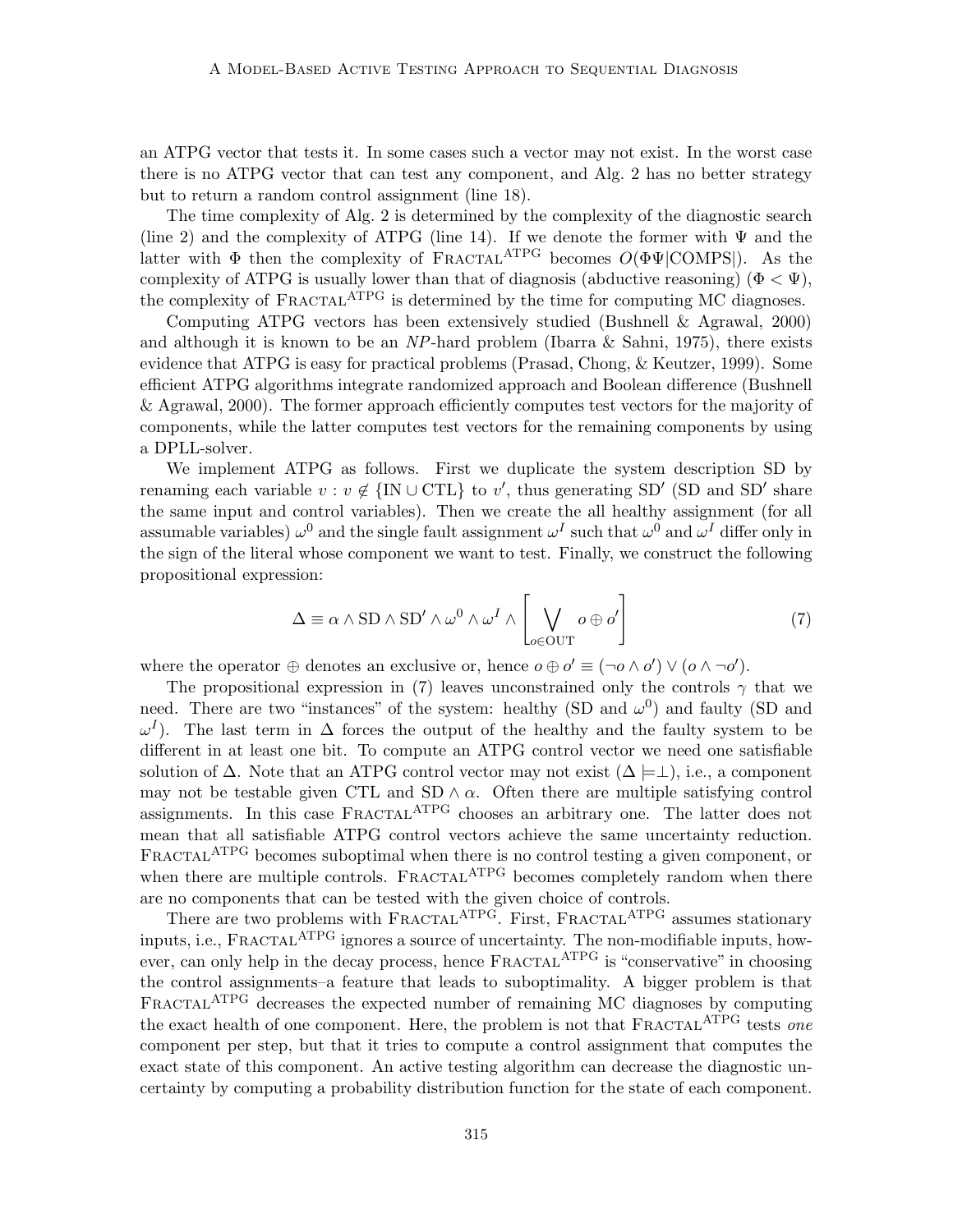an ATPG vector that tests it. In some cases such a vector may not exist. In the worst case there is no ATPG vector that can test any component, and Alg. 2 has no better strategy but to return a random control assignment (line 18).

The time complexity of Alg. 2 is determined by the complexity of the diagnostic search (line 2) and the complexity of ATPG (line 14). If we denote the former with  $\Psi$  and the latter with  $\Phi$  then the complexity of FRACTAL<sup>ATPG</sup> becomes  $O(\Phi\Psi|COMPS|)$ . As the complexity of ATPG is usually lower than that of diagnosis (abductive reasoning) ( $\Phi < \Psi$ ), the complexity of FRACTAL<sup>ATPG</sup> is determined by the time for computing MC diagnoses.

Computing ATPG vectors has been extensively studied (Bushnell & Agrawal, 2000) and although it is known to be an NP-hard problem (Ibarra & Sahni, 1975), there exists evidence that ATPG is easy for practical problems (Prasad, Chong, & Keutzer, 1999). Some efficient ATPG algorithms integrate randomized approach and Boolean difference (Bushnell & Agrawal, 2000). The former approach efficiently computes test vectors for the majority of components, while the latter computes test vectors for the remaining components by using a DPLL-solver.

We implement ATPG as follows. First we duplicate the system description SD by renaming each variable  $v : v \notin \{IN \cup \text{CTL}\}\)$  to v', thus generating SD' (SD and SD' share the same input and control variables). Then we create the all healthy assignment (for all assumable variables)  $\omega^0$  and the single fault assignment  $\omega^I$  such that  $\omega^0$  and  $\omega^I$  differ only in the sign of the literal whose component we want to test. Finally, we construct the following propositional expression:

$$
\Delta \equiv \alpha \wedge \text{SD} \wedge \text{SD}' \wedge \omega^0 \wedge \omega^I \wedge \left[ \bigvee_{o \in \text{OUT}} o \oplus o' \right] \tag{7}
$$

where the operator  $\oplus$  denotes an exclusive or, hence  $o \oplus o' \equiv (\neg o \land o') \lor (o \land \neg o')$ .

The propositional expression in (7) leaves unconstrained only the controls  $\gamma$  that we need. There are two "instances" of the system: healthy (SD and  $\omega^0$ ) and faulty (SD and  $\omega^I$ ). The last term in  $\Delta$  forces the output of the healthy and the faulty system to be different in at least one bit. To compute an ATPG control vector we need one satisfiable solution of  $\Delta$ . Note that an ATPG control vector may not exist  $(\Delta \models \perp)$ , i.e., a component may not be testable given CTL and SD  $\land \alpha$ . Often there are multiple satisfying control assignments. In this case FRACTAL<sup>ATPG</sup> chooses an arbitrary one. The latter does not mean that all satisfiable ATPG control vectors achieve the same uncertainty reduction. FRACTAL<sup>ATPG</sup> becomes suboptimal when there is no control testing a given component, or when there are multiple controls.  $F_{RACTAL}^{ATPG}$  becomes completely random when there are no components that can be tested with the given choice of controls.

There are two problems with FRACTAL<sup>ATPG</sup>. First, FRACTAL<sup>ATPG</sup> assumes stationary inputs, i.e., FRACTAL<sup>ATPG</sup> ignores a source of uncertainty. The non-modifiable inputs, however, can only help in the decay process, hence  $\text{FRACTAL}^{\text{ATPG}}$  is "conservative" in choosing the control assignments–a feature that leads to suboptimality. A bigger problem is that FRACTAL<sup>ATPG</sup> decreases the expected number of remaining MC diagnoses by computing the exact health of one component. Here, the problem is not that  $\text{FRACTAL}^{\text{ATPG}}$  tests one component per step, but that it tries to compute a control assignment that computes the exact state of this component. An active testing algorithm can decrease the diagnostic uncertainty by computing a probability distribution function for the state of each component.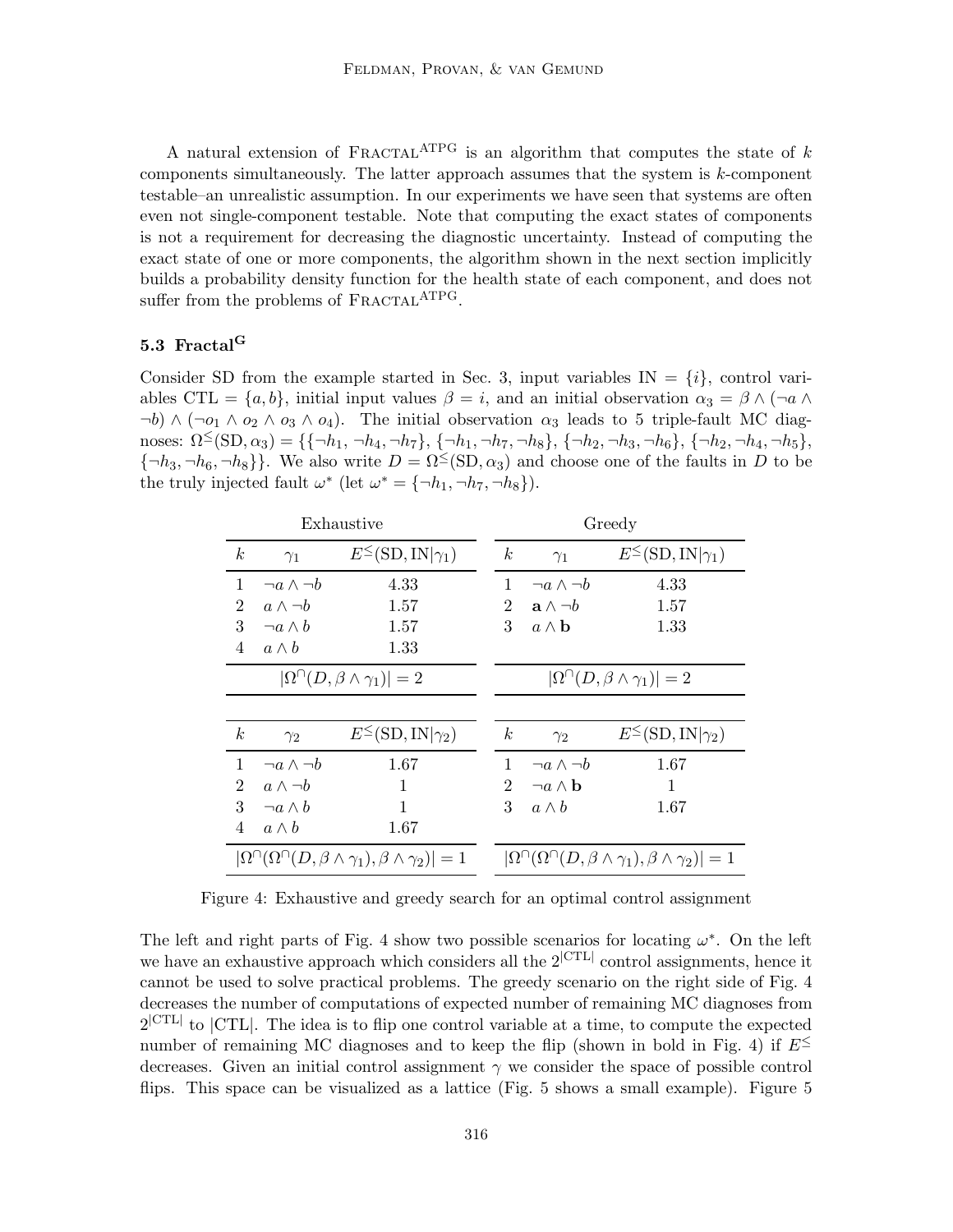A natural extension of FRACTAL<sup>ATPG</sup> is an algorithm that computes the state of k components simultaneously. The latter approach assumes that the system is  $k$ -component testable–an unrealistic assumption. In our experiments we have seen that systems are often even not single-component testable. Note that computing the exact states of components is not a requirement for decreasing the diagnostic uncertainty. Instead of computing the exact state of one or more components, the algorithm shown in the next section implicitly builds a probability density function for the health state of each component, and does not suffer from the problems of FRACTAL<sup>ATPG</sup>.

# 5.3 Fractal<sup>G</sup>

Consider SD from the example started in Sec. 3, input variables  $IN = \{i\}$ , control variables CTL =  $\{a, b\}$ , initial input values  $\beta = i$ , and an initial observation  $\alpha_3 = \beta \wedge (\neg a \wedge \beta)$  $\neg b) \wedge (\neg o_1 \wedge o_2 \wedge o_3 \wedge o_4)$ . The initial observation  $\alpha_3$  leads to 5 triple-fault MC diagnoses:  $\Omega^{\leq}(\text{SD}, \alpha_3) = \{\{\neg h_1, \neg h_4, \neg h_7\}, \{\neg h_1, \neg h_7, \neg h_8\}, \{\neg h_2, \neg h_3, \neg h_6\}, \{\neg h_2, \neg h_4, \neg h_5\},\$  ${\lbrace \neg h_3, \neg h_6, \neg h_8 \rbrace}$ . We also write  $D = \Omega^{\leq}(\text{SD}, \alpha_3)$  and choose one of the faults in D to be the truly injected fault  $\omega^*$  (let  $\omega^* = {\neg h_1, \neg h_7, \neg h_8}$ ).

|                  |                        | Exhaustive                                                                    |                  |                            | Greedy                                                                        |
|------------------|------------------------|-------------------------------------------------------------------------------|------------------|----------------------------|-------------------------------------------------------------------------------|
| $\boldsymbol{k}$ | $\gamma_1$             | $E^{\leq}(\text{SD}, \text{IN} \gamma_1)$                                     | $\boldsymbol{k}$ | $\gamma_1$                 | $E^{\leq}(\text{SD}, \text{IN} \gamma_1)$                                     |
| 1                | $\neg a \wedge \neg b$ | 4.33                                                                          | 1                | $\neg a \wedge \neg b$     | 4.33                                                                          |
| $\overline{2}$   | $a \wedge \neg b$      | 1.57                                                                          | $\overline{2}$   | $a \wedge \neg b$          | 1.57                                                                          |
| 3                | $\neg a \wedge b$      | 1.57                                                                          | 3                | $a \wedge b$               | 1.33                                                                          |
| 4                | $a \wedge b$           | 1.33                                                                          |                  |                            |                                                                               |
|                  |                        | $ \Omega^{\cap}(D,\beta\wedge\gamma_1) =2$                                    |                  |                            | $ \Omega^{\cap}(D,\beta\wedge\gamma_1) =2$                                    |
|                  |                        |                                                                               |                  |                            |                                                                               |
| $\boldsymbol{k}$ | $\gamma_2$             | $E^{\leq}(\text{SD}, \text{IN} \gamma_2)$                                     | $\boldsymbol{k}$ | $\gamma_2$                 | $E^{\leq}(\text{SD}, \text{IN} \gamma_2)$                                     |
| 1                | $\neg a \wedge \neg b$ | 1.67                                                                          | $\mathbf{1}$     | $\neg a \wedge \neg b$     | 1.67                                                                          |
| $\overline{2}$   | $a \wedge \neg b$      | 1                                                                             | $\overline{2}$   | $\neg a \wedge \mathbf{b}$ | 1                                                                             |
| 3                | $\neg a \wedge b$      | 1                                                                             | 3                | $a \wedge b$               | 1.67                                                                          |
| 4                | $a \wedge b$           | 1.67                                                                          |                  |                            |                                                                               |
|                  |                        | $ \Omega^{\cap}(\Omega^{\cap}(D,\beta\wedge\gamma_1),\beta\wedge\gamma_2) =1$ |                  |                            | $ \Omega^{\cap}(\Omega^{\cap}(D,\beta\wedge\gamma_1),\beta\wedge\gamma_2) =1$ |

Figure 4: Exhaustive and greedy search for an optimal control assignment

The left and right parts of Fig. 4 show two possible scenarios for locating  $\omega^*$ . On the left we have an exhaustive approach which considers all the  $2^{\rm |CTL|}$  control assignments, hence it cannot be used to solve practical problems. The greedy scenario on the right side of Fig. 4 decreases the number of computations of expected number of remaining MC diagnoses from  $2^{\text{[CTL]}}$  to  $\text{[CTL]}$ . The idea is to flip one control variable at a time, to compute the expected number of remaining MC diagnoses and to keep the flip (shown in bold in Fig. 4) if  $E^{\leq}$ decreases. Given an initial control assignment  $\gamma$  we consider the space of possible control flips. This space can be visualized as a lattice (Fig. 5 shows a small example). Figure 5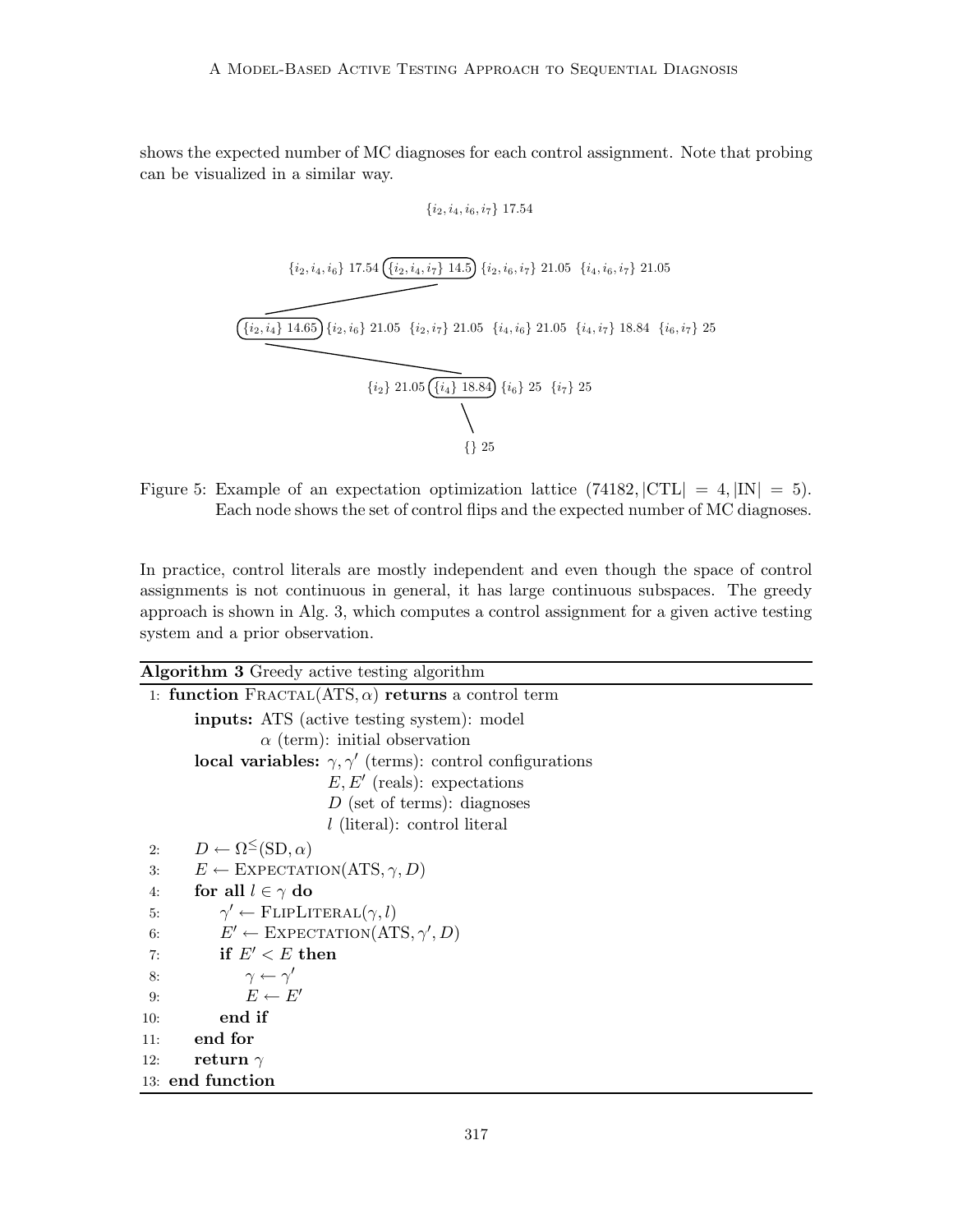shows the expected number of MC diagnoses for each control assignment. Note that probing can be visualized in a similar way.

$$
\{i_2, i_4, i_6, i_7\}~17.54
$$



Figure 5: Example of an expectation optimization lattice  $(74182, |CTL| = 4, |IN| = 5)$ . Each node shows the set of control flips and the expected number of MC diagnoses.

In practice, control literals are mostly independent and even though the space of control assignments is not continuous in general, it has large continuous subspaces. The greedy approach is shown in Alg. 3, which computes a control assignment for a given active testing system and a prior observation.

| <b>Algorithm 3</b> Greedy active testing algorithm                    |
|-----------------------------------------------------------------------|
| 1: function FRACTAL(ATS, $\alpha$ ) returns a control term            |
| <b>inputs:</b> ATS (active testing system): model                     |
| $\alpha$ (term): initial observation                                  |
| local variables: $\gamma$ , $\gamma'$ (terms): control configurations |
| $E, E'$ (reals): expectations                                         |
| $D$ (set of terms): diagnoses                                         |
| $l$ (literal): control literal                                        |
| $D \leftarrow \Omega^{\leq}(\text{SD}, \alpha)$<br>2:                 |
| $E \leftarrow$ EXPECTATION(ATS, $\gamma$ , D)<br>3:                   |
| for all $l \in \gamma$ do<br>4:                                       |
| $\gamma' \leftarrow$ FLIPLITERAL $(\gamma, l)$<br>5:                  |
| $E' \leftarrow$ EXPECTATION(ATS, $\gamma', D$ )<br>6:                 |
| $\mathbf{if}\,\,E'7:$                                                 |
| $\gamma \leftarrow \gamma'$<br>8:                                     |
| $E \leftarrow E'$<br>9:                                               |
| end if<br>10:                                                         |
| end for<br>11:                                                        |
| return $\gamma$<br>12:                                                |
| 13: end function                                                      |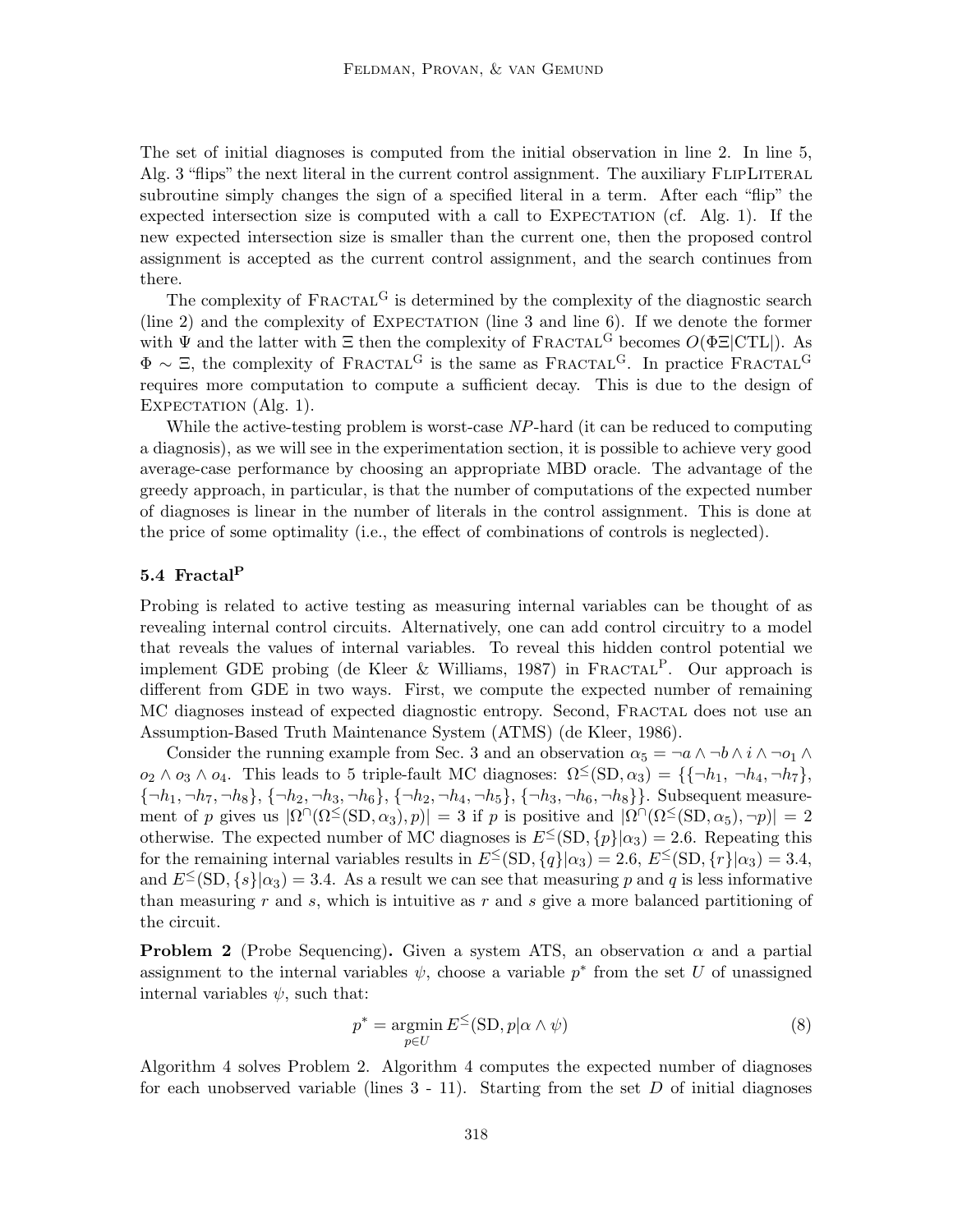The set of initial diagnoses is computed from the initial observation in line 2. In line 5, Alg. 3 "flips" the next literal in the current control assignment. The auxiliary FLIPLITERAL subroutine simply changes the sign of a specified literal in a term. After each "flip" the expected intersection size is computed with a call to  $EXPECTATION$  (cf. Alg. 1). If the new expected intersection size is smaller than the current one, then the proposed control assignment is accepted as the current control assignment, and the search continues from there.

The complexity of  $\text{FRACTAL}^G$  is determined by the complexity of the diagnostic search  $(line 2)$  and the complexity of EXPECTATION (line 3 and line 6). If we denote the former with  $\Psi$  and the latter with  $\Xi$  then the complexity of FRACTAL<sup>G</sup> becomes  $O(\Phi \Xi | \text{CTL}|)$ . As  $\Phi \sim \Xi$ , the complexity of FRACTAL<sup>G</sup> is the same as FRACTAL<sup>G</sup>. In practice FRACTAL<sup>G</sup> requires more computation to compute a sufficient decay. This is due to the design of EXPECTATION (Alg. 1).

While the active-testing problem is worst-case NP-hard (it can be reduced to computing a diagnosis), as we will see in the experimentation section, it is possible to achieve very good average-case performance by choosing an appropriate MBD oracle. The advantage of the greedy approach, in particular, is that the number of computations of the expected number of diagnoses is linear in the number of literals in the control assignment. This is done at the price of some optimality (i.e., the effect of combinations of controls is neglected).

# 5.4 Fractal $^{\rm P}$

Probing is related to active testing as measuring internal variables can be thought of as revealing internal control circuits. Alternatively, one can add control circuitry to a model that reveals the values of internal variables. To reveal this hidden control potential we implement GDE probing (de Kleer & Williams, 1987) in FRACTAL<sup>P</sup>. Our approach is different from GDE in two ways. First, we compute the expected number of remaining MC diagnoses instead of expected diagnostic entropy. Second, Fractal does not use an Assumption-Based Truth Maintenance System (ATMS) (de Kleer, 1986).

Consider the running example from Sec. 3 and an observation  $\alpha_5 = \neg a \wedge \neg b \wedge i \wedge \neg o_1 \wedge j$  $o_2 \wedge o_3 \wedge o_4$ . This leads to 5 triple-fault MC diagnoses:  $\Omega^{\leq}(\text{SD}, \alpha_3) = \{\{\neg h_1, \neg h_4, \neg h_7\},\}$  ${\{\neg h_1, \neg h_7, \neg h_8\}, \{\neg h_2, \neg h_3, \neg h_6\}, \{\neg h_2, \neg h_4, \neg h_5\}, \{\neg h_3, \neg h_6, \neg h_8\}}$ . Subsequent measurement of p gives us  $|\Omega \cap (\Omega^{\leq}(SD, \alpha_3), p)| = 3$  if p is positive and  $|\Omega \cap (\Omega^{\leq}(SD, \alpha_5), \neg p)| = 2$ otherwise. The expected number of MC diagnoses is  $E^{\leq}(\text{SD}, \{p\}|\alpha_3) = 2.6$ . Repeating this for the remaining internal variables results in  $E^{\leq}(\text{SD}, \{q\}|\alpha_3) = 2.6, E^{\leq}(\text{SD}, \{r\}|\alpha_3) = 3.4$ , and  $E^{\leq}(\text{SD}, \{s\}|\alpha_3) = 3.4$ . As a result we can see that measuring p and q is less informative than measuring r and s, which is intuitive as r and s give a more balanced partitioning of the circuit.

**Problem 2** (Probe Sequencing). Given a system ATS, an observation  $\alpha$  and a partial assignment to the internal variables  $\psi$ , choose a variable  $p^*$  from the set U of unassigned internal variables  $\psi$ , such that:

$$
p^* = \underset{p \in U}{\operatorname{argmin}} \, E^{\leq}(\text{SD}, p | \alpha \wedge \psi) \tag{8}
$$

Algorithm 4 solves Problem 2. Algorithm 4 computes the expected number of diagnoses for each unobserved variable (lines  $3 - 11$ ). Starting from the set D of initial diagnoses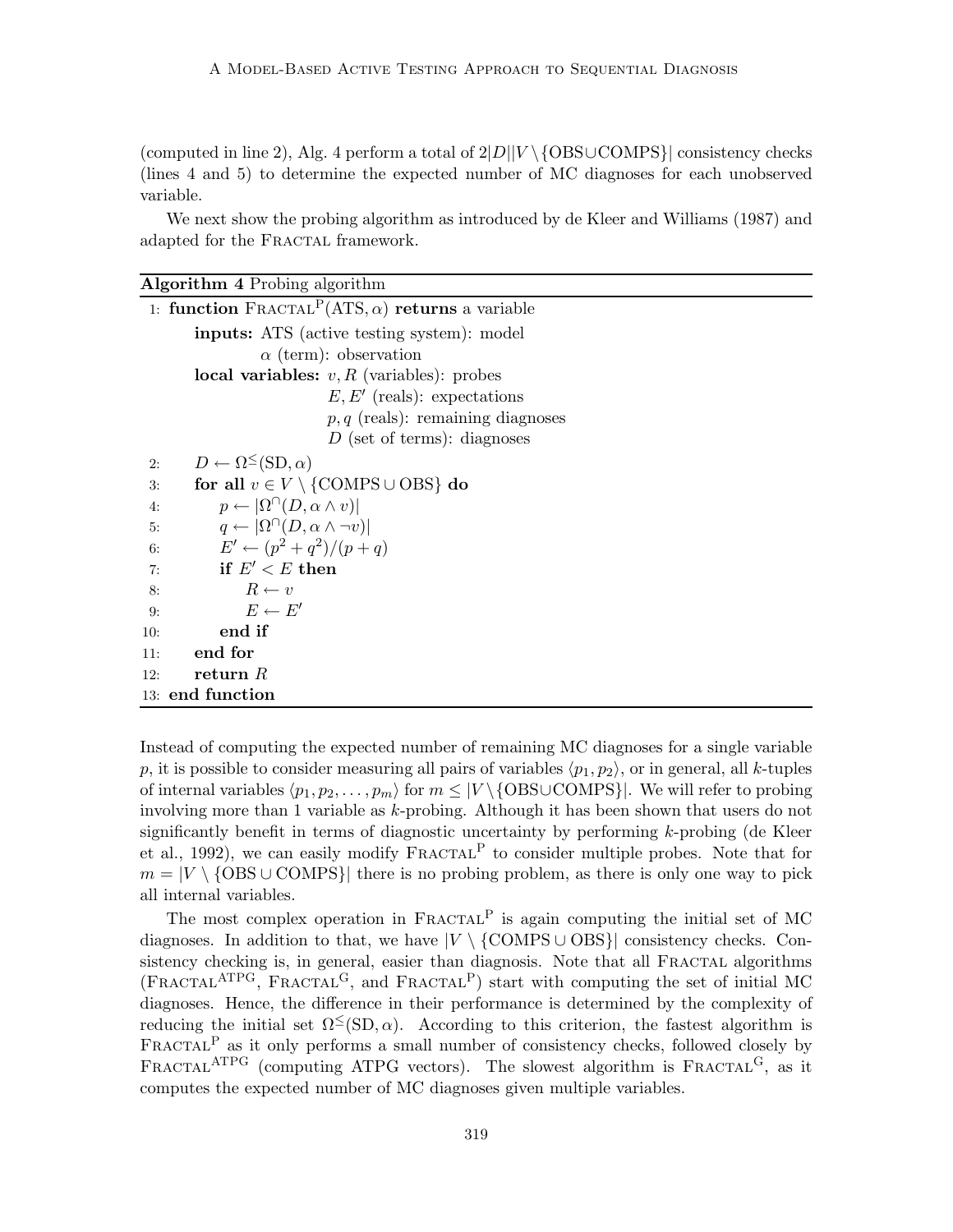(computed in line 2), Alg. 4 perform a total of  $2|D||V \setminus \{OBS\cup COMPS\}|$  consistency checks (lines 4 and 5) to determine the expected number of MC diagnoses for each unobserved variable.

We next show the probing algorithm as introduced by de Kleer and Williams (1987) and adapted for the FRACTAL framework.

| <b>Algorithm 4</b> Probing algorithm                                           |
|--------------------------------------------------------------------------------|
| 1: function $\text{FRACTAL}^{\text{P}}(\text{ATS}, \alpha)$ returns a variable |
| <b>inputs:</b> ATS (active testing system): model                              |
| $\alpha$ (term): observation                                                   |
| local variables: $v, R$ (variables): probes                                    |
| $E, E'$ (reals): expectations                                                  |
| $p, q$ (reals): remaining diagnoses                                            |
| $D$ (set of terms): diagnoses                                                  |
| $D \leftarrow \Omega^{\leq}(\text{SD}, \alpha)$<br>2:                          |
| for all $v \in V \setminus \{COMPS \cup OBS\}$ do<br>3:                        |
| $p \leftarrow  \Omega^{\cap}(D, \alpha \wedge v) $<br>4:                       |
| $q \leftarrow  \Omega^{\cap}(D, \alpha \wedge \neg v) $<br>5:                  |
| $E' \leftarrow (p^2 + q^2)/(p + q)$<br>6:                                      |
| if $E' < E$ then<br>7:                                                         |
| $R \leftarrow v$<br>8:                                                         |
| $E \leftarrow E'$<br>9:                                                        |
| end if<br>10:                                                                  |
| end for<br>11:                                                                 |
| return $R$<br>12:                                                              |
| 13: end function                                                               |

Instead of computing the expected number of remaining MC diagnoses for a single variable p, it is possible to consider measuring all pairs of variables  $\langle p_1,p_2 \rangle$ , or in general, all k-tuples of internal variables  $\langle p_1, p_2, \ldots, p_m \rangle$  for  $m \leq |V \setminus {\text{OBSUCOMPS}}|$ . We will refer to probing involving more than 1 variable as k-probing. Although it has been shown that users do not significantly benefit in terms of diagnostic uncertainty by performing k-probing (de Kleer et al., 1992), we can easily modify  $\text{FRACTAL}^P$  to consider multiple probes. Note that for  $m = |V \setminus {\text{OBS} \cup \text{COMPS}}|$  there is no probing problem, as there is only one way to pick all internal variables.

The most complex operation in  $FRACTAL<sup>P</sup>$  is again computing the initial set of MC diagnoses. In addition to that, we have  $|V \setminus \{\text{COMPS} \cup \text{OBS}\}\rangle$  consistency checks. Consistency checking is, in general, easier than diagnosis. Note that all FRACTAL algorithms  $(FRACTAL<sup>ATPG</sup>, FRACTAL<sup>G</sup>, and FRACTAL<sup>P</sup>) start with computing the set of initial MC$ diagnoses. Hence, the difference in their performance is determined by the complexity of reducing the initial set  $\Omega^{\leq}(SD, \alpha)$ . According to this criterion, the fastest algorithm is  $\text{FRACTAL}^P$  as it only performs a small number of consistency checks, followed closely by FRACTAL<sup>ATPG</sup> (computing ATPG vectors). The slowest algorithm is  $FRACTAL<sup>G</sup>$ , as it computes the expected number of MC diagnoses given multiple variables.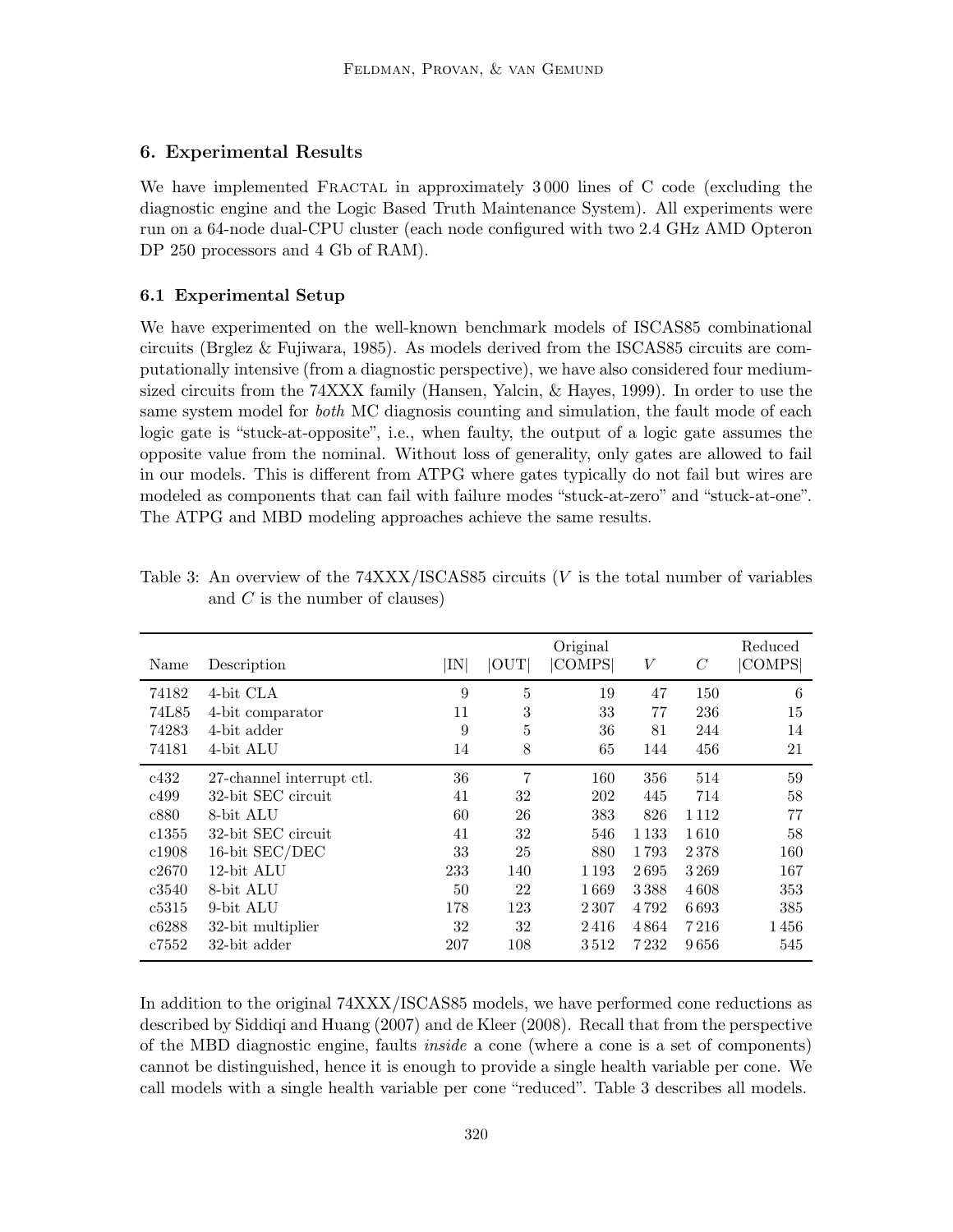# 6. Experimental Results

We have implemented FRACTAL in approximately 3000 lines of C code (excluding the diagnostic engine and the Logic Based Truth Maintenance System). All experiments were run on a 64-node dual-CPU cluster (each node configured with two 2.4 GHz AMD Opteron DP 250 processors and 4 Gb of RAM).

## 6.1 Experimental Setup

We have experimented on the well-known benchmark models of ISCAS85 combinational circuits (Brglez & Fujiwara, 1985). As models derived from the ISCAS85 circuits are computationally intensive (from a diagnostic perspective), we have also considered four mediumsized circuits from the 74XXX family (Hansen, Yalcin, & Hayes, 1999). In order to use the same system model for *both* MC diagnosis counting and simulation, the fault mode of each logic gate is "stuck-at-opposite", i.e., when faulty, the output of a logic gate assumes the opposite value from the nominal. Without loss of generality, only gates are allowed to fail in our models. This is different from ATPG where gates typically do not fail but wires are modeled as components that can fail with failure modes "stuck-at-zero" and "stuck-at-one". The ATPG and MBD modeling approaches achieve the same results.

| Name  | Description               | $ \rm{IN} $ | OUT | Original<br><b>COMPS</b> | V       | C    | Reduced<br> COMPS |
|-------|---------------------------|-------------|-----|--------------------------|---------|------|-------------------|
| 74182 | 4-bit CLA                 | 9           | 5   | 19                       | 47      | 150  | 6                 |
| 74L85 | 4-bit comparator          | 11          | 3   | 33                       | 77      | 236  | 15                |
| 74283 | 4-bit adder               | 9           | 5   | 36                       | 81      | 244  | 14                |
| 74181 | 4-bit ALU                 | 14          | 8   | 65                       | 144     | 456  | 21                |
| c432  | 27-channel interrupt ctl. | 36          | 7   | 160                      | 356     | 514  | 59                |
| c499  | 32-bit SEC circuit        | 41          | 32  | 202                      | 445     | 714  | 58                |
| c880  | 8-bit ALU                 | 60          | 26  | 383                      | 826     | 1112 | 77                |
| c1355 | 32-bit SEC circuit        | 41          | 32  | 546                      | 1 1 3 3 | 1610 | 58                |
| c1908 | 16-bit SEC/DEC            | 33          | 25  | 880                      | 1793    | 2378 | 160               |
| c2670 | 12-bit ALU                | 233         | 140 | 1 1 9 3                  | 2695    | 3269 | 167               |
| c3540 | 8-bit ALU                 | 50          | 22  | 1669                     | 3388    | 4608 | 353               |
| c5315 | 9-bit ALU                 | 178         | 123 | 2 3 0 7                  | 4792    | 6693 | 385               |
| c6288 | 32-bit multiplier         | 32          | 32  | 2416                     | 4864    | 7216 | 1456              |
| c7552 | 32-bit adder              | 207         | 108 | 3512                     | 7 2 3 2 | 9656 | 545               |

Table 3: An overview of the  $74XXX/ISCASS5$  circuits (V is the total number of variables and  $C$  is the number of clauses)

In addition to the original 74XXX/ISCAS85 models, we have performed cone reductions as described by Siddiqi and Huang (2007) and de Kleer (2008). Recall that from the perspective of the MBD diagnostic engine, faults inside a cone (where a cone is a set of components) cannot be distinguished, hence it is enough to provide a single health variable per cone. We call models with a single health variable per cone "reduced". Table 3 describes all models.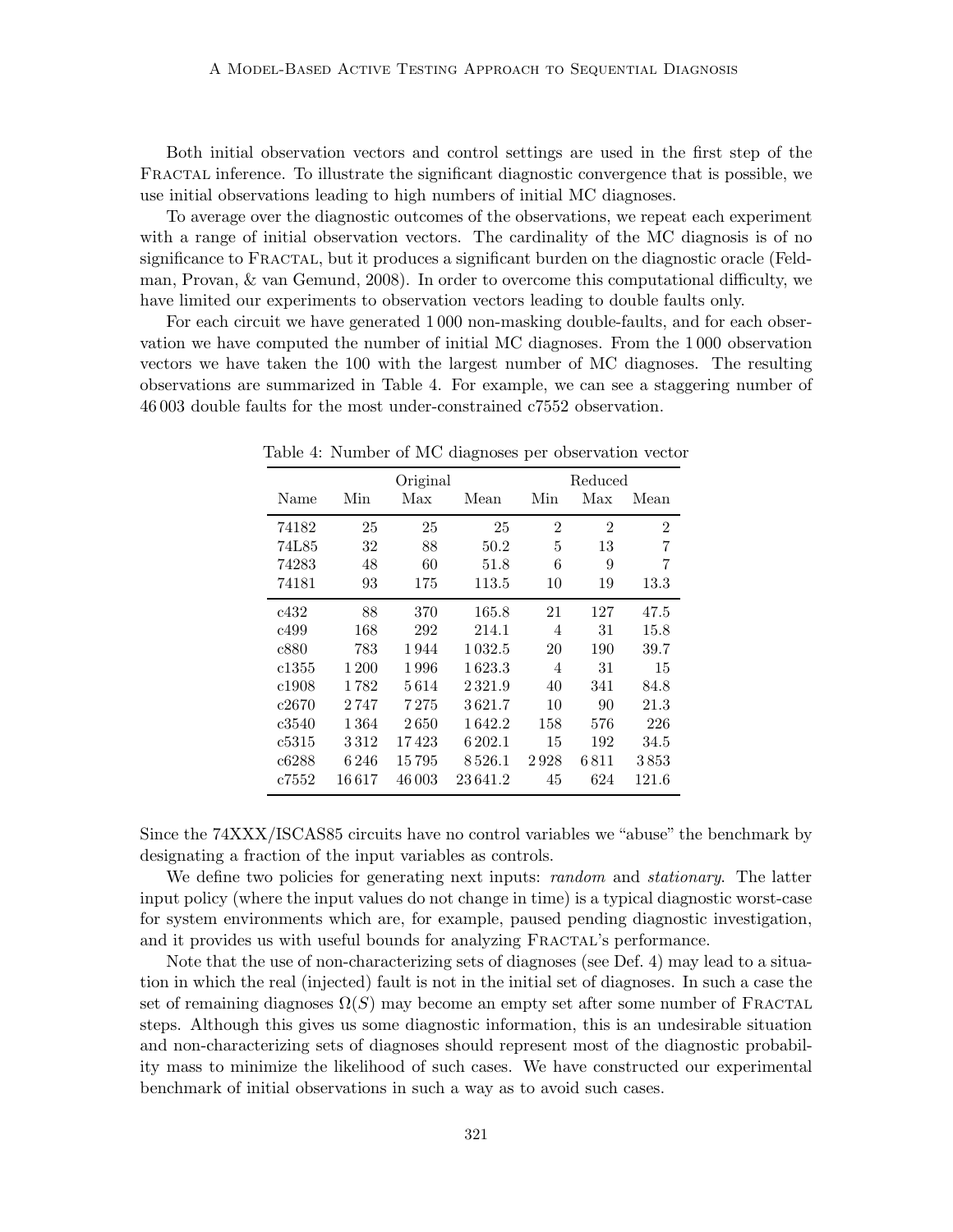Both initial observation vectors and control settings are used in the first step of the FRACTAL inference. To illustrate the significant diagnostic convergence that is possible, we use initial observations leading to high numbers of initial MC diagnoses.

To average over the diagnostic outcomes of the observations, we repeat each experiment with a range of initial observation vectors. The cardinality of the MC diagnosis is of no significance to FRACTAL, but it produces a significant burden on the diagnostic oracle (Feldman, Provan, & van Gemund, 2008). In order to overcome this computational difficulty, we have limited our experiments to observation vectors leading to double faults only.

For each circuit we have generated 1 000 non-masking double-faults, and for each observation we have computed the number of initial MC diagnoses. From the 1 000 observation vectors we have taken the 100 with the largest number of MC diagnoses. The resulting observations are summarized in Table 4. For example, we can see a staggering number of 46 003 double faults for the most under-constrained c7552 observation.

|       |           | Reduced<br>Original |           |                |                |                |  |
|-------|-----------|---------------------|-----------|----------------|----------------|----------------|--|
| Name  | Min       | Max                 | Mean      | Min            | Max            | Mean           |  |
| 74182 | 25        | 25                  | 25        | $\overline{2}$ | $\overline{2}$ | $\overline{2}$ |  |
| 74L85 | 32        | 88                  | 50.2      | 5              | 13             | 7              |  |
| 74283 | 48        | 60                  | 51.8      | 6              | 9              | 7              |  |
| 74181 | 93        | 175                 | 113.5     | 10             | 19             | 13.3           |  |
| c432  | 88        | 370                 | 165.8     | 21             | 127            | 47.5           |  |
| c499  | 168       | 292                 | 214.1     | 4              | 31             | 15.8           |  |
| c880  | 783       | 1944                | 1 0 3 2.5 | 20             | 190            | 39.7           |  |
| c1355 | 1 200     | 1996                | 1 623.3   | 4              | 31             | 15             |  |
| c1908 | 1782      | 5614                | 2321.9    | 40             | 341            | 84.8           |  |
| c2670 | 2 747     | 7 2 7 5             | 3621.7    | 10             | 90             | 21.3           |  |
| c3540 | 1 364     | 2650                | 1642.2    | 158            | 576            | 226            |  |
| c5315 | 3312      | 17423               | 6 202.1   | 15             | 192            | 34.5           |  |
| c6288 | 6 246     | 15 795              | 8526.1    | 2928           | 6811           | 3853           |  |
| c7552 | $16\,617$ | 46 003              | 23641.2   | 45             | 624            | 121.6          |  |

Table 4: Number of MC diagnoses per observation vector

Since the 74XXX/ISCAS85 circuits have no control variables we "abuse" the benchmark by designating a fraction of the input variables as controls.

We define two policies for generating next inputs: *random* and *stationary*. The latter input policy (where the input values do not change in time) is a typical diagnostic worst-case for system environments which are, for example, paused pending diagnostic investigation, and it provides us with useful bounds for analyzing FRACTAL's performance.

Note that the use of non-characterizing sets of diagnoses (see Def. 4) may lead to a situation in which the real (injected) fault is not in the initial set of diagnoses. In such a case the set of remaining diagnoses  $\Omega(S)$  may become an empty set after some number of FRACTAL steps. Although this gives us some diagnostic information, this is an undesirable situation and non-characterizing sets of diagnoses should represent most of the diagnostic probability mass to minimize the likelihood of such cases. We have constructed our experimental benchmark of initial observations in such a way as to avoid such cases.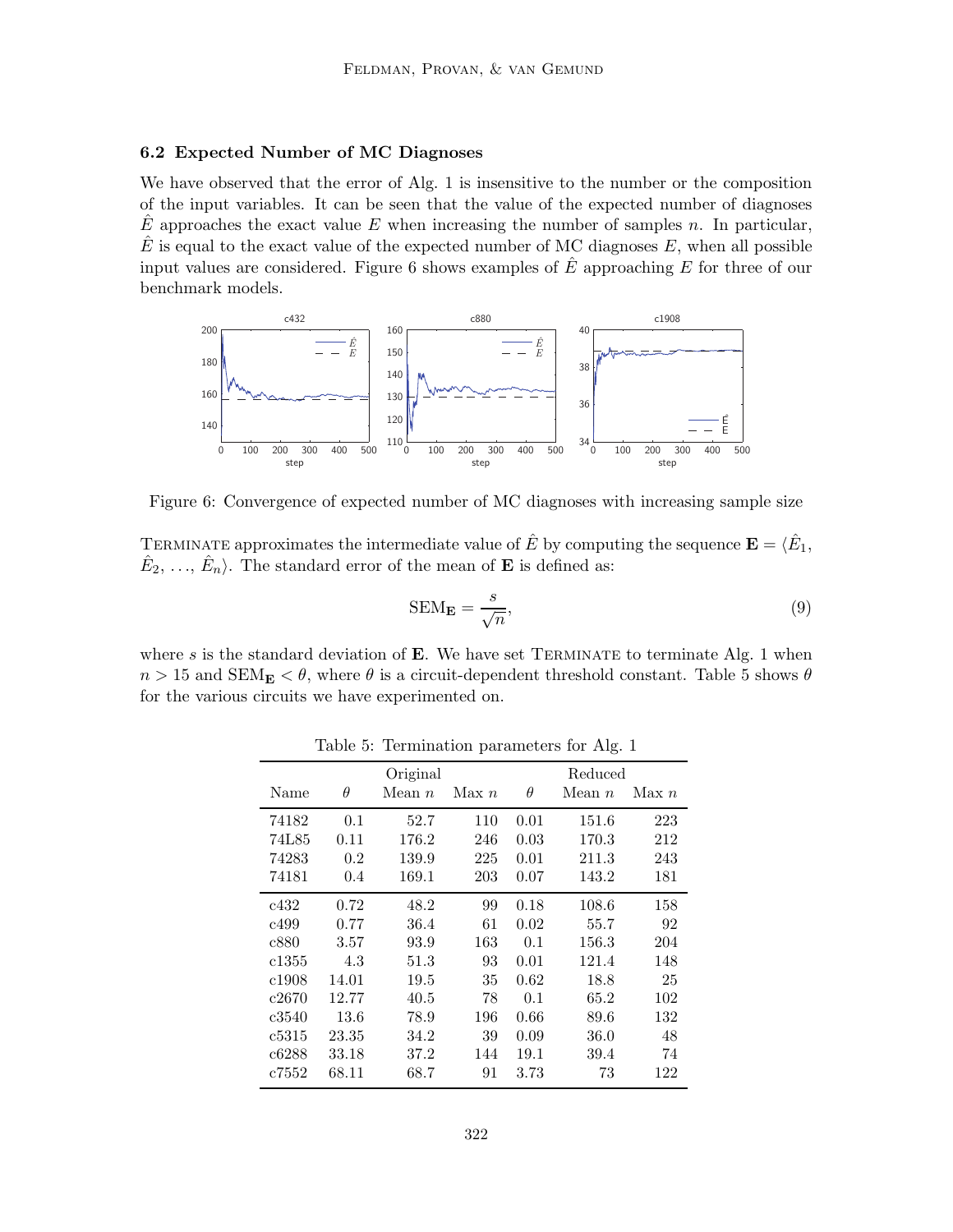## 6.2 Expected Number of MC Diagnoses

We have observed that the error of Alg. 1 is insensitive to the number or the composition of the input variables. It can be seen that the value of the expected number of diagnoses  $\hat{E}$  approaches the exact value E when increasing the number of samples n. In particular,  $E$  is equal to the exact value of the expected number of MC diagnoses  $E$ , when all possible input values are considered. Figure 6 shows examples of  $E$  approaching  $E$  for three of our benchmark models.



Figure 6: Convergence of expected number of MC diagnoses with increasing sample size

TERMINATE approximates the intermediate value of  $\hat{E}$  by computing the sequence  $\mathbf{E} = \langle \hat{E}_1, \rangle$  $\hat{E}_2, \ldots, \hat{E}_n$ . The standard error of the mean of **E** is defined as:

$$
SEM_E = \frac{s}{\sqrt{n}},\tag{9}
$$

where s is the standard deviation of  $E$ . We have set TERMINATE to terminate Alg. 1 when  $n > 15$  and  $SEM<sub>E</sub> < \theta$ , where  $\theta$  is a circuit-dependent threshold constant. Table 5 shows  $\theta$ for the various circuits we have experimented on.

|       |          |          |       |          | ັ        |       |
|-------|----------|----------|-------|----------|----------|-------|
|       |          | Original |       |          | Reduced  |       |
| Name  | $\theta$ | Mean $n$ | Max n | $\theta$ | Mean $n$ | Max n |
| 74182 | 0.1      | 52.7     | 110   | 0.01     | 151.6    | 223   |
| 74L85 | 0.11     | 176.2    | 246   | 0.03     | 170.3    | 212   |
| 74283 | 0.2      | 139.9    | 225   | 0.01     | 211.3    | 243   |
| 74181 | 0.4      | 169.1    | 203   | 0.07     | 143.2    | 181   |
| c432  | 0.72     | 48.2     | 99    | 0.18     | 108.6    | 158   |
| c499  | 0.77     | 36.4     | 61    | 0.02     | 55.7     | 92    |
| c880  | 3.57     | 93.9     | 163   | 0.1      | 156.3    | 204   |
| c1355 | 4.3      | 51.3     | 93    | 0.01     | 121.4    | 148   |
| c1908 | 14.01    | 19.5     | 35    | 0.62     | 18.8     | 25    |
| c2670 | 12.77    | 40.5     | 78    | 0.1      | 65.2     | 102   |
| c3540 | 13.6     | 78.9     | 196   | 0.66     | 89.6     | 132   |
| c5315 | 23.35    | 34.2     | 39    | 0.09     | 36.0     | 48    |
| c6288 | 33.18    | 37.2     | 144   | 19.1     | 39.4     | 74    |
| c7552 | 68.11    | 68.7     | 91    | 3.73     | 73       | 122   |

Table 5: Termination parameters for Alg. 1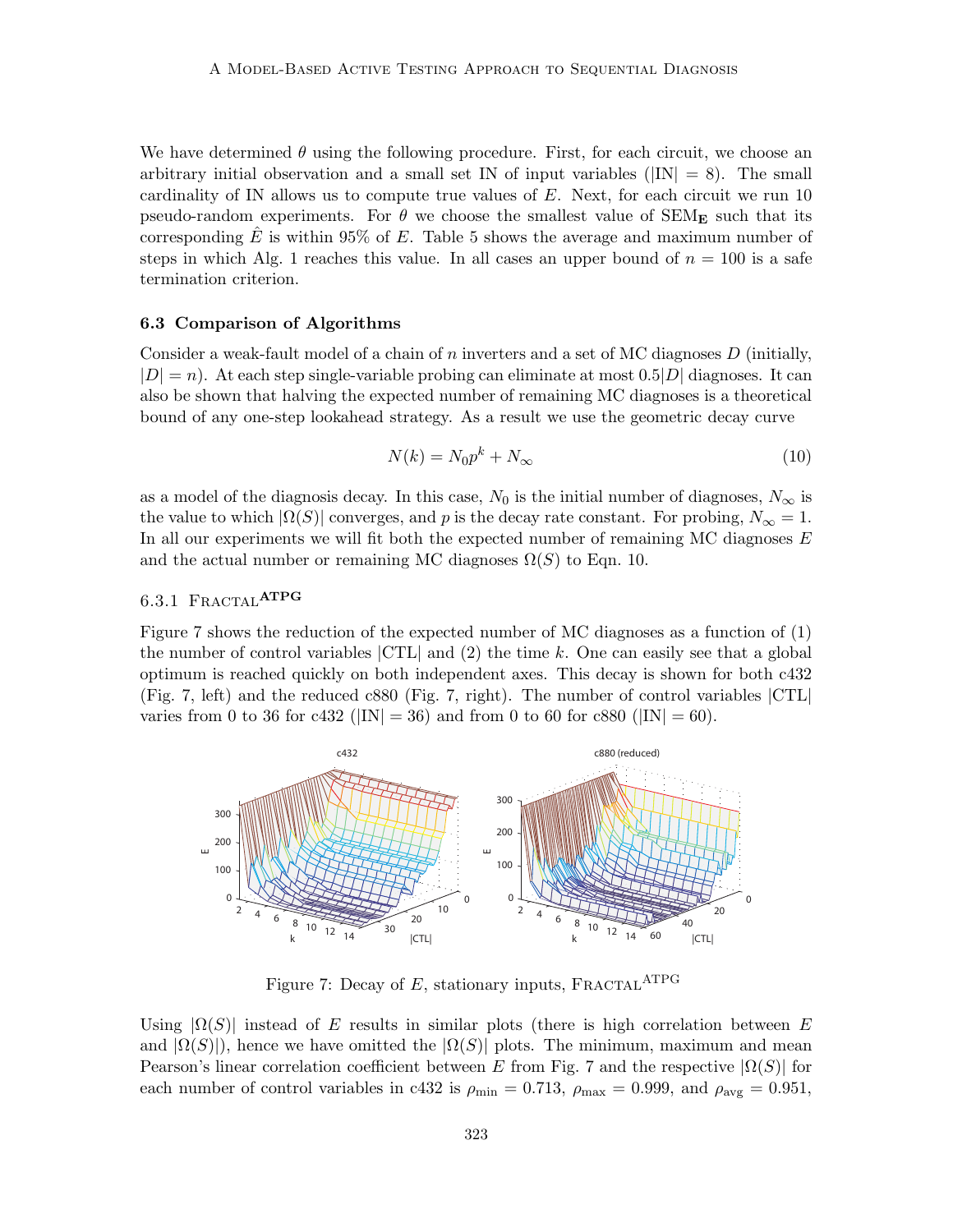We have determined  $\theta$  using the following procedure. First, for each circuit, we choose an arbitrary initial observation and a small set IN of input variables ( $|IN| = 8$ ). The small cardinality of IN allows us to compute true values of  $E$ . Next, for each circuit we run 10 pseudo-random experiments. For  $\theta$  we choose the smallest value of SEM<sub>E</sub> such that its corresponding  $\hat{E}$  is within 95% of E. Table 5 shows the average and maximum number of steps in which Alg. 1 reaches this value. In all cases an upper bound of  $n = 100$  is a safe termination criterion.

### 6.3 Comparison of Algorithms

Consider a weak-fault model of a chain of n inverters and a set of MC diagnoses  $D$  (initially,  $|D| = n$ . At each step single-variable probing can eliminate at most 0.5 $|D|$  diagnoses. It can also be shown that halving the expected number of remaining MC diagnoses is a theoretical bound of any one-step lookahead strategy. As a result we use the geometric decay curve

$$
N(k) = N_0 p^k + N_\infty \tag{10}
$$

as a model of the diagnosis decay. In this case,  $N_0$  is the initial number of diagnoses,  $N_\infty$  is the value to which  $|\Omega(S)|$  converges, and p is the decay rate constant. For probing,  $N_{\infty} = 1$ . In all our experiments we will fit both the expected number of remaining MC diagnoses  $E$ and the actual number or remaining MC diagnoses  $\Omega(S)$  to Eqn. 10.

# 6.3.1 FRACTAL<sup>ATPG</sup>

Figure 7 shows the reduction of the expected number of MC diagnoses as a function of (1) the number of control variables  $|CTL|$  and (2) the time k. One can easily see that a global optimum is reached quickly on both independent axes. This decay is shown for both c432 (Fig. 7, left) and the reduced c880 (Fig. 7, right). The number of control variables |CTL| varies from 0 to 36 for c432 ( $|IN| = 36$ ) and from 0 to 60 for c880 ( $|IN| = 60$ ).



Figure 7: Decay of  $E$ , stationary inputs, FRACTAL<sup>ATPG</sup>

Using  $|\Omega(S)|$  instead of E results in similar plots (there is high correlation between E and  $|\Omega(S)|$ , hence we have omitted the  $|\Omega(S)|$  plots. The minimum, maximum and mean Pearson's linear correlation coefficient between E from Fig. 7 and the respective  $|\Omega(S)|$  for each number of control variables in c432 is  $\rho_{\text{min}} = 0.713$ ,  $\rho_{\text{max}} = 0.999$ , and  $\rho_{\text{avg}} = 0.951$ ,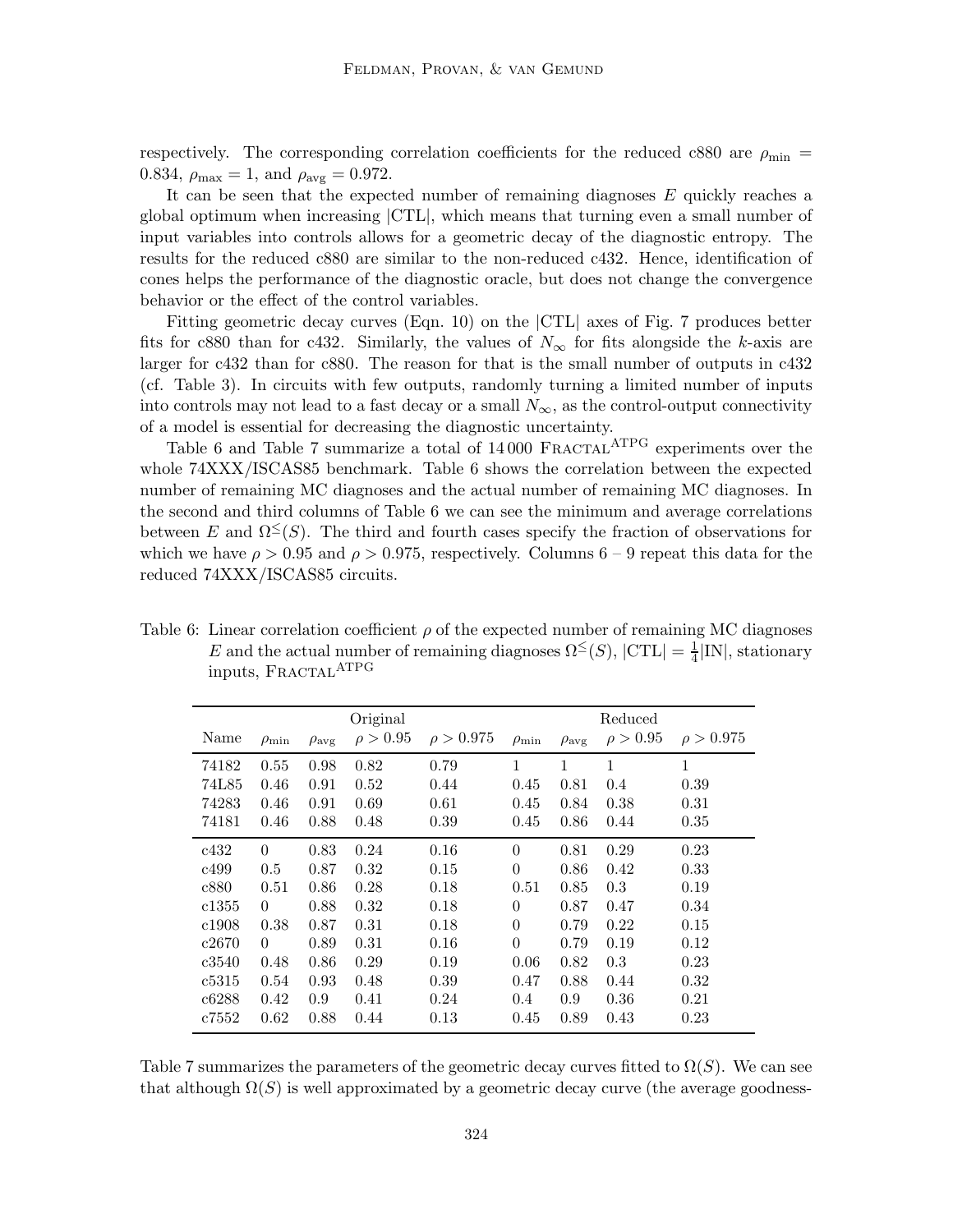respectively. The corresponding correlation coefficients for the reduced c880 are  $\rho_{\rm min}$  = 0.834,  $\rho_{\text{max}} = 1$ , and  $\rho_{\text{avg}} = 0.972$ .

It can be seen that the expected number of remaining diagnoses E quickly reaches a global optimum when increasing |CTL|, which means that turning even a small number of input variables into controls allows for a geometric decay of the diagnostic entropy. The results for the reduced c880 are similar to the non-reduced c432. Hence, identification of cones helps the performance of the diagnostic oracle, but does not change the convergence behavior or the effect of the control variables.

Fitting geometric decay curves (Eqn. 10) on the |CTL| axes of Fig. 7 produces better fits for c880 than for c432. Similarly, the values of  $N_{\infty}$  for fits alongside the k-axis are larger for c432 than for c880. The reason for that is the small number of outputs in c432 (cf. Table 3). In circuits with few outputs, randomly turning a limited number of inputs into controls may not lead to a fast decay or a small  $N_{\infty}$ , as the control-output connectivity of a model is essential for decreasing the diagnostic uncertainty.

Table 6 and Table 7 summarize a total of  $14\,000$  FRACTAL<sup>ATPG</sup> experiments over the whole 74XXX/ISCAS85 benchmark. Table 6 shows the correlation between the expected number of remaining MC diagnoses and the actual number of remaining MC diagnoses. In the second and third columns of Table 6 we can see the minimum and average correlations between E and  $\Omega^{\leq}(S)$ . The third and fourth cases specify the fraction of observations for which we have  $\rho > 0.95$  and  $\rho > 0.975$ , respectively. Columns 6 – 9 repeat this data for the reduced 74XXX/ISCAS85 circuits.

Table 6: Linear correlation coefficient  $\rho$  of the expected number of remaining MC diagnoses E and the actual number of remaining diagnoses  $\Omega^{\leq}(S)$ ,  $|\text{CTL}| = \frac{1}{4}|\text{IN}|$ , stationary inputs, FRACTAL<sup>ATPG</sup>

|       |                  |                     | Original      |                |                  |                     | Reduced       |                |
|-------|------------------|---------------------|---------------|----------------|------------------|---------------------|---------------|----------------|
| Name  | $\rho_{\rm min}$ | $\rho_{\text{avg}}$ | $\rho > 0.95$ | $\rho > 0.975$ | $\rho_{\rm min}$ | $\rho_{\text{avg}}$ | $\rho > 0.95$ | $\rho > 0.975$ |
| 74182 | 0.55             | 0.98                | 0.82          | 0.79           | 1                | 1                   | 1             | $\mathbf{1}$   |
| 74L85 | 0.46             | 0.91                | 0.52          | 0.44           | 0.45             | 0.81                | 0.4           | 0.39           |
| 74283 | 0.46             | 0.91                | 0.69          | 0.61           | 0.45             | 0.84                | 0.38          | 0.31           |
| 74181 | 0.46             | 0.88                | 0.48          | 0.39           | 0.45             | 0.86                | 0.44          | 0.35           |
| c432  | $\Omega$         | 0.83                | 0.24          | 0.16           | $\overline{0}$   | 0.81                | 0.29          | 0.23           |
| c499  | 0.5              | 0.87                | 0.32          | 0.15           | $\theta$         | 0.86                | 0.42          | 0.33           |
| c880  | 0.51             | 0.86                | 0.28          | 0.18           | 0.51             | 0.85                | 0.3           | 0.19           |
| c1355 | $\Omega$         | 0.88                | 0.32          | 0.18           | $\theta$         | 0.87                | 0.47          | 0.34           |
| c1908 | 0.38             | 0.87                | 0.31          | 0.18           | $\theta$         | 0.79                | 0.22          | 0.15           |
| c2670 | $\Omega$         | 0.89                | 0.31          | 0.16           | $\theta$         | 0.79                | 0.19          | 0.12           |
| c3540 | 0.48             | 0.86                | 0.29          | 0.19           | 0.06             | 0.82                | 0.3           | 0.23           |
| c5315 | 0.54             | 0.93                | 0.48          | 0.39           | 0.47             | 0.88                | 0.44          | 0.32           |
| c6288 | 0.42             | 0.9                 | 0.41          | 0.24           | 0.4              | 0.9                 | 0.36          | 0.21           |
| c7552 | 0.62             | 0.88                | 0.44          | 0.13           | 0.45             | 0.89                | 0.43          | 0.23           |

Table 7 summarizes the parameters of the geometric decay curves fitted to  $\Omega(S)$ . We can see that although  $\Omega(S)$  is well approximated by a geometric decay curve (the average goodness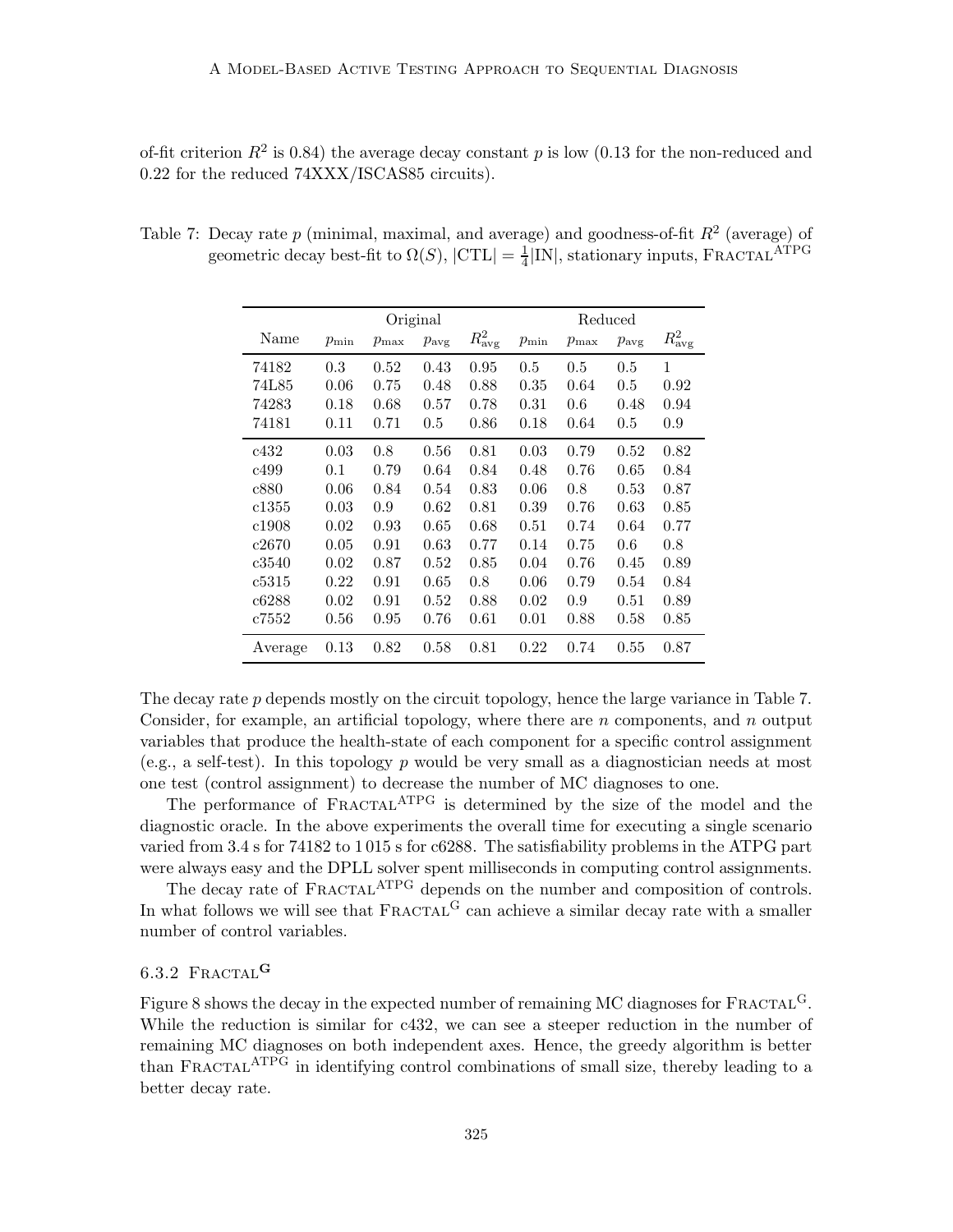of-fit criterion  $R^2$  is 0.84) the average decay constant p is low (0.13 for the non-reduced and 0.22 for the reduced 74XXX/ISCAS85 circuits).

|         | Original   |            |                  |                      | Reduced    |            |                  |                      |
|---------|------------|------------|------------------|----------------------|------------|------------|------------------|----------------------|
| Name    | $p_{\min}$ | $p_{\max}$ | $p_{\text{avg}}$ | $R^2_{\mathrm{avg}}$ | $p_{\min}$ | $p_{\max}$ | $p_{\text{avg}}$ | $R^2_{\mathrm{avg}}$ |
| 74182   | 0.3        | 0.52       | 0.43             | 0.95                 | 0.5        | 0.5        | 0.5              | $\mathbf{1}$         |
| 74L85   | 0.06       | 0.75       | 0.48             | 0.88                 | 0.35       | 0.64       | 0.5              | 0.92                 |
| 74283   | 0.18       | 0.68       | 0.57             | 0.78                 | 0.31       | 0.6        | 0.48             | 0.94                 |
| 74181   | 0.11       | 0.71       | 0.5              | 0.86                 | 0.18       | 0.64       | 0.5              | 0.9                  |
| c432    | 0.03       | 0.8        | 0.56             | 0.81                 | 0.03       | 0.79       | 0.52             | 0.82                 |
| c499    | 0.1        | 0.79       | 0.64             | 0.84                 | 0.48       | 0.76       | 0.65             | 0.84                 |
| c880    | 0.06       | 0.84       | 0.54             | 0.83                 | 0.06       | 0.8        | 0.53             | 0.87                 |
| c1355   | 0.03       | 0.9        | 0.62             | 0.81                 | 0.39       | 0.76       | 0.63             | 0.85                 |
| c1908   | 0.02       | 0.93       | 0.65             | 0.68                 | 0.51       | 0.74       | 0.64             | 0.77                 |
| c2670   | 0.05       | 0.91       | 0.63             | 0.77                 | 0.14       | 0.75       | 0.6              | 0.8                  |
| c3540   | 0.02       | 0.87       | 0.52             | 0.85                 | 0.04       | 0.76       | 0.45             | 0.89                 |
| c5315   | 0.22       | 0.91       | 0.65             | 0.8                  | 0.06       | 0.79       | 0.54             | 0.84                 |
| c6288   | 0.02       | 0.91       | 0.52             | 0.88                 | 0.02       | 0.9        | 0.51             | 0.89                 |
| c7552   | 0.56       | 0.95       | 0.76             | 0.61                 | 0.01       | 0.88       | 0.58             | 0.85                 |
| Average | 0.13       | 0.82       | 0.58             | 0.81                 | 0.22       | 0.74       | 0.55             | 0.87                 |

Table 7: Decay rate  $p$  (minimal, maximal, and average) and goodness-of-fit  $R^2$  (average) of geometric decay best-fit to  $\Omega(S)$ ,  $|{\rm CTL}| = \frac{1}{4}$  $\frac{1}{4}$ |IN|, stationary inputs, FRACTAL<sup>ATPG</sup>

The decay rate p depends mostly on the circuit topology, hence the large variance in Table 7. Consider, for example, an artificial topology, where there are  $n$  components, and  $n$  output variables that produce the health-state of each component for a specific control assignment (e.g., a self-test). In this topology  $p$  would be very small as a diagnostician needs at most one test (control assignment) to decrease the number of MC diagnoses to one.

The performance of FRACTAL<sup>ATPG</sup> is determined by the size of the model and the diagnostic oracle. In the above experiments the overall time for executing a single scenario varied from 3.4 s for 74182 to 1 015 s for c6288. The satisfiability problems in the ATPG part were always easy and the DPLL solver spent milliseconds in computing control assignments.

The decay rate of FRACTAL<sup>ATPG</sup> depends on the number and composition of controls. In what follows we will see that  $FRACTAL<sup>G</sup>$  can achieve a similar decay rate with a smaller number of control variables.

# $6.3.2$  FRACTAL<sup>G</sup>

Figure 8 shows the decay in the expected number of remaining MC diagnoses for  $\text{FRACTAL}^G$ . While the reduction is similar for c432, we can see a steeper reduction in the number of remaining MC diagnoses on both independent axes. Hence, the greedy algorithm is better than FRACTAL<sup>ATPG</sup> in identifying control combinations of small size, thereby leading to a better decay rate.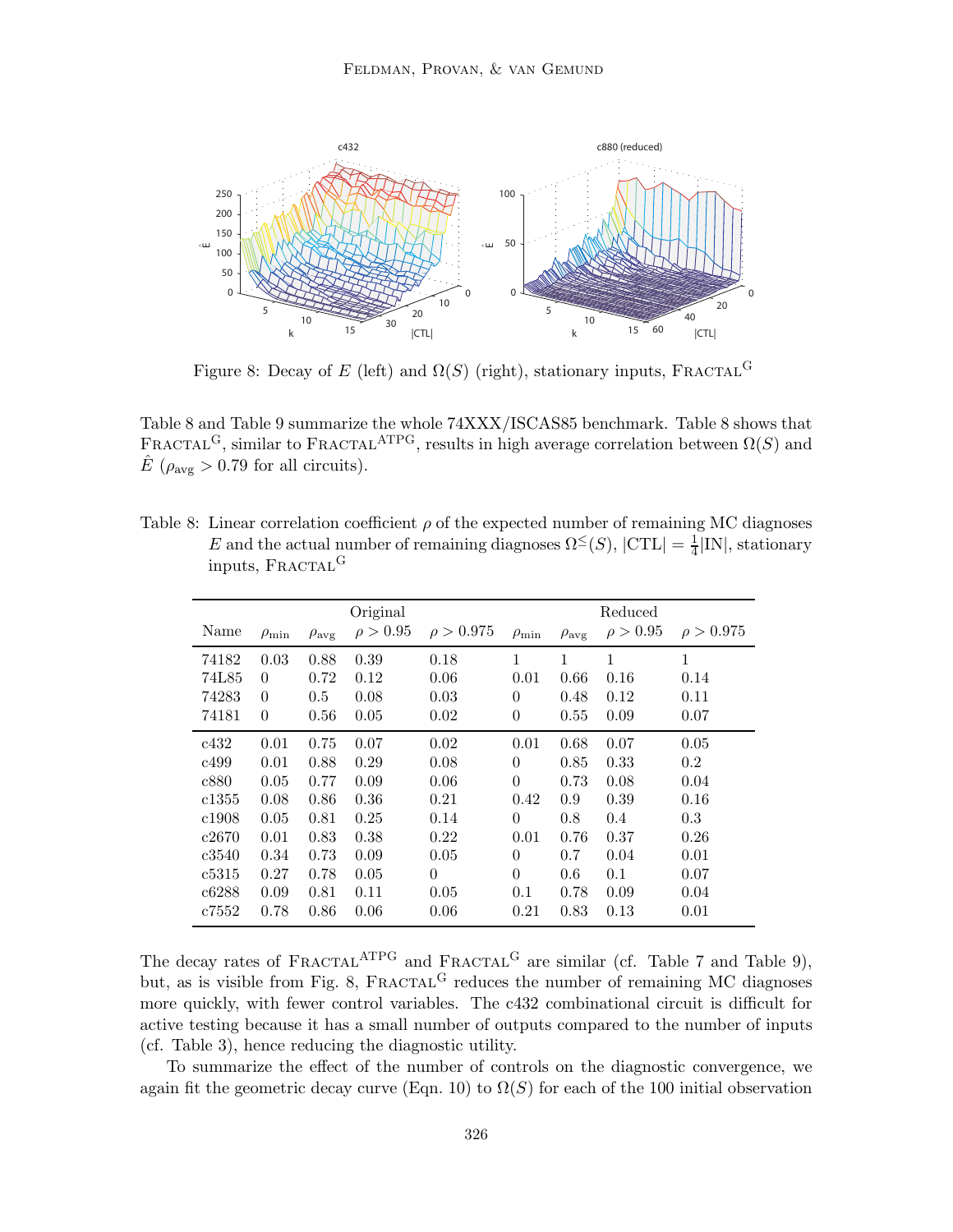

Figure 8: Decay of E (left) and  $\Omega(S)$  (right), stationary inputs, FRACTAL<sup>G</sup>

Table 8 and Table 9 summarize the whole 74XXX/ISCAS85 benchmark. Table 8 shows that FRACTAL<sup>G</sup>, similar to FRACTAL<sup>ATPG</sup>, results in high average correlation between  $\Omega(S)$  and  $\hat{E}$  ( $\rho_{\text{avg}} > 0.79$  for all circuits).

| Table 8: Linear correlation coefficient $\rho$ of the expected number of remaining MC diagnoses            |
|------------------------------------------------------------------------------------------------------------|
| E and the actual number of remaining diagnoses $\Omega^{\leq}(S)$ , $ CTL  = \frac{1}{4} IN $ , stationary |
| inputs, FRACTAL <sup>G</sup>                                                                               |

|       |                  |                     | Original      |                |                  |                     | Reduced       |                |
|-------|------------------|---------------------|---------------|----------------|------------------|---------------------|---------------|----------------|
| Name  | $\rho_{\rm min}$ | $\rho_{\text{avg}}$ | $\rho > 0.95$ | $\rho > 0.975$ | $\rho_{\rm min}$ | $\rho_{\text{avg}}$ | $\rho > 0.95$ | $\rho > 0.975$ |
| 74182 | 0.03             | 0.88                | 0.39          | 0.18           | $\mathbf{1}$     | 1                   | 1             | $\mathbf 1$    |
| 74L85 | $\theta$         | 0.72                | 0.12          | 0.06           | 0.01             | 0.66                | 0.16          | 0.14           |
| 74283 | $\theta$         | 0.5                 | 0.08          | 0.03           | 0                | 0.48                | 0.12          | 0.11           |
| 74181 | $\theta$         | 0.56                | 0.05          | 0.02           | $\theta$         | 0.55                | 0.09          | 0.07           |
| c432  | 0.01             | 0.75                | 0.07          | 0.02           | 0.01             | 0.68                | 0.07          | 0.05           |
| c499  | 0.01             | 0.88                | 0.29          | 0.08           | 0                | 0.85                | 0.33          | 0.2            |
| c880  | 0.05             | 0.77                | 0.09          | 0.06           | $\theta$         | 0.73                | 0.08          | 0.04           |
| c1355 | 0.08             | 0.86                | 0.36          | 0.21           | 0.42             | 0.9                 | 0.39          | 0.16           |
| c1908 | 0.05             | 0.81                | 0.25          | 0.14           | 0                | 0.8                 | 0.4           | 0.3            |
| c2670 | 0.01             | 0.83                | 0.38          | 0.22           | 0.01             | 0.76                | 0.37          | 0.26           |
| c3540 | 0.34             | 0.73                | 0.09          | 0.05           | 0                | 0.7                 | 0.04          | 0.01           |
| c5315 | 0.27             | 0.78                | 0.05          | $\theta$       | $\Omega$         | 0.6                 | 0.1           | 0.07           |
| c6288 | 0.09             | 0.81                | 0.11          | 0.05           | 0.1              | 0.78                | 0.09          | 0.04           |
| c7552 | 0.78             | 0.86                | 0.06          | 0.06           | 0.21             | 0.83                | 0.13          | 0.01           |

The decay rates of  $FRACTAL<sup>ATPG</sup>$  and  $FRACTAL<sup>G</sup>$  are similar (cf. Table 7 and Table 9), but, as is visible from Fig. 8, FRACTAL<sup>G</sup> reduces the number of remaining MC diagnoses more quickly, with fewer control variables. The c432 combinational circuit is difficult for active testing because it has a small number of outputs compared to the number of inputs (cf. Table 3), hence reducing the diagnostic utility.

To summarize the effect of the number of controls on the diagnostic convergence, we again fit the geometric decay curve (Eqn. 10) to  $\Omega(S)$  for each of the 100 initial observation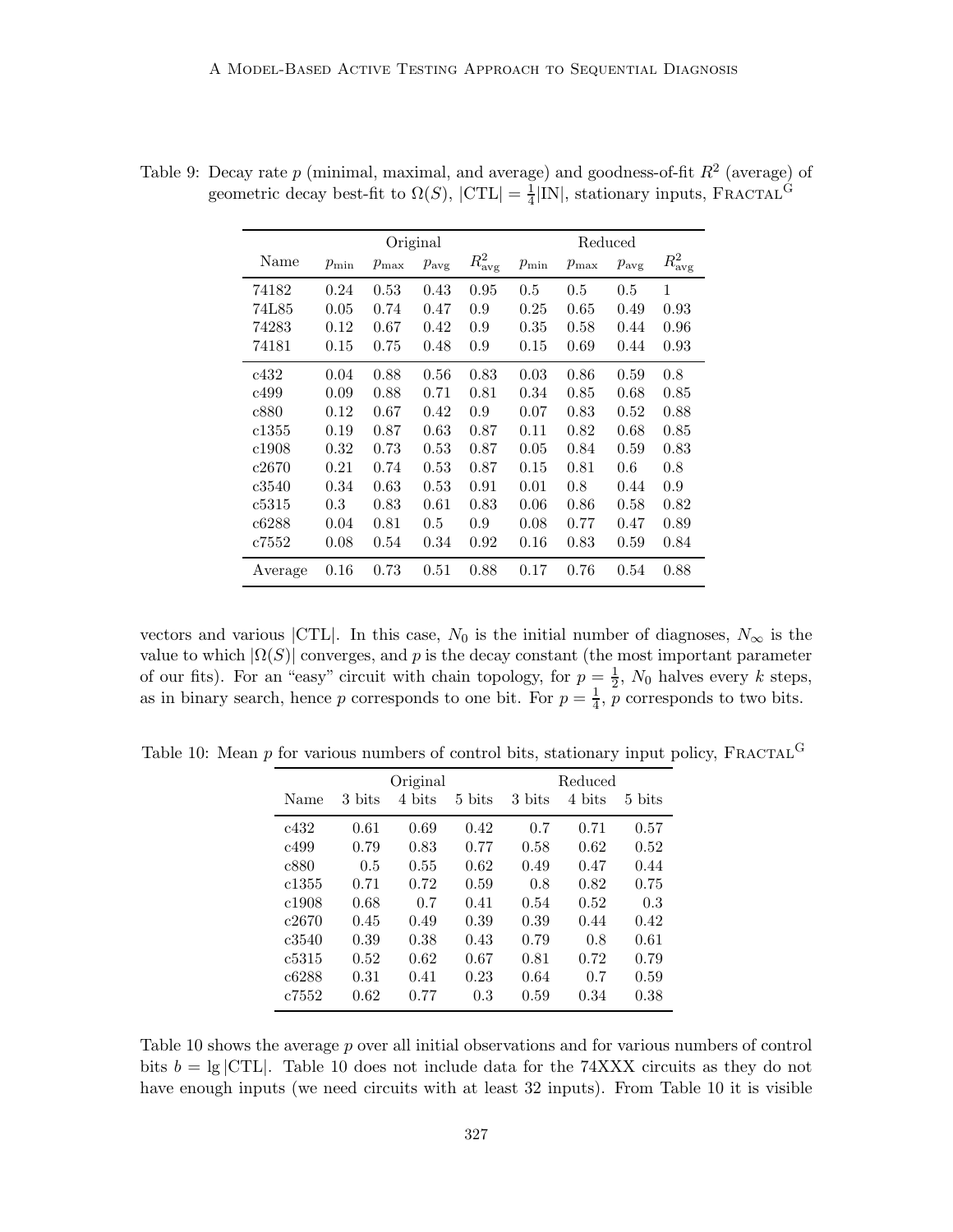|         | Original   |            |                  |                 | Reduced    |            |                  |                      |
|---------|------------|------------|------------------|-----------------|------------|------------|------------------|----------------------|
| Name    | $p_{\min}$ | $p_{\max}$ | $p_{\text{avg}}$ | $R_{\rm avg}^2$ | $p_{\min}$ | $p_{\max}$ | $p_{\text{avg}}$ | $R^2_{\mathrm{avg}}$ |
| 74182   | 0.24       | 0.53       | 0.43             | 0.95            | 0.5        | 0.5        | 0.5              | 1                    |
| 74L85   | 0.05       | 0.74       | 0.47             | 0.9             | 0.25       | 0.65       | 0.49             | 0.93                 |
| 74283   | 0.12       | 0.67       | 0.42             | 0.9             | 0.35       | 0.58       | 0.44             | 0.96                 |
| 74181   | 0.15       | 0.75       | 0.48             | 0.9             | 0.15       | 0.69       | 0.44             | 0.93                 |
| c432    | 0.04       | 0.88       | 0.56             | 0.83            | 0.03       | 0.86       | 0.59             | 0.8                  |
| c499    | 0.09       | 0.88       | 0.71             | 0.81            | 0.34       | 0.85       | 0.68             | 0.85                 |
| c880    | 0.12       | 0.67       | 0.42             | 0.9             | 0.07       | 0.83       | 0.52             | 0.88                 |
| c1355   | 0.19       | 0.87       | 0.63             | 0.87            | 0.11       | 0.82       | 0.68             | 0.85                 |
| c1908   | 0.32       | 0.73       | 0.53             | 0.87            | 0.05       | 0.84       | 0.59             | 0.83                 |
| c2670   | 0.21       | 0.74       | 0.53             | 0.87            | 0.15       | 0.81       | 0.6              | 0.8                  |
| c3540   | 0.34       | 0.63       | 0.53             | 0.91            | 0.01       | 0.8        | 0.44             | 0.9                  |
| c5315   | 0.3        | 0.83       | 0.61             | 0.83            | 0.06       | 0.86       | 0.58             | 0.82                 |
| c6288   | 0.04       | 0.81       | 0.5              | 0.9             | 0.08       | 0.77       | 0.47             | 0.89                 |
| c7552   | 0.08       | 0.54       | 0.34             | 0.92            | 0.16       | 0.83       | 0.59             | 0.84                 |
| Average | 0.16       | 0.73       | 0.51             | 0.88            | 0.17       | 0.76       | 0.54             | 0.88                 |

Table 9: Decay rate  $p$  (minimal, maximal, and average) and goodness-of-fit  $R^2$  (average) of geometric decay best-fit to  $\Omega(S)$ ,  $|{\sf CTL}| = \frac{1}{4}$  $\frac{1}{4}$ [IN], stationary inputs, FRACTAL<sup>G</sup>

vectors and various |CTL|. In this case,  $N_0$  is the initial number of diagnoses,  $N_{\infty}$  is the value to which  $|\Omega(S)|$  converges, and p is the decay constant (the most important parameter of our fits). For an "easy" circuit with chain topology, for  $p = \frac{1}{2}$  $\frac{1}{2}$ ,  $N_0$  halves every k steps, as in binary search, hence p corresponds to one bit. For  $p = \frac{1}{4}$  $\frac{1}{4}$ , *p* corresponds to two bits.

Table 10: Mean  $p$  for various numbers of control bits, stationary input policy, FRACTAL<sup>G</sup>

|       |        | Original |                    | Reduced |        |        |  |  |
|-------|--------|----------|--------------------|---------|--------|--------|--|--|
| Name  | 3 bits | 4 bits   | $5 \; \text{bits}$ | 3 bits  | 4 bits | 5 bits |  |  |
| c432  | 0.61   | 0.69     | 0.42               | 0.7     | 0.71   | 0.57   |  |  |
| c499  | 0.79   | 0.83     | 0.77               | 0.58    | 0.62   | 0.52   |  |  |
| c880  | 0.5    | 0.55     | 0.62               | 0.49    | 0.47   | 0.44   |  |  |
| c1355 | 0.71   | 0.72     | 0.59               | 0.8     | 0.82   | 0.75   |  |  |
| c1908 | 0.68   | 0.7      | 0.41               | 0.54    | 0.52   | 0.3    |  |  |
| c2670 | 0.45   | 0.49     | 0.39               | 0.39    | 0.44   | 0.42   |  |  |
| c3540 | 0.39   | 0.38     | 0.43               | 0.79    | 0.8    | 0.61   |  |  |
| c5315 | 0.52   | 0.62     | 0.67               | 0.81    | 0.72   | 0.79   |  |  |
| c6288 | 0.31   | 0.41     | 0.23               | 0.64    | 0.7    | 0.59   |  |  |
| c7552 | 0.62   | 0.77     | 0.3                | 0.59    | 0.34   | 0.38   |  |  |

Table 10 shows the average p over all initial observations and for various numbers of control bits  $b = \lg |CTL|$ . Table 10 does not include data for the 74XXX circuits as they do not have enough inputs (we need circuits with at least 32 inputs). From Table 10 it is visible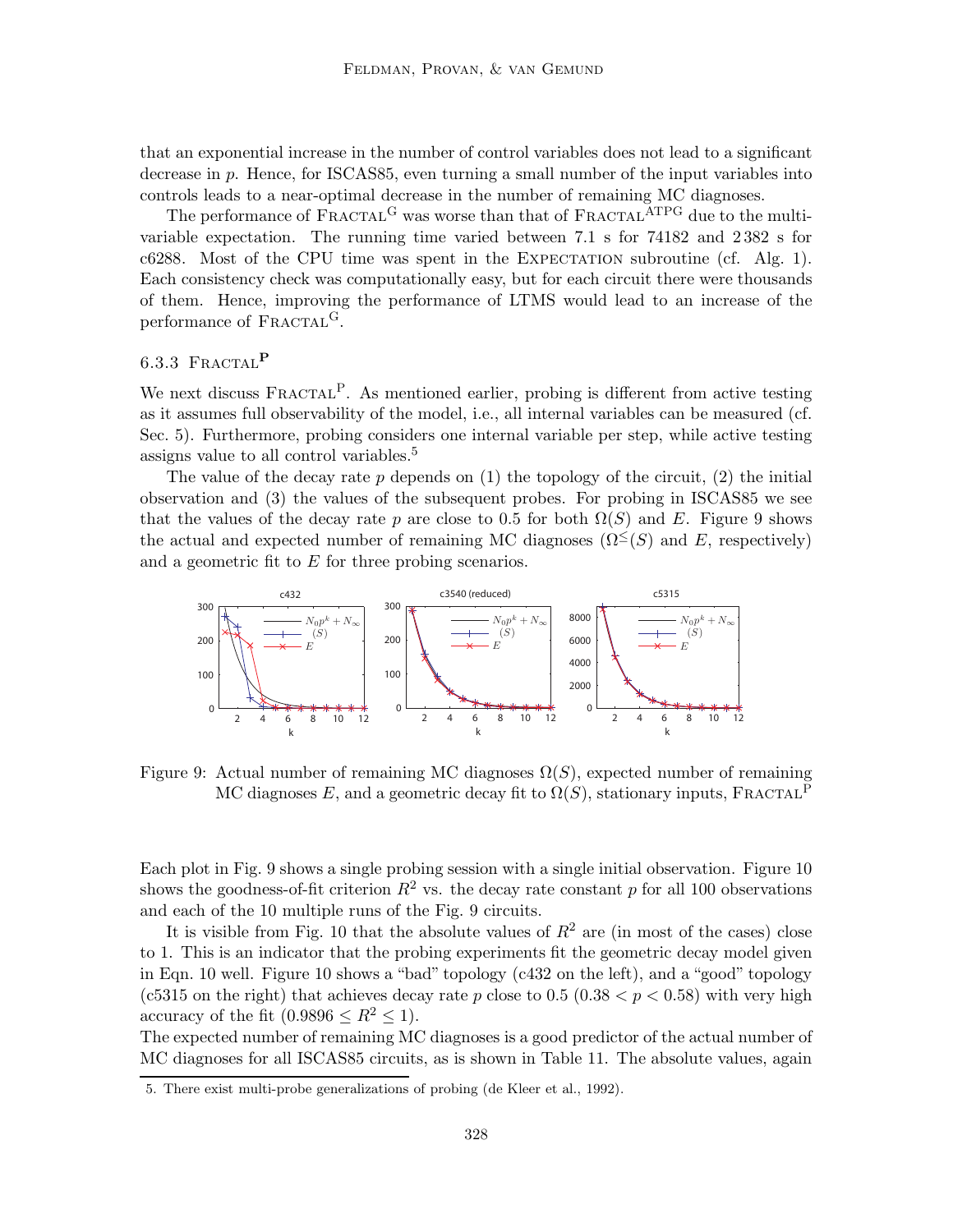that an exponential increase in the number of control variables does not lead to a significant decrease in p. Hence, for ISCAS85, even turning a small number of the input variables into controls leads to a near-optimal decrease in the number of remaining MC diagnoses.

The performance of FRACTAL<sup>G</sup> was worse than that of FRACTAL<sup>ATPG</sup> due to the multivariable expectation. The running time varied between 7.1 s for 74182 and 2 382 s for  $c6288$ . Most of the CPU time was spent in the EXPECTATION subroutine (cf. Alg. 1). Each consistency check was computationally easy, but for each circuit there were thousands of them. Hence, improving the performance of LTMS would lead to an increase of the performance of FRACTAL<sup>G</sup>.

# 6.3.3 FRACTAL<sup>P</sup>

We next discuss  $FRACTAL<sup>P</sup>$ . As mentioned earlier, probing is different from active testing as it assumes full observability of the model, i.e., all internal variables can be measured (cf. Sec. 5). Furthermore, probing considers one internal variable per step, while active testing assigns value to all control variables.<sup>5</sup>

The value of the decay rate  $p$  depends on (1) the topology of the circuit, (2) the initial observation and (3) the values of the subsequent probes. For probing in ISCAS85 we see that the values of the decay rate p are close to 0.5 for both  $\Omega(S)$  and E. Figure 9 shows the actual and expected number of remaining MC diagnoses  $(\Omega^{\leq}(S)$  and E, respectively) and a geometric fit to  $E$  for three probing scenarios.



Figure 9: Actual number of remaining MC diagnoses  $\Omega(S)$ , expected number of remaining MC diagnoses E, and a geometric decay fit to  $\Omega(S)$ , stationary inputs, FRACTAL<sup>P</sup>

Each plot in Fig. 9 shows a single probing session with a single initial observation. Figure 10 shows the goodness-of-fit criterion  $R^2$  vs. the decay rate constant p for all 100 observations and each of the 10 multiple runs of the Fig. 9 circuits.

It is visible from Fig. 10 that the absolute values of  $R^2$  are (in most of the cases) close to 1. This is an indicator that the probing experiments fit the geometric decay model given in Eqn. 10 well. Figure 10 shows a "bad" topology (c432 on the left), and a "good" topology (c5315 on the right) that achieves decay rate p close to  $0.5$   $(0.38 < p < 0.58)$  with very high accuracy of the fit  $(0.9896 \le R^2 \le 1)$ .

The expected number of remaining MC diagnoses is a good predictor of the actual number of MC diagnoses for all ISCAS85 circuits, as is shown in Table 11. The absolute values, again

<sup>5.</sup> There exist multi-probe generalizations of probing (de Kleer et al., 1992).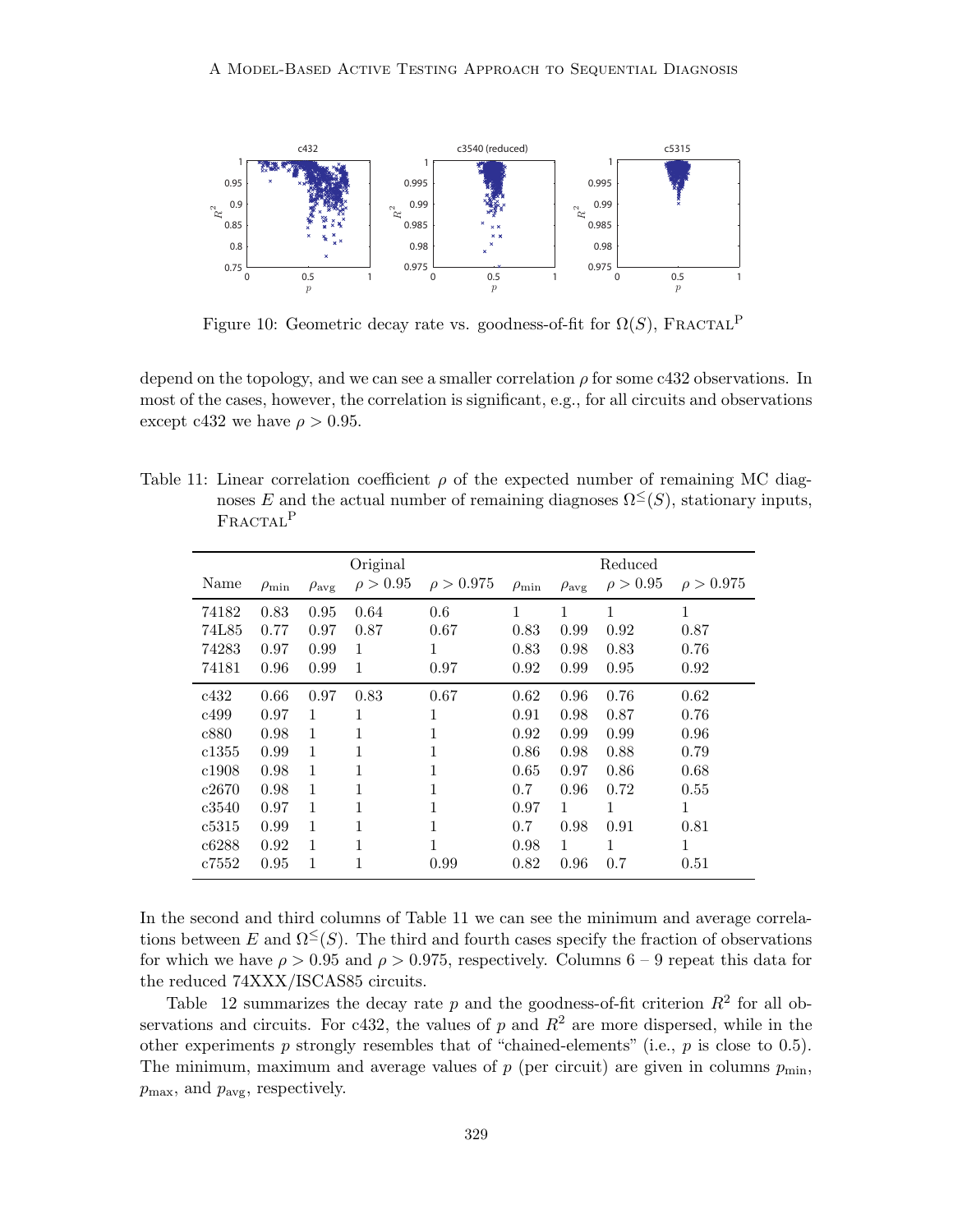

Figure 10: Geometric decay rate vs. goodness-of-fit for  $\Omega(S)$ , FRACTAL<sup>P</sup>

depend on the topology, and we can see a smaller correlation  $\rho$  for some c432 observations. In most of the cases, however, the correlation is significant, e.g., for all circuits and observations except c432 we have  $\rho > 0.95$ .

Table 11: Linear correlation coefficient  $\rho$  of the expected number of remaining MC diagnoses E and the actual number of remaining diagnoses  $\Omega^{\leq}(S)$ , stationary inputs, FRACTAL<sup>P</sup>

|       |                  |                     | Original      |                |                  |                     | Reduced       |                |
|-------|------------------|---------------------|---------------|----------------|------------------|---------------------|---------------|----------------|
| Name  | $\rho_{\rm min}$ | $\rho_{\text{avg}}$ | $\rho > 0.95$ | $\rho > 0.975$ | $\rho_{\rm min}$ | $\rho_{\text{avg}}$ | $\rho > 0.95$ | $\rho > 0.975$ |
| 74182 | 0.83             | 0.95                | 0.64          | 0.6            | 1                | 1                   | 1             | 1              |
| 74L85 | 0.77             | 0.97                | 0.87          | 0.67           | 0.83             | 0.99                | 0.92          | 0.87           |
| 74283 | 0.97             | 0.99                | 1             | 1              | 0.83             | 0.98                | 0.83          | 0.76           |
| 74181 | 0.96             | 0.99                | 1             | 0.97           | 0.92             | 0.99                | 0.95          | 0.92           |
| c432  | 0.66             | 0.97                | 0.83          | 0.67           | 0.62             | 0.96                | 0.76          | 0.62           |
| c499  | 0.97             | 1                   | 1             | 1              | 0.91             | 0.98                | 0.87          | 0.76           |
| c880  | 0.98             | 1                   | 1             | 1              | 0.92             | 0.99                | 0.99          | 0.96           |
| c1355 | 0.99             | 1                   | 1             | 1              | 0.86             | 0.98                | 0.88          | 0.79           |
| c1908 | 0.98             | 1                   | 1             | 1              | 0.65             | 0.97                | 0.86          | 0.68           |
| c2670 | 0.98             | $\mathbf{1}$        | 1             | $\mathbf{1}$   | 0.7              | 0.96                | 0.72          | 0.55           |
| c3540 | 0.97             | 1                   | 1             | 1              | 0.97             | $\mathbf{1}$        | 1             | 1              |
| c5315 | 0.99             | 1                   | 1             | 1              | 0.7              | 0.98                | 0.91          | 0.81           |
| c6288 | 0.92             | 1                   | 1             | 1              | 0.98             | $\mathbf{1}$        | 1             | 1              |
| c7552 | 0.95             | 1                   | 1             | 0.99           | 0.82             | 0.96                | 0.7           | 0.51           |

In the second and third columns of Table 11 we can see the minimum and average correlations between E and  $\Omega^{\leq}(S)$ . The third and fourth cases specify the fraction of observations for which we have  $\rho > 0.95$  and  $\rho > 0.975$ , respectively. Columns 6 – 9 repeat this data for the reduced 74XXX/ISCAS85 circuits.

Table 12 summarizes the decay rate p and the goodness-of-fit criterion  $R^2$  for all observations and circuits. For c432, the values of p and  $R^2$  are more dispersed, while in the other experiments  $p$  strongly resembles that of "chained-elements" (i.e.,  $p$  is close to 0.5). The minimum, maximum and average values of  $p$  (per circuit) are given in columns  $p_{\min}$ ,  $p_{\text{max}}$ , and  $p_{\text{avg}}$ , respectively.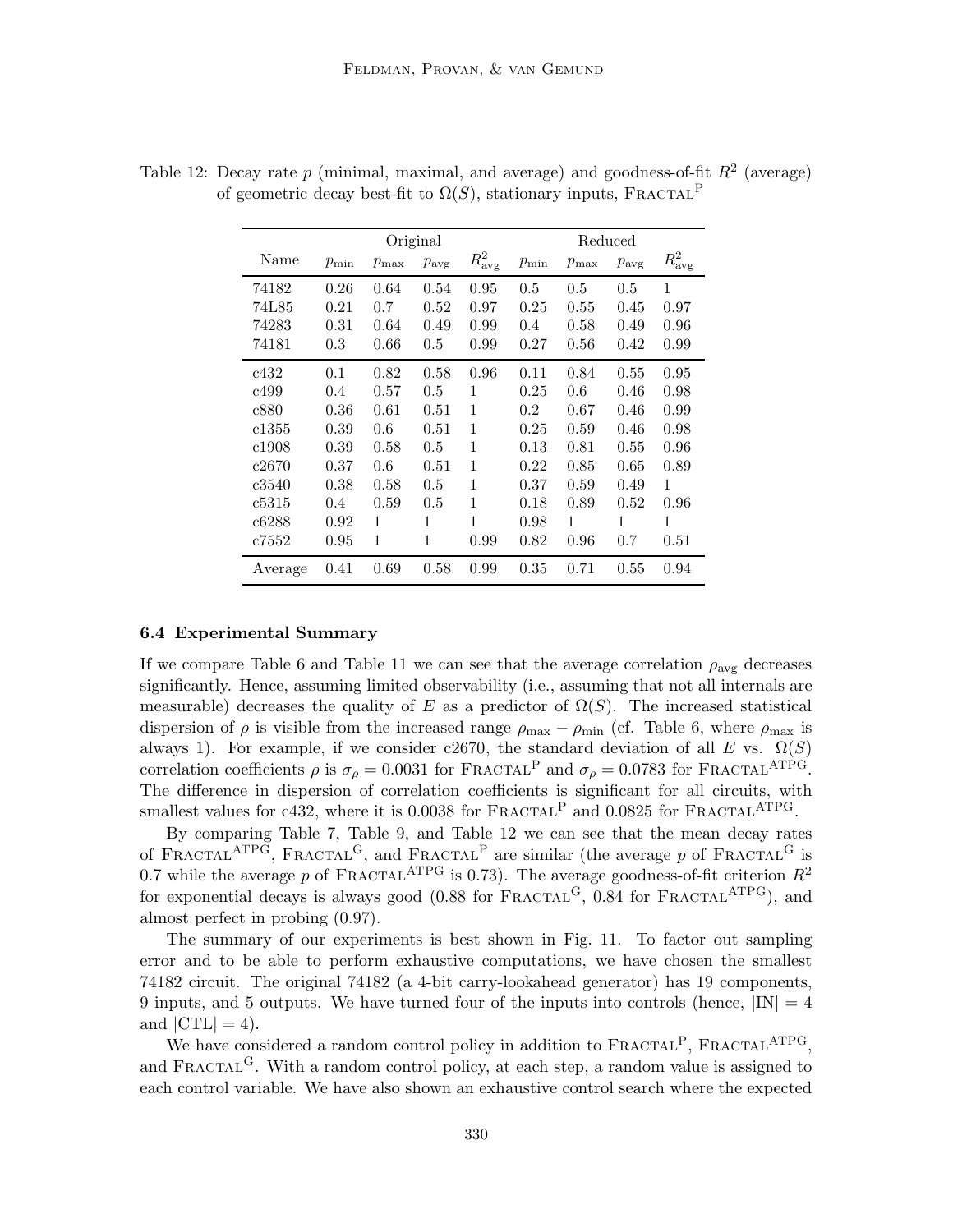|         | Original   |            |                  |                 | Reduced    |            |                  |                      |
|---------|------------|------------|------------------|-----------------|------------|------------|------------------|----------------------|
| Name    | $p_{\min}$ | $p_{\max}$ | $p_{\text{avg}}$ | $R_{\rm avg}^2$ | $p_{\min}$ | $p_{\max}$ | $p_{\text{avg}}$ | $R^2_{\mathrm{avg}}$ |
| 74182   | 0.26       | 0.64       | 0.54             | 0.95            | 0.5        | 0.5        | 0.5              | $\mathbf{1}$         |
| 74L85   | 0.21       | 0.7        | 0.52             | 0.97            | 0.25       | 0.55       | 0.45             | 0.97                 |
| 74283   | 0.31       | 0.64       | 0.49             | 0.99            | 0.4        | 0.58       | 0.49             | 0.96                 |
| 74181   | 0.3        | 0.66       | 0.5              | 0.99            | 0.27       | 0.56       | 0.42             | 0.99                 |
| c432    | 0.1        | 0.82       | 0.58             | 0.96            | 0.11       | 0.84       | 0.55             | 0.95                 |
| c499    | 0.4        | 0.57       | 0.5              | 1               | 0.25       | 0.6        | 0.46             | 0.98                 |
| c880    | 0.36       | 0.61       | 0.51             | 1               | $0.2\,$    | 0.67       | 0.46             | 0.99                 |
| c1355   | 0.39       | 0.6        | 0.51             | 1               | 0.25       | 0.59       | 0.46             | 0.98                 |
| c1908   | 0.39       | 0.58       | 0.5              | 1               | 0.13       | 0.81       | 0.55             | 0.96                 |
| c2670   | 0.37       | 0.6        | 0.51             | 1               | 0.22       | 0.85       | 0.65             | 0.89                 |
| c3540   | 0.38       | 0.58       | 0.5              | 1               | 0.37       | 0.59       | 0.49             | 1                    |
| c5315   | 0.4        | 0.59       | 0.5              | 1               | 0.18       | 0.89       | 0.52             | 0.96                 |
| c6288   | 0.92       | 1          | 1                | 1               | 0.98       | 1          | 1                | $\mathbf{1}$         |
| c7552   | 0.95       | 1          | $\mathbf{1}$     | 0.99            | 0.82       | 0.96       | 0.7              | 0.51                 |
| Average | 0.41       | 0.69       | 0.58             | 0.99            | 0.35       | 0.71       | 0.55             | 0.94                 |

Table 12: Decay rate  $p$  (minimal, maximal, and average) and goodness-of-fit  $R^2$  (average) of geometric decay best-fit to  $\Omega(S)$ , stationary inputs, FRACTAL<sup>P</sup>

## 6.4 Experimental Summary

If we compare Table 6 and Table 11 we can see that the average correlation  $\rho_{\text{avg}}$  decreases significantly. Hence, assuming limited observability (i.e., assuming that not all internals are measurable) decreases the quality of E as a predictor of  $\Omega(S)$ . The increased statistical dispersion of  $\rho$  is visible from the increased range  $\rho_{\text{max}} - \rho_{\text{min}}$  (cf. Table 6, where  $\rho_{\text{max}}$  is always 1). For example, if we consider c2670, the standard deviation of all E vs.  $\Omega(S)$ correlation coefficients  $\rho$  is  $\sigma_{\rho} = 0.0031$  for FRACTAL<sup>P</sup> and  $\sigma_{\rho} = 0.0783$  for FRACTAL<sup>ATPG</sup>. The difference in dispersion of correlation coefficients is significant for all circuits, with smallest values for c432, where it is  $0.0038$  for FRACTAL<sup>P</sup> and  $0.0825$  for FRACTAL<sup>ATPG</sup>.

By comparing Table 7, Table 9, and Table 12 we can see that the mean decay rates of FRACTAL<sup>ATPG</sup>, FRACTAL<sup>G</sup>, and FRACTAL<sup>P</sup> are similar (the average p of FRACTAL<sup>G</sup> is 0.7 while the average p of FRACTAL<sup>ATPG</sup> is 0.73). The average goodness-of-fit criterion  $R^2$ for exponential decays is always good  $(0.88 \text{ for } FRACTAL^G, 0.84 \text{ for } FRACTAL^{\text{ATPG}})$ , and almost perfect in probing (0.97).

The summary of our experiments is best shown in Fig. 11. To factor out sampling error and to be able to perform exhaustive computations, we have chosen the smallest 74182 circuit. The original 74182 (a 4-bit carry-lookahead generator) has 19 components, 9 inputs, and 5 outputs. We have turned four of the inputs into controls (hence,  $|IN| = 4$ and  $|CTL| = 4$ .

We have considered a random control policy in addition to  $\text{FRACTAL}^P$ ,  $\text{FRACTAL}^{\text{ATPG}}$ , and FRACTAL<sup>G</sup>. With a random control policy, at each step, a random value is assigned to each control variable. We have also shown an exhaustive control search where the expected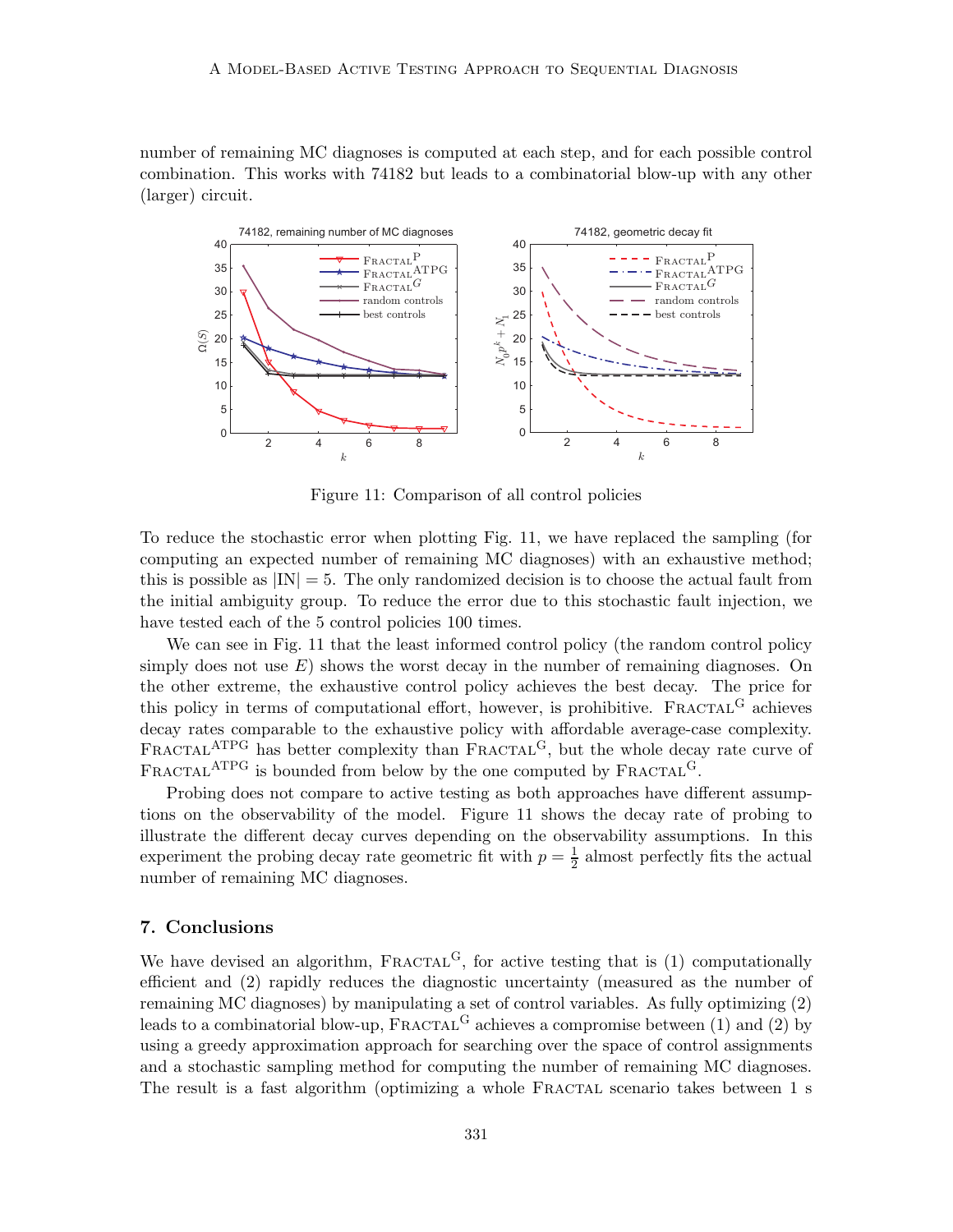number of remaining MC diagnoses is computed at each step, and for each possible control combination. This works with 74182 but leads to a combinatorial blow-up with any other (larger) circuit.



Figure 11: Comparison of all control policies

To reduce the stochastic error when plotting Fig. 11, we have replaced the sampling (for computing an expected number of remaining MC diagnoses) with an exhaustive method; this is possible as  $|IN| = 5$ . The only randomized decision is to choose the actual fault from the initial ambiguity group. To reduce the error due to this stochastic fault injection, we have tested each of the 5 control policies 100 times.

We can see in Fig. 11 that the least informed control policy (the random control policy simply does not use  $E$ ) shows the worst decay in the number of remaining diagnoses. On the other extreme, the exhaustive control policy achieves the best decay. The price for this policy in terms of computational effort, however, is prohibitive.  $\text{FRACTAL}^G$  achieves decay rates comparable to the exhaustive policy with affordable average-case complexity. FRACTAL<sup>ATPG</sup> has better complexity than FRACTAL<sup>G</sup>, but the whole decay rate curve of FRACTAL<sup>ATPG</sup> is bounded from below by the one computed by FRACTAL<sup>G</sup>.

Probing does not compare to active testing as both approaches have different assumptions on the observability of the model. Figure 11 shows the decay rate of probing to illustrate the different decay curves depending on the observability assumptions. In this experiment the probing decay rate geometric fit with  $p=\frac{1}{2}$  $\frac{1}{2}$  almost perfectly fits the actual number of remaining MC diagnoses.

## 7. Conclusions

We have devised an algorithm,  $FRACTAL<sup>G</sup>$ , for active testing that is (1) computationally efficient and (2) rapidly reduces the diagnostic uncertainty (measured as the number of remaining MC diagnoses) by manipulating a set of control variables. As fully optimizing (2) leads to a combinatorial blow-up,  $\text{FRACTAL}^G$  achieves a compromise between (1) and (2) by using a greedy approximation approach for searching over the space of control assignments and a stochastic sampling method for computing the number of remaining MC diagnoses. The result is a fast algorithm (optimizing a whole FRACTAL scenario takes between 1 s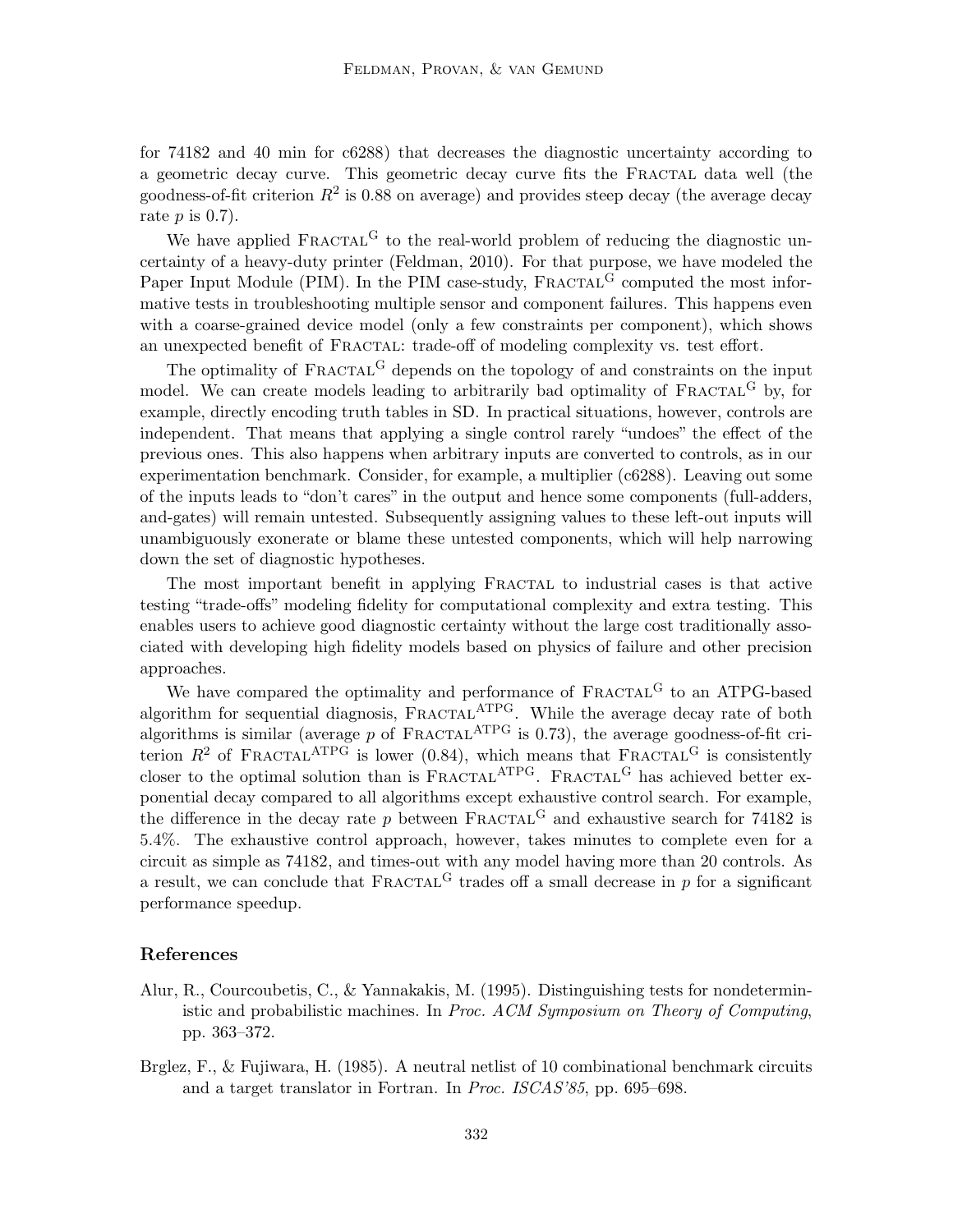for 74182 and 40 min for c6288) that decreases the diagnostic uncertainty according to a geometric decay curve. This geometric decay curve fits the FRACTAL data well (the goodness-of-fit criterion  $R^2$  is 0.88 on average) and provides steep decay (the average decay rate  $p$  is  $(0.7)$ .

We have applied  $\text{FRACTAL}^G$  to the real-world problem of reducing the diagnostic uncertainty of a heavy-duty printer (Feldman, 2010). For that purpose, we have modeled the Paper Input Module (PIM). In the PIM case-study,  $\text{FRACTAL}^G$  computed the most informative tests in troubleshooting multiple sensor and component failures. This happens even with a coarse-grained device model (only a few constraints per component), which shows an unexpected benefit of FRACTAL: trade-off of modeling complexity vs. test effort.

The optimality of  $\text{FRACTAL}^G$  depends on the topology of and constraints on the input model. We can create models leading to arbitrarily bad optimality of  $\text{FRACTAL}^G$  by, for example, directly encoding truth tables in SD. In practical situations, however, controls are independent. That means that applying a single control rarely "undoes" the effect of the previous ones. This also happens when arbitrary inputs are converted to controls, as in our experimentation benchmark. Consider, for example, a multiplier (c6288). Leaving out some of the inputs leads to "don't cares" in the output and hence some components (full-adders, and-gates) will remain untested. Subsequently assigning values to these left-out inputs will unambiguously exonerate or blame these untested components, which will help narrowing down the set of diagnostic hypotheses.

The most important benefit in applying Fractal to industrial cases is that active testing "trade-offs" modeling fidelity for computational complexity and extra testing. This enables users to achieve good diagnostic certainty without the large cost traditionally associated with developing high fidelity models based on physics of failure and other precision approaches.

We have compared the optimality and performance of  $\text{FRACTAL}^G$  to an ATPG-based algorithm for sequential diagnosis,  $F_{RACTAL}$ <sup>ATPG</sup>. While the average decay rate of both algorithms is similar (average p of  $\text{FRACTAL}^{\text{ATPG}}$  is 0.73), the average goodness-of-fit criterion  $R^2$  of FRACTAL<sup>ATPG</sup> is lower (0.84), which means that FRACTAL<sup>G</sup> is consistently closer to the optimal solution than is  $F_{RACTAL}^{\text{ATPG}}$ .  $F_{RACTAL}^{\text{G}}$  has achieved better exponential decay compared to all algorithms except exhaustive control search. For example, the difference in the decay rate p between  $\text{FRACTAL}^G$  and exhaustive search for 74182 is 5.4%. The exhaustive control approach, however, takes minutes to complete even for a circuit as simple as 74182, and times-out with any model having more than 20 controls. As a result, we can conclude that  $FRACTAL<sup>G</sup>$  trades off a small decrease in p for a significant performance speedup.

# References

- Alur, R., Courcoubetis, C., & Yannakakis, M. (1995). Distinguishing tests for nondeterministic and probabilistic machines. In Proc. ACM Symposium on Theory of Computing, pp. 363–372.
- Brglez, F., & Fujiwara, H. (1985). A neutral netlist of 10 combinational benchmark circuits and a target translator in Fortran. In Proc. ISCAS'85, pp. 695–698.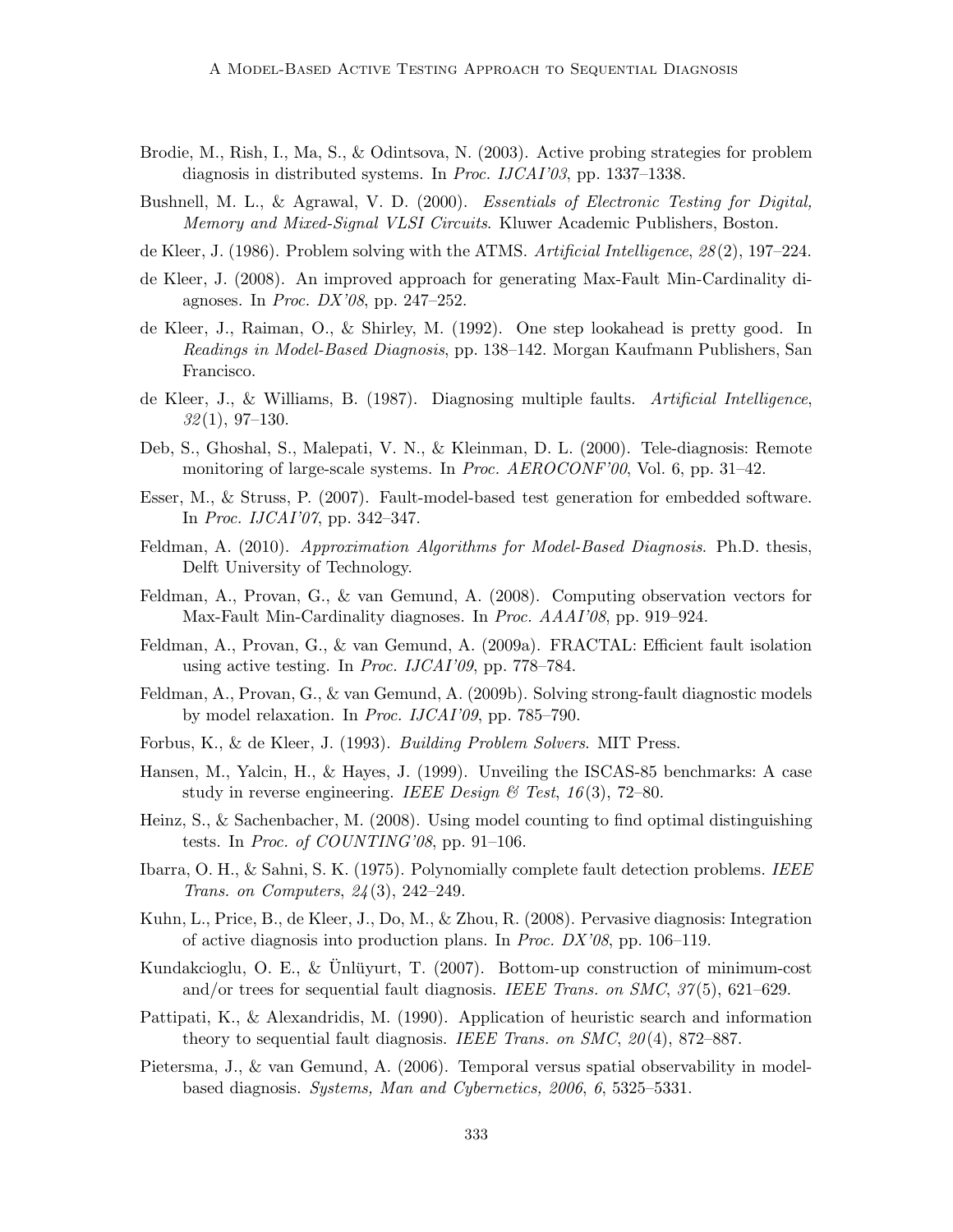- Brodie, M., Rish, I., Ma, S., & Odintsova, N. (2003). Active probing strategies for problem diagnosis in distributed systems. In Proc. IJCAI'03, pp. 1337–1338.
- Bushnell, M. L., & Agrawal, V. D. (2000). *Essentials of Electronic Testing for Digital*, Memory and Mixed-Signal VLSI Circuits. Kluwer Academic Publishers, Boston.
- de Kleer, J. (1986). Problem solving with the ATMS. Artificial Intelligence, 28(2), 197–224.
- de Kleer, J. (2008). An improved approach for generating Max-Fault Min-Cardinality diagnoses. In Proc. DX'08, pp. 247–252.
- de Kleer, J., Raiman, O., & Shirley, M. (1992). One step lookahead is pretty good. In Readings in Model-Based Diagnosis, pp. 138–142. Morgan Kaufmann Publishers, San Francisco.
- de Kleer, J., & Williams, B. (1987). Diagnosing multiple faults. Artificial Intelligence,  $32(1), 97-130.$
- Deb, S., Ghoshal, S., Malepati, V. N., & Kleinman, D. L. (2000). Tele-diagnosis: Remote monitoring of large-scale systems. In *Proc. AEROCONF'00*, Vol. 6, pp. 31–42.
- Esser, M., & Struss, P. (2007). Fault-model-based test generation for embedded software. In Proc. IJCAI'07, pp. 342–347.
- Feldman, A. (2010). Approximation Algorithms for Model-Based Diagnosis. Ph.D. thesis, Delft University of Technology.
- Feldman, A., Provan, G., & van Gemund, A. (2008). Computing observation vectors for Max-Fault Min-Cardinality diagnoses. In Proc. AAAI'08, pp. 919–924.
- Feldman, A., Provan, G., & van Gemund, A. (2009a). FRACTAL: Efficient fault isolation using active testing. In Proc. IJCAI'09, pp. 778–784.
- Feldman, A., Provan, G., & van Gemund, A. (2009b). Solving strong-fault diagnostic models by model relaxation. In Proc. IJCAI'09, pp. 785–790.
- Forbus, K., & de Kleer, J. (1993). Building Problem Solvers. MIT Press.
- Hansen, M., Yalcin, H., & Hayes, J. (1999). Unveiling the ISCAS-85 benchmarks: A case study in reverse engineering. IEEE Design  $\mathcal C$  Test, 16(3), 72–80.
- Heinz, S., & Sachenbacher, M. (2008). Using model counting to find optimal distinguishing tests. In *Proc. of COUNTING'08*, pp. 91–106.
- Ibarra, O. H., & Sahni, S. K. (1975). Polynomially complete fault detection problems. IEEE Trans. on Computers, 24(3), 242–249.
- Kuhn, L., Price, B., de Kleer, J., Do, M., & Zhou, R. (2008). Pervasive diagnosis: Integration of active diagnosis into production plans. In Proc. DX'08, pp. 106–119.
- Kundakcioglu, O. E., & Unlügurt, T.  $(2007)$ . Bottom-up construction of minimum-cost and/or trees for sequential fault diagnosis. IEEE Trans. on SMC, 37(5), 621–629.
- Pattipati, K., & Alexandridis, M. (1990). Application of heuristic search and information theory to sequential fault diagnosis. IEEE Trans. on SMC,  $20(4)$ , 872–887.
- Pietersma, J., & van Gemund, A. (2006). Temporal versus spatial observability in modelbased diagnosis. Systems, Man and Cybernetics, 2006, 6, 5325–5331.